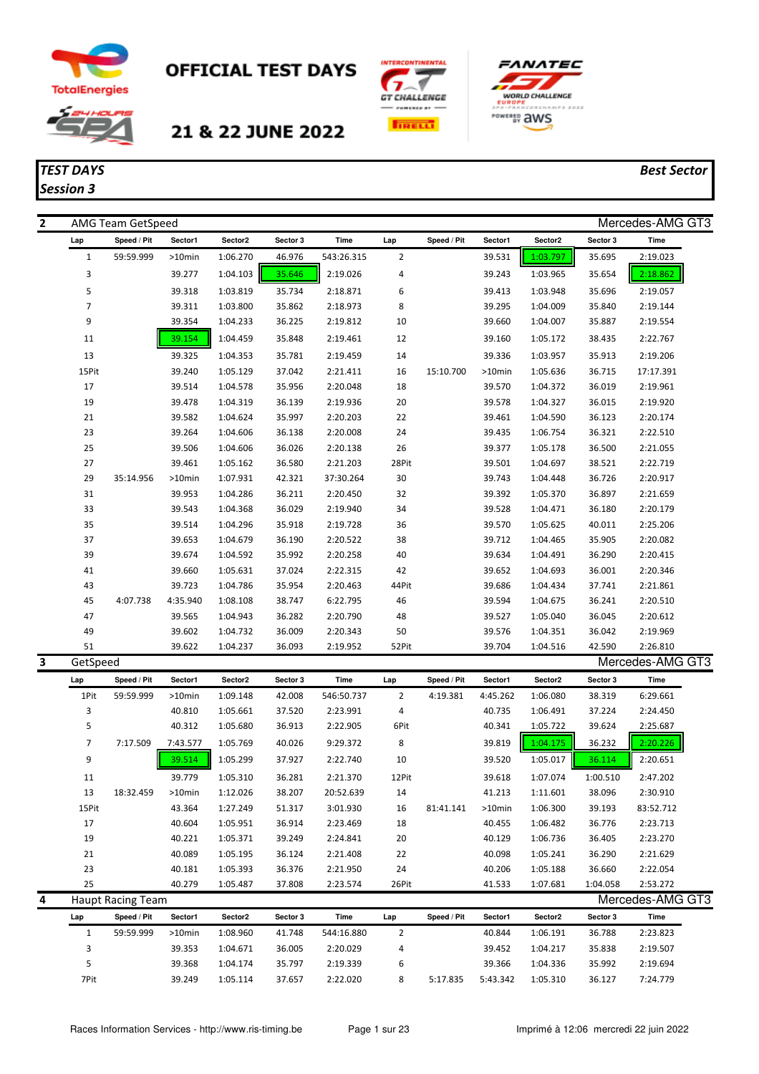

*Session 3*

## **OFFICIAL TEST DAYS**







## *TEST DAYS Best Sector*

| $\overline{2}$ |                | AMG Team GetSpeed        |                    |                      |                  |                      |                |             |                  |                      |                  | Mercedes-AMG GT3     |
|----------------|----------------|--------------------------|--------------------|----------------------|------------------|----------------------|----------------|-------------|------------------|----------------------|------------------|----------------------|
|                | Lap            | Speed / Pit              | Sector1            | Sector2              | Sector 3         | Time                 | Lap            | Speed / Pit | Sector1          | Sector2              | Sector 3         | Time                 |
|                | $\mathbf{1}$   | 59:59.999                | >10min             | 1:06.270             | 46.976           | 543:26.315           | $\overline{2}$ |             | 39.531           | 1:03.797             | 35.695           | 2:19.023             |
|                | 3              |                          | 39.277             | 1:04.103             | 35.646           | 2:19.026             | 4              |             | 39.243           | 1:03.965             | 35.654           | 2:18.862             |
|                | 5              |                          | 39.318             | 1:03.819             | 35.734           | 2:18.871             | 6              |             | 39.413           | 1:03.948             | 35.696           | 2:19.057             |
|                | $\overline{7}$ |                          | 39.311             | 1:03.800             | 35.862           | 2:18.973             | 8              |             | 39.295           | 1:04.009             | 35.840           | 2:19.144             |
|                | 9              |                          | 39.354             | 1:04.233             | 36.225           | 2:19.812             | 10             |             | 39.660           | 1:04.007             | 35.887           | 2:19.554             |
|                | 11             |                          | 39.154             | 1:04.459             | 35.848           | 2:19.461             | 12             |             | 39.160           | 1:05.172             | 38.435           | 2:22.767             |
|                | 13             |                          | 39.325             | 1:04.353             | 35.781           | 2:19.459             | 14             |             | 39.336           | 1:03.957             | 35.913           | 2:19.206             |
|                | 15Pit          |                          | 39.240             | 1:05.129             | 37.042           | 2:21.411             | 16             | 15:10.700   | >10min           | 1:05.636             | 36.715           | 17:17.391            |
|                | 17             |                          | 39.514             | 1:04.578             | 35.956           | 2:20.048             | 18             |             | 39.570           | 1:04.372             | 36.019           | 2:19.961             |
|                | 19             |                          | 39.478             | 1:04.319             | 36.139           | 2:19.936             | 20             |             | 39.578           | 1:04.327             | 36.015           | 2:19.920             |
|                | 21             |                          | 39.582             | 1:04.624             | 35.997           | 2:20.203             | 22             |             | 39.461           | 1:04.590             | 36.123           | 2:20.174             |
|                | 23             |                          | 39.264             | 1:04.606             | 36.138           | 2:20.008             | 24             |             | 39.435           | 1:06.754             | 36.321           | 2:22.510             |
|                | 25             |                          | 39.506             | 1:04.606             | 36.026           | 2:20.138             | 26             |             | 39.377           | 1:05.178             | 36.500           | 2:21.055             |
|                | 27             |                          | 39.461             | 1:05.162             | 36.580           | 2:21.203             | 28Pit          |             | 39.501           | 1:04.697             | 38.521           | 2:22.719             |
|                | 29             | 35:14.956                | >10min             | 1:07.931             | 42.321           | 37:30.264            | 30             |             | 39.743           | 1:04.448             | 36.726           | 2:20.917             |
|                | 31             |                          | 39.953             | 1:04.286             | 36.211           | 2:20.450             | 32             |             | 39.392           | 1:05.370             | 36.897           | 2:21.659             |
|                | 33             |                          | 39.543             | 1:04.368             | 36.029           | 2:19.940             | 34             |             | 39.528           | 1:04.471             | 36.180           | 2:20.179             |
|                | 35             |                          | 39.514             | 1:04.296             | 35.918           | 2:19.728             | 36             |             | 39.570           | 1:05.625             | 40.011           | 2:25.206             |
|                | 37             |                          | 39.653             | 1:04.679             | 36.190           | 2:20.522             | 38             |             | 39.712           | 1:04.465             | 35.905           | 2:20.082             |
|                | 39             |                          | 39.674             | 1:04.592             | 35.992           | 2:20.258             | 40             |             | 39.634           | 1:04.491             | 36.290           | 2:20.415             |
|                | 41             |                          | 39.660             | 1:05.631             | 37.024           | 2:22.315             | 42             |             | 39.652           | 1:04.693             | 36.001           | 2:20.346             |
|                | 43<br>45       | 4:07.738                 | 39.723<br>4:35.940 | 1:04.786<br>1:08.108 | 35.954<br>38.747 | 2:20.463<br>6:22.795 | 44Pit<br>46    |             | 39.686<br>39.594 | 1:04.434<br>1:04.675 | 37.741<br>36.241 | 2:21.861<br>2:20.510 |
|                | 47             |                          | 39.565             | 1:04.943             | 36.282           | 2:20.790             | 48             |             | 39.527           | 1:05.040             | 36.045           | 2:20.612             |
|                | 49             |                          | 39.602             | 1:04.732             | 36.009           | 2:20.343             | 50             |             | 39.576           | 1:04.351             | 36.042           | 2:19.969             |
|                | 51             |                          | 39.622             | 1:04.237             | 36.093           | 2:19.952             | 52Pit          |             | 39.704           | 1:04.516             | 42.590           | 2:26.810             |
| 3              | GetSpeed       |                          |                    |                      |                  |                      |                |             |                  |                      |                  | Mercedes-AMG GT3     |
|                | Lap            | Speed / Pit              | Sector1            | Sector2              | Sector 3         | Time                 | Lap            | Speed / Pit | Sector1          | Sector2              | Sector 3         | Time                 |
|                | 1Pit           | 59:59.999                | >10min             | 1:09.148             | 42.008           | 546:50.737           | $\overline{2}$ | 4:19.381    | 4:45.262         | 1:06.080             | 38.319           | 6:29.661             |
|                | 3              |                          | 40.810             | 1:05.661             | 37.520           | 2:23.991             | 4              |             | 40.735           | 1:06.491             | 37.224           | 2:24.450             |
|                | 5              |                          | 40.312             | 1:05.680             | 36.913           | 2:22.905             | 6Pit           |             | 40.341           | 1:05.722             | 39.624           | 2:25.687             |
|                | 7              | 7:17.509                 | 7:43.577           | 1:05.769             | 40.026           | 9:29.372             | 8              |             | 39.819           | 1:04.175             | 36.232           | 2:20.226             |
|                | 9              |                          | 39.514             | 1:05.299             | 37.927           | 2:22.740             | 10             |             | 39.520           | 1:05.017             | 36.114           | 2:20.651             |
|                | 11             |                          | 39.779             | 1:05.310             | 36.281           | 2:21.370             | 12Pit          |             | 39.618           | 1:07.074             | 1:00.510         | 2:47.202             |
|                | $13\,$         | 18:32.459                | >10min             | 1:12.026             | 38.207           | 20:52.639            | 14             |             | 41.213           | 1:11.601             | 38.096           | 2:30.910             |
|                | 15Pit          |                          | 43.364             | 1:27.249             | 51.317           | 3:01.930             | 16             | 81:41.141   | >10min           | 1:06.300             | 39.193           | 83:52.712            |
|                | 17             |                          | 40.604             | 1:05.951             | 36.914           | 2:23.469             | 18             |             | 40.455           | 1:06.482             | 36.776           | 2:23.713             |
|                | 19             |                          | 40.221             | 1:05.371             | 39.249           | 2:24.841             | 20             |             | 40.129           | 1:06.736             | 36.405           | 2:23.270             |
|                | 21             |                          | 40.089             | 1:05.195             | 36.124           | 2:21.408             | 22             |             | 40.098           | 1:05.241             | 36.290           | 2:21.629             |
|                | 23             |                          | 40.181             | 1:05.393             | 36.376           | 2:21.950             | 24             |             | 40.206           | 1:05.188             | 36.660           | 2:22.054             |
|                | 25             |                          | 40.279             | 1:05.487             | 37.808           | 2:23.574             | 26Pit          |             | 41.533           | 1:07.681             | 1:04.058         | 2:53.272             |
| 4              |                | <b>Haupt Racing Team</b> |                    |                      |                  |                      |                |             |                  |                      |                  | Mercedes-AMG GT3     |
|                | Lap            | Speed / Pit              | Sector1            | Sector2              | Sector 3         | Time                 | Lap            | Speed / Pit | Sector1          | Sector2              | Sector 3         | Time                 |
|                | $\mathbf{1}$   | 59:59.999                | >10min             | 1:08.960             | 41.748           | 544:16.880           | 2              |             | 40.844           | 1:06.191             | 36.788           | 2:23.823             |
|                | 3              |                          | 39.353             | 1:04.671             | 36.005           | 2:20.029             | 4              |             | 39.452           | 1:04.217             | 35.838           | 2:19.507             |
|                | 5              |                          | 39.368             | 1:04.174             | 35.797           | 2:19.339             | 6              |             | 39.366           | 1:04.336             | 35.992           | 2:19.694             |
|                | 7Pit           |                          | 39.249             | 1:05.114             | 37.657           | 2:22.020             | 8              | 5:17.835    | 5:43.342         | 1:05.310             | 36.127           | 7:24.779             |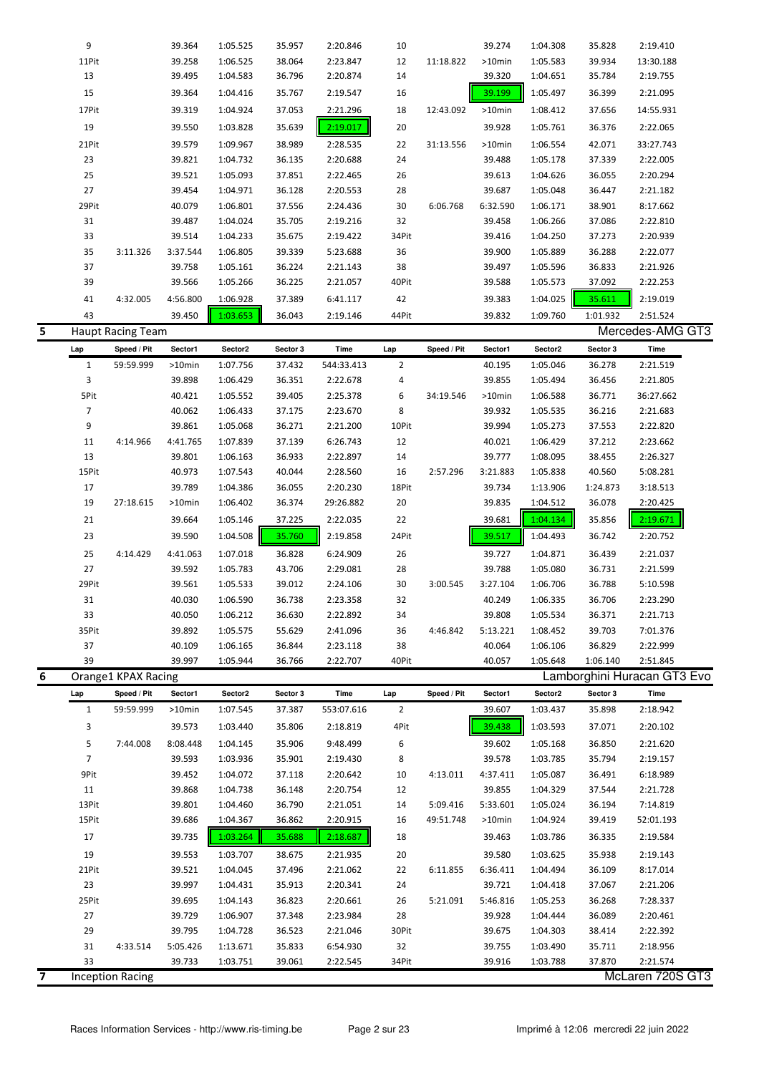|   | 9              |                          | 39.364           | 1:05.525             | 35.957           | 2:20.846             | 10             |             | 39.274             | 1:04.308             | 35.828             | 2:19.410                    |
|---|----------------|--------------------------|------------------|----------------------|------------------|----------------------|----------------|-------------|--------------------|----------------------|--------------------|-----------------------------|
|   | 11Pit          |                          | 39.258           | 1:06.525             | 38.064           | 2:23.847             | 12             | 11:18.822   | >10min             | 1:05.583             | 39.934             | 13:30.188                   |
|   | 13             |                          | 39.495           | 1:04.583             | 36.796           | 2:20.874             | 14             |             | 39.320             | 1:04.651             | 35.784             | 2:19.755                    |
|   | 15             |                          | 39.364           | 1:04.416             | 35.767           | 2:19.547             | 16             |             | 39.199             | 1:05.497             | 36.399             | 2:21.095                    |
|   | 17Pit          |                          | 39.319           | 1:04.924             | 37.053           | 2:21.296             | 18             | 12:43.092   | >10min             | 1:08.412             | 37.656             | 14:55.931                   |
|   | 19             |                          | 39.550           | 1:03.828             | 35.639           | 2:19.017             | 20             |             | 39.928             | 1:05.761             | 36.376             | 2:22.065                    |
|   | 21Pit          |                          | 39.579           | 1:09.967             | 38.989           | 2:28.535             | 22             | 31:13.556   | >10min             | 1:06.554             | 42.071             | 33:27.743                   |
|   | 23             |                          | 39.821           | 1:04.732             | 36.135           | 2:20.688             | 24             |             | 39.488             | 1:05.178             | 37.339             | 2:22.005                    |
|   | 25             |                          | 39.521           | 1:05.093             | 37.851           | 2:22.465             | 26             |             | 39.613             | 1:04.626             | 36.055             | 2:20.294                    |
|   | 27             |                          | 39.454           | 1:04.971             | 36.128           | 2:20.553             | 28             |             | 39.687             | 1:05.048             | 36.447             | 2:21.182                    |
|   | 29Pit          |                          | 40.079           | 1:06.801             | 37.556           | 2:24.436             | 30             | 6:06.768    | 6:32.590           | 1:06.171             | 38.901             | 8:17.662                    |
|   | 31             |                          | 39.487           | 1:04.024             | 35.705           | 2:19.216             | 32             |             | 39.458             | 1:06.266             | 37.086             | 2:22.810                    |
|   | 33             |                          | 39.514           | 1:04.233             | 35.675           | 2:19.422             | 34Pit          |             | 39.416             | 1:04.250             | 37.273             | 2:20.939                    |
|   | 35             | 3:11.326                 | 3:37.544         | 1:06.805             | 39.339           | 5:23.688             | 36             |             | 39.900             | 1:05.889             | 36.288             | 2:22.077                    |
|   | 37             |                          | 39.758           | 1:05.161             | 36.224           | 2:21.143             | 38             |             | 39.497             | 1:05.596             | 36.833             | 2:21.926                    |
|   | 39             |                          | 39.566           | 1:05.266             | 36.225           | 2:21.057             | 40Pit          |             | 39.588             | 1:05.573             | 37.092             | 2:22.253                    |
|   | 41             | 4:32.005                 | 4:56.800         | 1:06.928             | 37.389           | 6:41.117             | 42             |             | 39.383             | 1:04.025             | 35.611             | 2:19.019                    |
|   | 43             |                          | 39.450           | 1:03.653             | 36.043           | 2:19.146             | 44Pit          |             | 39.832             | 1:09.760             | 1:01.932           | 2:51.524                    |
| 5 |                | <b>Haupt Racing Team</b> |                  |                      |                  |                      |                |             |                    |                      |                    | Mercedes-AMG GT3            |
|   | Lap            | Speed / Pit              | Sector1          | Sector2              | Sector 3         | <b>Time</b>          | Lap            | Speed / Pit | Sector1            | Sector2              | Sector 3           | Time                        |
|   | $\mathbf{1}$   | 59:59.999                | >10min           | 1:07.756             | 37.432           | 544:33.413           | $\overline{2}$ |             | 40.195             | 1:05.046             | 36.278             | 2:21.519                    |
|   | 3              |                          | 39.898           | 1:06.429             | 36.351           | 2:22.678             | 4              |             | 39.855             | 1:05.494             | 36.456             | 2:21.805                    |
|   | 5Pit           |                          | 40.421           | 1:05.552             | 39.405           | 2:25.378             | 6              | 34:19.546   | >10min             | 1:06.588             | 36.771             | 36:27.662                   |
|   | $\overline{7}$ |                          | 40.062           | 1:06.433             | 37.175           | 2:23.670             | 8              |             | 39.932             | 1:05.535             | 36.216             | 2:21.683                    |
|   | 9              |                          | 39.861           | 1:05.068             | 36.271           | 2:21.200             | 10Pit          |             | 39.994             | 1:05.273             | 37.553             | 2:22.820                    |
|   | 11             | 4:14.966                 | 4:41.765         | 1:07.839             | 37.139           | 6:26.743             | 12             |             | 40.021             | 1:06.429             | 37.212             | 2:23.662                    |
|   | 13             |                          | 39.801           | 1:06.163             | 36.933           | 2:22.897             | 14             |             | 39.777             | 1:08.095             | 38.455             | 2:26.327                    |
|   | 15Pit<br>17    |                          | 40.973<br>39.789 | 1:07.543<br>1:04.386 | 40.044<br>36.055 | 2:28.560<br>2:20.230 | 16<br>18Pit    | 2:57.296    | 3:21.883<br>39.734 | 1:05.838<br>1:13.906 | 40.560<br>1:24.873 | 5:08.281<br>3:18.513        |
|   | 19             | 27:18.615                | >10min           | 1:06.402             | 36.374           | 29:26.882            | 20             |             | 39.835             | 1:04.512             | 36.078             | 2:20.425                    |
|   | 21             |                          | 39.664           | 1:05.146             | 37.225           | 2:22.035             | 22             |             | 39.681             | 1:04.134             | 35.856             | 2:19.671                    |
|   |                |                          |                  | 1:04.508             |                  |                      |                |             |                    |                      |                    |                             |
|   | 23             |                          | 39.590           |                      | 35.760           | 2:19.858             | 24Pit          |             | 39.517             | 1:04.493             | 36.742             | 2:20.752                    |
|   | 25             | 4:14.429                 | 4:41.063         | 1:07.018             | 36.828           | 6:24.909             | 26             |             | 39.727             | 1:04.871             | 36.439             | 2:21.037                    |
|   | 27             |                          | 39.592           | 1:05.783             | 43.706           | 2:29.081             | 28             |             | 39.788             | 1:05.080             | 36.731             | 2:21.599                    |
|   | 29Pit<br>31    |                          | 39.561<br>40.030 | 1:05.533<br>1:06.590 | 39.012<br>36.738 | 2:24.106<br>2:23.358 | 30<br>32       | 3:00.545    | 3:27.104<br>40.249 | 1:06.706<br>1:06.335 | 36.788<br>36.706   | 5:10.598<br>2:23.290        |
|   | 33             |                          | 40.050           | 1:06.212             | 36.630           | 2:22.892             | 34             |             | 39.808             | 1:05.534             | 36.371             | 2:21.713                    |
|   | 35Pit          |                          | 39.892           | 1:05.575             | 55.629           | 2:41.096             | 36             | 4:46.842    | 5:13.221           | 1:08.452             | 39.703             | 7:01.376                    |
|   | 37             |                          | 40.109           | 1:06.165             | 36.844           | 2:23.118             | 38             |             | 40.064             | 1:06.106             | 36.829             | 2:22.999                    |
|   | 39             |                          | 39.997           | 1:05.944             | 36.766           | 2:22.707             | 40Pit          |             | 40.057             | 1:05.648             | 1:06.140           | 2:51.845                    |
| 6 |                | Orange1 KPAX Racing      |                  |                      |                  |                      |                |             |                    |                      |                    | Lamborghini Huracan GT3 Evo |
|   | Lap            | Speed / Pit              | Sector1          | Sector2              | Sector 3         | Time                 | Lap            | Speed / Pit | Sector1            | Sector2              | Sector 3           | Time                        |
|   | $\mathbf{1}$   | 59:59.999                | >10min           | 1:07.545             | 37.387           | 553:07.616           | $\overline{2}$ |             | 39.607             | 1:03.437             | 35.898             | 2:18.942                    |
|   | 3              |                          | 39.573           | 1:03.440             | 35.806           | 2:18.819             | 4Pit           |             | 39.438             | 1:03.593             | 37.071             | 2:20.102                    |
|   | 5              | 7:44.008                 | 8:08.448         | 1:04.145             | 35.906           | 9:48.499             | 6              |             | 39.602             | 1:05.168             | 36.850             | 2:21.620                    |
|   | $\overline{7}$ |                          | 39.593           | 1:03.936             | 35.901           | 2:19.430             | 8              |             | 39.578             | 1:03.785             | 35.794             | 2:19.157                    |
|   | 9Pit           |                          | 39.452           | 1:04.072             | 37.118           | 2:20.642             | 10             | 4:13.011    | 4:37.411           | 1:05.087             | 36.491             | 6:18.989                    |
|   | 11             |                          | 39.868           | 1:04.738             | 36.148           | 2:20.754             | 12             |             | 39.855             | 1:04.329             | 37.544             | 2:21.728                    |
|   | 13Pit          |                          | 39.801           | 1:04.460             | 36.790           | 2:21.051             | 14             | 5:09.416    | 5:33.601           | 1:05.024             | 36.194             | 7:14.819                    |
|   | 15Pit          |                          | 39.686           | 1:04.367             | 36.862           | 2:20.915             | 16             | 49:51.748   | >10min             | 1:04.924             | 39.419             | 52:01.193                   |
|   | 17             |                          | 39.735           | 1:03.264             | 35.688           | 2:18.687             | 18             |             | 39.463             | 1:03.786             | 36.335             | 2:19.584                    |
|   | 19             |                          | 39.553           | 1:03.707             | 38.675           | 2:21.935             | 20             |             | 39.580             | 1:03.625             | 35.938             | 2:19.143                    |
|   | 21Pit          |                          | 39.521           | 1:04.045             | 37.496           | 2:21.062             | 22             | 6:11.855    | 6:36.411           | 1:04.494             | 36.109             | 8:17.014                    |
|   | 23             |                          | 39.997           | 1:04.431             | 35.913           | 2:20.341             | 24             |             | 39.721             | 1:04.418             | 37.067             | 2:21.206                    |
|   | 25Pit          |                          | 39.695           | 1:04.143             | 36.823           | 2:20.661             | 26             | 5:21.091    | 5:46.816           | 1:05.253             | 36.268             | 7:28.337                    |
|   | 27             |                          | 39.729           | 1:06.907             | 37.348           | 2:23.984             | 28             |             | 39.928             | 1:04.444             | 36.089             | 2:20.461                    |
|   | 29             |                          | 39.795           | 1:04.728             | 36.523           | 2:21.046             | 30Pit          |             | 39.675             | 1:04.303             | 38.414             | 2:22.392                    |
|   | 31             | 4:33.514                 | 5:05.426         | 1:13.671             | 35.833           | 6:54.930             | 32             |             | 39.755             | 1:03.490             | 35.711             | 2:18.956                    |
|   | 33             |                          | 39.733           | 1:03.751             | 39.061           | 2:22.545             | 34Pit          |             | 39.916             | 1:03.788             | 37.870             | 2:21.574                    |
| 7 |                | <b>Inception Racing</b>  |                  |                      |                  |                      |                |             |                    |                      |                    | McLaren 720S GT3            |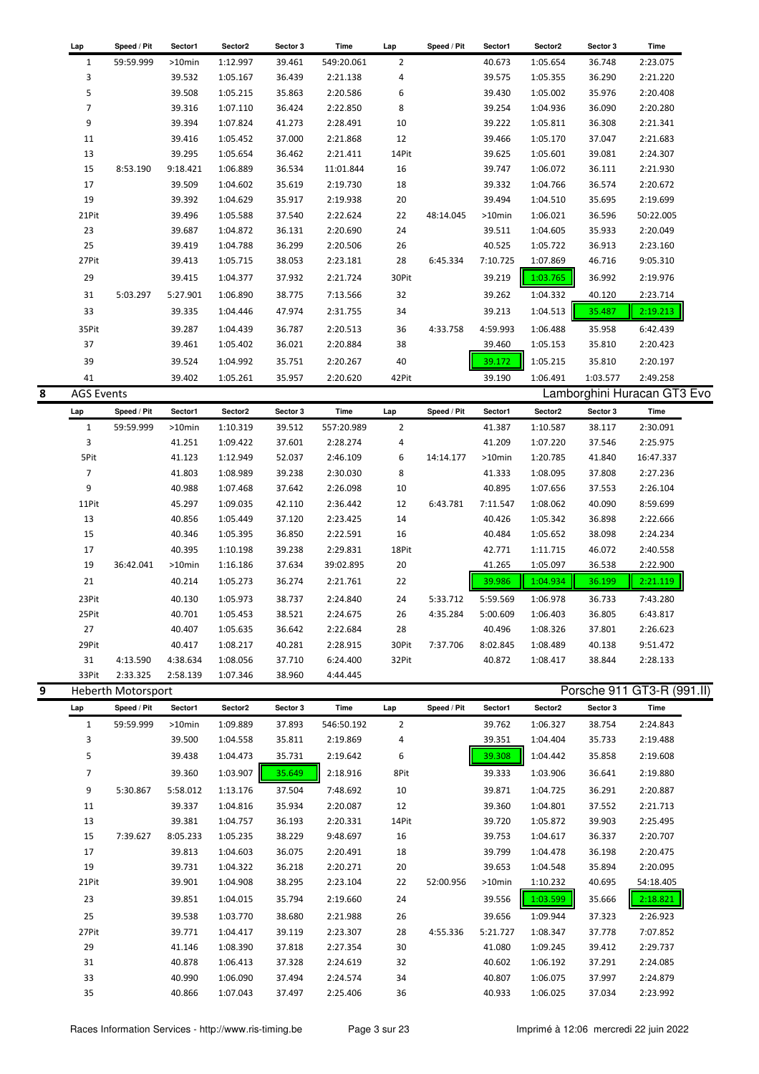|   | Lap               | Speed / Pit        | Sector1   | Sector2  | Sector 3 | Time       | Lap            | Speed / Pit | Sector1  | Sector2  | Sector 3 | Time                        |  |
|---|-------------------|--------------------|-----------|----------|----------|------------|----------------|-------------|----------|----------|----------|-----------------------------|--|
|   | $\mathbf{1}$      | 59:59.999          | >10min    | 1:12.997 | 39.461   | 549:20.061 | $\overline{2}$ |             | 40.673   | 1:05.654 | 36.748   | 2:23.075                    |  |
|   | 3                 |                    | 39.532    | 1:05.167 | 36.439   | 2:21.138   | 4              |             | 39.575   | 1:05.355 | 36.290   | 2:21.220                    |  |
|   | 5                 |                    | 39.508    | 1:05.215 | 35.863   | 2:20.586   | 6              |             | 39.430   | 1:05.002 | 35.976   | 2:20.408                    |  |
|   | $\overline{7}$    |                    | 39.316    | 1:07.110 | 36.424   | 2:22.850   | 8              |             | 39.254   | 1:04.936 | 36.090   | 2:20.280                    |  |
|   | 9                 |                    | 39.394    | 1:07.824 | 41.273   | 2:28.491   | 10             |             | 39.222   | 1:05.811 | 36.308   | 2:21.341                    |  |
|   | 11                |                    | 39.416    | 1:05.452 | 37.000   | 2:21.868   | 12             |             | 39.466   | 1:05.170 | 37.047   | 2:21.683                    |  |
|   | 13                |                    | 39.295    | 1:05.654 | 36.462   | 2:21.411   | 14Pit          |             | 39.625   | 1:05.601 | 39.081   | 2:24.307                    |  |
|   | 15                | 8:53.190           | 9:18.421  | 1:06.889 | 36.534   | 11:01.844  | 16             |             | 39.747   | 1:06.072 | 36.111   | 2:21.930                    |  |
|   | 17                |                    | 39.509    | 1:04.602 | 35.619   | 2:19.730   | 18             |             | 39.332   | 1:04.766 | 36.574   | 2:20.672                    |  |
|   | 19                |                    | 39.392    | 1:04.629 | 35.917   | 2:19.938   | 20             |             | 39.494   | 1:04.510 | 35.695   | 2:19.699                    |  |
|   | 21Pit             |                    | 39.496    | 1:05.588 | 37.540   | 2:22.624   | 22             | 48:14.045   | >10min   | 1:06.021 | 36.596   | 50:22.005                   |  |
|   | 23                |                    | 39.687    | 1:04.872 | 36.131   | 2:20.690   | 24             |             | 39.511   | 1:04.605 | 35.933   | 2:20.049                    |  |
|   | 25                |                    | 39.419    | 1:04.788 | 36.299   | 2:20.506   | 26             |             | 40.525   | 1:05.722 | 36.913   | 2:23.160                    |  |
|   | 27Pit             |                    | 39.413    | 1:05.715 | 38.053   | 2:23.181   | 28             | 6:45.334    | 7:10.725 | 1:07.869 | 46.716   | 9:05.310                    |  |
|   | 29                |                    | 39.415    | 1:04.377 | 37.932   | 2:21.724   | 30Pit          |             | 39.219   | 1:03.765 | 36.992   | 2:19.976                    |  |
|   | 31                | 5:03.297           | 5:27.901  | 1:06.890 | 38.775   | 7:13.566   | 32             |             | 39.262   | 1:04.332 | 40.120   | 2:23.714                    |  |
|   |                   |                    |           |          |          |            |                |             |          |          |          |                             |  |
|   | 33                |                    | 39.335    | 1:04.446 | 47.974   | 2:31.755   | 34             |             | 39.213   | 1:04.513 | 35.487   | 2:19.213                    |  |
|   | 35Pit             |                    | 39.287    | 1:04.439 | 36.787   | 2:20.513   | 36             | 4:33.758    | 4:59.993 | 1:06.488 | 35.958   | 6:42.439                    |  |
|   | 37                |                    | 39.461    | 1:05.402 | 36.021   | 2:20.884   | 38             |             | 39.460   | 1:05.153 | 35.810   | 2:20.423                    |  |
|   | 39                |                    | 39.524    | 1:04.992 | 35.751   | 2:20.267   | 40             |             | 39.172   | 1:05.215 | 35.810   | 2:20.197                    |  |
|   | 41                |                    | 39.402    | 1:05.261 | 35.957   | 2:20.620   | 42Pit          |             | 39.190   | 1:06.491 | 1:03.577 | 2:49.258                    |  |
| 8 | <b>AGS Events</b> |                    |           |          |          |            |                |             |          |          |          | Lamborghini Huracan GT3 Evo |  |
|   | Lap               | Speed / Pit        | Sector1   | Sector2  | Sector 3 | Time       | Lap            | Speed / Pit | Sector1  | Sector2  | Sector 3 | Time                        |  |
|   | $\mathbf{1}$      | 59:59.999          | $>10$ min | 1:10.319 | 39.512   | 557:20.989 | $\overline{2}$ |             | 41.387   | 1:10.587 | 38.117   | 2:30.091                    |  |
|   | 3                 |                    | 41.251    | 1:09.422 | 37.601   | 2:28.274   | 4              |             | 41.209   | 1:07.220 | 37.546   | 2:25.975                    |  |
|   | 5Pit              |                    | 41.123    | 1:12.949 | 52.037   | 2:46.109   | 6              | 14:14.177   | >10min   | 1:20.785 | 41.840   | 16:47.337                   |  |
|   | $\overline{7}$    |                    | 41.803    | 1:08.989 | 39.238   | 2:30.030   | 8              |             | 41.333   | 1:08.095 | 37.808   | 2:27.236                    |  |
|   | 9                 |                    | 40.988    | 1:07.468 | 37.642   | 2:26.098   | 10             |             | 40.895   | 1:07.656 | 37.553   | 2:26.104                    |  |
|   | 11Pit             |                    | 45.297    | 1:09.035 | 42.110   | 2:36.442   | 12             | 6:43.781    | 7:11.547 | 1:08.062 | 40.090   | 8:59.699                    |  |
|   | 13                |                    | 40.856    | 1:05.449 | 37.120   | 2:23.425   | 14             |             | 40.426   | 1:05.342 | 36.898   | 2:22.666                    |  |
|   | 15                |                    | 40.346    | 1:05.395 | 36.850   | 2:22.591   | 16             |             | 40.484   | 1:05.652 | 38.098   | 2:24.234                    |  |
|   | 17                |                    | 40.395    | 1:10.198 | 39.238   | 2:29.831   | 18Pit          |             | 42.771   | 1:11.715 | 46.072   | 2:40.558                    |  |
|   | 19                | 36:42.041          | >10min    | 1:16.186 | 37.634   | 39:02.895  | 20             |             | 41.265   | 1:05.097 | 36.538   | 2:22.900                    |  |
|   | 21                |                    | 40.214    | 1:05.273 | 36.274   | 2:21.761   | 22             |             | 39.986   | 1:04.934 | 36.199   | 2:21.119                    |  |
|   |                   |                    |           |          |          |            |                |             |          |          |          |                             |  |
|   | 23Pit             |                    | 40.130    | 1:05.973 | 38.737   | 2:24.840   | 24             | 5:33.712    | 5:59.569 | 1:06.978 | 36.733   | 7:43.280                    |  |
|   | 25Pit             |                    | 40.701    | 1:05.453 | 38.521   | 2:24.675   | 26             | 4:35.284    | 5:00.609 | 1:06.403 | 36.805   | 6:43.817                    |  |
|   | 27                |                    | 40.407    | 1:05.635 | 36.642   | 2:22.684   | 28             |             | 40.496   | 1:08.326 | 37.801   | 2:26.623                    |  |
|   | 29Pit             |                    | 40.417    | 1:08.217 | 40.281   | 2:28.915   | 30Pit          | 7:37.706    | 8:02.845 | 1:08.489 | 40.138   | 9:51.472                    |  |
|   | 31                | 4:13.590           | 4:38.634  | 1:08.056 | 37.710   | 6:24.400   | 32Pit          |             | 40.872   | 1:08.417 | 38.844   | 2:28.133                    |  |
|   | 33Pit             | 2:33.325           | 2:58.139  | 1:07.346 | 38.960   | 4:44.445   |                |             |          |          |          |                             |  |
| 9 |                   | Heberth Motorsport |           |          |          |            |                |             |          |          |          | Porsche 911 GT3-R (991.II)  |  |
|   | Lap               | Speed / Pit        | Sector1   | Sector2  | Sector 3 | Time       | Lap            | Speed / Pit | Sector1  | Sector2  | Sector 3 | Time                        |  |
|   | $\mathbf{1}$      | 59:59.999          | >10min    | 1:09.889 | 37.893   | 546:50.192 | $\overline{2}$ |             | 39.762   | 1:06.327 | 38.754   | 2:24.843                    |  |
|   | 3                 |                    | 39.500    | 1:04.558 | 35.811   | 2:19.869   | 4              |             | 39.351   | 1:04.404 | 35.733   | 2:19.488                    |  |
|   | 5                 |                    | 39.438    | 1:04.473 | 35.731   | 2:19.642   | 6              |             | 39.308   | 1:04.442 | 35.858   | 2:19.608                    |  |
|   | $\overline{7}$    |                    | 39.360    | 1:03.907 | 35.649   | 2:18.916   | 8Pit           |             | 39.333   | 1:03.906 | 36.641   | 2:19.880                    |  |
|   | 9                 | 5:30.867           | 5:58.012  | 1:13.176 | 37.504   | 7:48.692   | 10             |             | 39.871   | 1:04.725 | 36.291   | 2:20.887                    |  |
|   | 11                |                    | 39.337    | 1:04.816 | 35.934   | 2:20.087   | 12             |             | 39.360   | 1:04.801 | 37.552   | 2:21.713                    |  |
|   | 13                |                    | 39.381    | 1:04.757 | 36.193   | 2:20.331   | 14Pit          |             | 39.720   | 1:05.872 | 39.903   | 2:25.495                    |  |
|   | 15                | 7:39.627           | 8:05.233  | 1:05.235 | 38.229   | 9:48.697   | 16             |             | 39.753   | 1:04.617 | 36.337   | 2:20.707                    |  |
|   | 17                |                    | 39.813    | 1:04.603 | 36.075   | 2:20.491   | 18             |             | 39.799   | 1:04.478 | 36.198   | 2:20.475                    |  |
|   | 19                |                    | 39.731    | 1:04.322 | 36.218   | 2:20.271   | 20             |             | 39.653   | 1:04.548 | 35.894   | 2:20.095                    |  |
|   | 21Pit             |                    | 39.901    | 1:04.908 | 38.295   | 2:23.104   | 22             | 52:00.956   | >10min   | 1:10.232 | 40.695   | 54:18.405                   |  |
|   | 23                |                    | 39.851    | 1:04.015 | 35.794   | 2:19.660   |                |             | 39.556   | 1:03.599 | 35.666   |                             |  |
|   |                   |                    |           |          |          |            | 24             |             |          |          |          | 2:18.821                    |  |
|   | 25                |                    | 39.538    | 1:03.770 | 38.680   | 2:21.988   | 26             |             | 39.656   | 1:09.944 | 37.323   | 2:26.923                    |  |
|   | 27Pit             |                    | 39.771    | 1:04.417 | 39.119   | 2:23.307   | 28             | 4:55.336    | 5:21.727 | 1:08.347 | 37.778   | 7:07.852                    |  |

29 41.146 1:08.390 37.818 2:27.354 30 41.080 1:09.245 39.412 2:29.737 31 40.878 1:06.413 37.328 2:24.619 32 40.602 1:06.192 37.291 2:24.085 33 40.990 1:06.090 37.494 2:24.574 34 40.807 1:06.075 37.997 2:24.879 35 40.866 1:07.043 37.497 2:25.406 36 40.933 1:06.025 37.034 2:23.992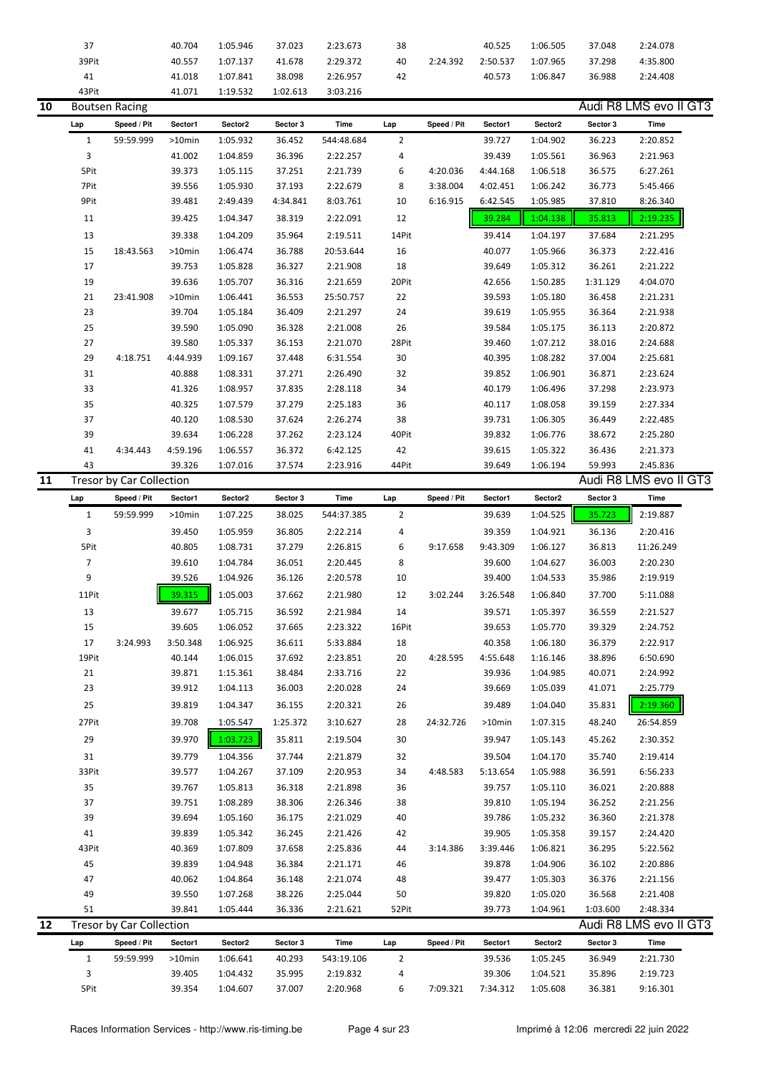|    | 37             |                          | 40.704   | 1:05.946 | 37.023   | 2:23.673   | 38             |             | 40.525   | 1:06.505 | 37.048   | 2:24.078               |  |
|----|----------------|--------------------------|----------|----------|----------|------------|----------------|-------------|----------|----------|----------|------------------------|--|
|    | 39Pit          |                          | 40.557   | 1:07.137 | 41.678   | 2:29.372   | 40             | 2:24.392    | 2:50.537 | 1:07.965 | 37.298   | 4:35.800               |  |
|    | $41\,$         |                          | 41.018   | 1:07.841 | 38.098   | 2:26.957   | 42             |             | 40.573   | 1:06.847 | 36.988   | 2:24.408               |  |
|    | 43Pit          |                          | 41.071   | 1:19.532 | 1:02.613 | 3:03.216   |                |             |          |          |          |                        |  |
| 10 |                | <b>Boutsen Racing</b>    |          |          |          |            |                |             |          |          |          | Audi R8 LMS evo II GT3 |  |
|    |                | Speed / Pit              |          | Sector2  | Sector 3 | Time       |                |             | Sector1  | Sector2  | Sector 3 | Time                   |  |
|    | Lap            |                          | Sector1  |          |          |            | Lap            | Speed / Pit |          |          |          |                        |  |
|    | $\mathbf{1}$   | 59:59.999                | >10min   | 1:05.932 | 36.452   | 544:48.684 | $\overline{2}$ |             | 39.727   | 1:04.902 | 36.223   | 2:20.852               |  |
|    | 3              |                          | 41.002   | 1:04.859 | 36.396   | 2:22.257   | 4              |             | 39.439   | 1:05.561 | 36.963   | 2:21.963               |  |
|    | 5Pit           |                          | 39.373   | 1:05.115 | 37.251   | 2:21.739   | 6              | 4:20.036    | 4:44.168 | 1:06.518 | 36.575   | 6:27.261               |  |
|    | 7Pit           |                          | 39.556   | 1:05.930 | 37.193   | 2:22.679   | 8              | 3:38.004    | 4:02.451 | 1:06.242 | 36.773   | 5:45.466               |  |
|    | 9Pit           |                          | 39.481   | 2:49.439 | 4:34.841 | 8:03.761   | 10             | 6:16.915    | 6:42.545 | 1:05.985 | 37.810   | 8:26.340               |  |
|    | 11             |                          | 39.425   | 1:04.347 | 38.319   | 2:22.091   | 12             |             | 39.284   | 1:04.138 | 35.813   | 2:19.235               |  |
|    | 13             |                          | 39.338   | 1:04.209 | 35.964   | 2:19.511   | 14Pit          |             | 39.414   | 1:04.197 | 37.684   | 2:21.295               |  |
|    | 15             | 18:43.563                | >10min   | 1:06.474 | 36.788   | 20:53.644  | 16             |             | 40.077   | 1:05.966 | 36.373   | 2:22.416               |  |
|    | 17             |                          | 39.753   | 1:05.828 | 36.327   | 2:21.908   | 18             |             | 39.649   | 1:05.312 | 36.261   | 2:21.222               |  |
|    | 19             |                          | 39.636   | 1:05.707 | 36.316   | 2:21.659   | 20Pit          |             | 42.656   | 1:50.285 | 1:31.129 | 4:04.070               |  |
|    |                |                          |          |          |          |            |                |             |          |          |          |                        |  |
|    | 21             | 23:41.908                | >10min   | 1:06.441 | 36.553   | 25:50.757  | 22             |             | 39.593   | 1:05.180 | 36.458   | 2:21.231               |  |
|    | 23             |                          | 39.704   | 1:05.184 | 36.409   | 2:21.297   | 24             |             | 39.619   | 1:05.955 | 36.364   | 2:21.938               |  |
|    | 25             |                          | 39.590   | 1:05.090 | 36.328   | 2:21.008   | 26             |             | 39.584   | 1:05.175 | 36.113   | 2:20.872               |  |
|    | 27             |                          | 39.580   | 1:05.337 | 36.153   | 2:21.070   | 28Pit          |             | 39.460   | 1:07.212 | 38.016   | 2:24.688               |  |
|    | 29             | 4:18.751                 | 4:44.939 | 1:09.167 | 37.448   | 6:31.554   | 30             |             | 40.395   | 1:08.282 | 37.004   | 2:25.681               |  |
|    | 31             |                          | 40.888   | 1:08.331 | 37.271   | 2:26.490   | 32             |             | 39.852   | 1:06.901 | 36.871   | 2:23.624               |  |
|    | 33             |                          | 41.326   | 1:08.957 | 37.835   | 2:28.118   | 34             |             | 40.179   | 1:06.496 | 37.298   | 2:23.973               |  |
|    | 35             |                          | 40.325   | 1:07.579 | 37.279   | 2:25.183   | 36             |             | 40.117   | 1:08.058 | 39.159   | 2:27.334               |  |
|    | 37             |                          | 40.120   | 1:08.530 | 37.624   | 2:26.274   | 38             |             | 39.731   | 1:06.305 | 36.449   | 2:22.485               |  |
|    | 39             |                          | 39.634   | 1:06.228 | 37.262   | 2:23.124   | 40Pit          |             | 39.832   | 1:06.776 | 38.672   | 2:25.280               |  |
|    | 41             | 4:34.443                 | 4:59.196 | 1:06.557 | 36.372   | 6:42.125   | 42             |             | 39.615   | 1:05.322 | 36.436   | 2:21.373               |  |
|    | 43             |                          | 39.326   | 1:07.016 | 37.574   | 2:23.916   | 44Pit          |             | 39.649   | 1:06.194 | 59.993   | 2:45.836               |  |
| 11 |                | Tresor by Car Collection |          |          |          |            |                |             |          |          |          | Audi R8 LMS evo II GT3 |  |
|    | Lap            | Speed / Pit              | Sector1  | Sector2  | Sector 3 | Time       | Lap            | Speed / Pit | Sector1  | Sector2  | Sector 3 | Time                   |  |
|    |                |                          |          |          |          |            |                |             |          |          |          |                        |  |
|    |                |                          |          |          |          |            |                |             |          |          |          |                        |  |
|    | $\mathbf{1}$   | 59:59.999                | >10min   | 1:07.225 | 38.025   | 544:37.385 | $\overline{2}$ |             | 39.639   | 1:04.525 | 35.723   | 2:19.887               |  |
|    | 3              |                          | 39.450   | 1:05.959 | 36.805   | 2:22.214   | 4              |             | 39.359   | 1:04.921 | 36.136   | 2:20.416               |  |
|    | 5Pit           |                          | 40.805   | 1:08.731 | 37.279   | 2:26.815   | 6              | 9:17.658    | 9:43.309 | 1:06.127 | 36.813   | 11:26.249              |  |
|    | $\overline{7}$ |                          | 39.610   | 1:04.784 | 36.051   | 2:20.445   | 8              |             | 39.600   | 1:04.627 | 36.003   | 2:20.230               |  |
|    | 9              |                          | 39.526   | 1:04.926 | 36.126   | 2:20.578   | 10             |             | 39.400   | 1:04.533 | 35.986   | 2:19.919               |  |
|    | 11Pit          |                          | 39.315   | 1:05.003 | 37.662   | 2:21.980   | 12             | 3:02.244    | 3:26.548 | 1:06.840 | 37.700   | 5:11.088               |  |
|    |                |                          |          |          |          |            |                |             |          |          |          | 2:21.527               |  |
|    | 13             |                          | 39.677   | 1:05.715 | 36.592   | 2:21.984   | 14             |             | 39.571   | 1:05.397 | 36.559   |                        |  |
|    | 15             |                          | 39.605   | 1:06.052 | 37.665   | 2:23.322   | 16Pit          |             | 39.653   | 1:05.770 | 39.329   | 2:24.752               |  |
|    | 17             | 3:24.993                 | 3:50.348 | 1:06.925 | 36.611   | 5:33.884   | 18             |             | 40.358   | 1:06.180 | 36.379   | 2:22.917               |  |
|    | 19Pit          |                          | 40.144   | 1:06.015 | 37.692   | 2:23.851   | 20             | 4:28.595    | 4:55.648 | 1:16.146 | 38.896   | 6:50.690               |  |
|    | 21             |                          | 39.871   | 1:15.361 | 38.484   | 2:33.716   | 22             |             | 39.936   | 1:04.985 | 40.071   | 2:24.992               |  |
|    | 23             |                          | 39.912   | 1:04.113 | 36.003   | 2:20.028   | 24             |             | 39.669   | 1:05.039 | 41.071   | 2:25.779               |  |
|    | 25             |                          | 39.819   | 1:04.347 | 36.155   | 2:20.321   | 26             |             | 39.489   | 1:04.040 | 35.831   | 2:19.360               |  |
|    | 27Pit          |                          | 39.708   | 1:05.547 | 1:25.372 | 3:10.627   | 28             | 24:32.726   | >10min   | 1:07.315 | 48.240   | 26:54.859              |  |
|    | 29             |                          | 39.970   | 1:03.723 | 35.811   | 2:19.504   | 30             |             | 39.947   | 1:05.143 | 45.262   | 2:30.352               |  |
|    | 31             |                          | 39.779   | 1:04.356 | 37.744   | 2:21.879   | 32             |             | 39.504   | 1:04.170 | 35.740   | 2:19.414               |  |
|    | 33Pit          |                          | 39.577   | 1:04.267 | 37.109   | 2:20.953   | 34             | 4:48.583    | 5:13.654 | 1:05.988 | 36.591   | 6:56.233               |  |
|    |                |                          |          |          |          |            |                |             |          |          |          |                        |  |
|    | 35             |                          | 39.767   | 1:05.813 | 36.318   | 2:21.898   | 36             |             | 39.757   | 1:05.110 | 36.021   | 2:20.888               |  |
|    | 37             |                          | 39.751   | 1:08.289 | 38.306   | 2:26.346   | 38             |             | 39.810   | 1:05.194 | 36.252   | 2:21.256               |  |
|    | 39             |                          | 39.694   | 1:05.160 | 36.175   | 2:21.029   | 40             |             | 39.786   | 1:05.232 | 36.360   | 2:21.378               |  |
|    | 41             |                          | 39.839   | 1:05.342 | 36.245   | 2:21.426   | 42             |             | 39.905   | 1:05.358 | 39.157   | 2:24.420               |  |
|    | 43Pit          |                          | 40.369   | 1:07.809 | 37.658   | 2:25.836   | 44             | 3:14.386    | 3:39.446 | 1:06.821 | 36.295   | 5:22.562               |  |
|    | 45             |                          | 39.839   | 1:04.948 | 36.384   | 2:21.171   | 46             |             | 39.878   | 1:04.906 | 36.102   | 2:20.886               |  |
|    | 47             |                          | 40.062   | 1:04.864 | 36.148   | 2:21.074   | 48             |             | 39.477   | 1:05.303 | 36.376   | 2:21.156               |  |
|    | 49             |                          | 39.550   | 1:07.268 | 38.226   | 2:25.044   | 50             |             | 39.820   | 1:05.020 | 36.568   | 2:21.408               |  |
|    | 51             |                          | 39.841   | 1:05.444 | 36.336   | 2:21.621   | 52Pit          |             | 39.773   | 1:04.961 | 1:03.600 | 2:48.334               |  |
| 12 |                | Tresor by Car Collection |          |          |          |            |                |             |          |          |          | Audi R8 LMS evo II GT3 |  |
|    | Lap            | Speed / Pit              | Sector1  | Sector2  | Sector 3 | Time       | Lap            | Speed / Pit | Sector1  | Sector2  | Sector 3 | Time                   |  |
|    | $1\,$          | 59:59.999                | >10min   | 1:06.641 | 40.293   | 543:19.106 | $\overline{2}$ |             | 39.536   | 1:05.245 | 36.949   | 2:21.730               |  |

5Pit 39.354 1:04.607 37.007 2:20.968 6 7:09.321 7:34.312 1:05.608 36.381 9:16.301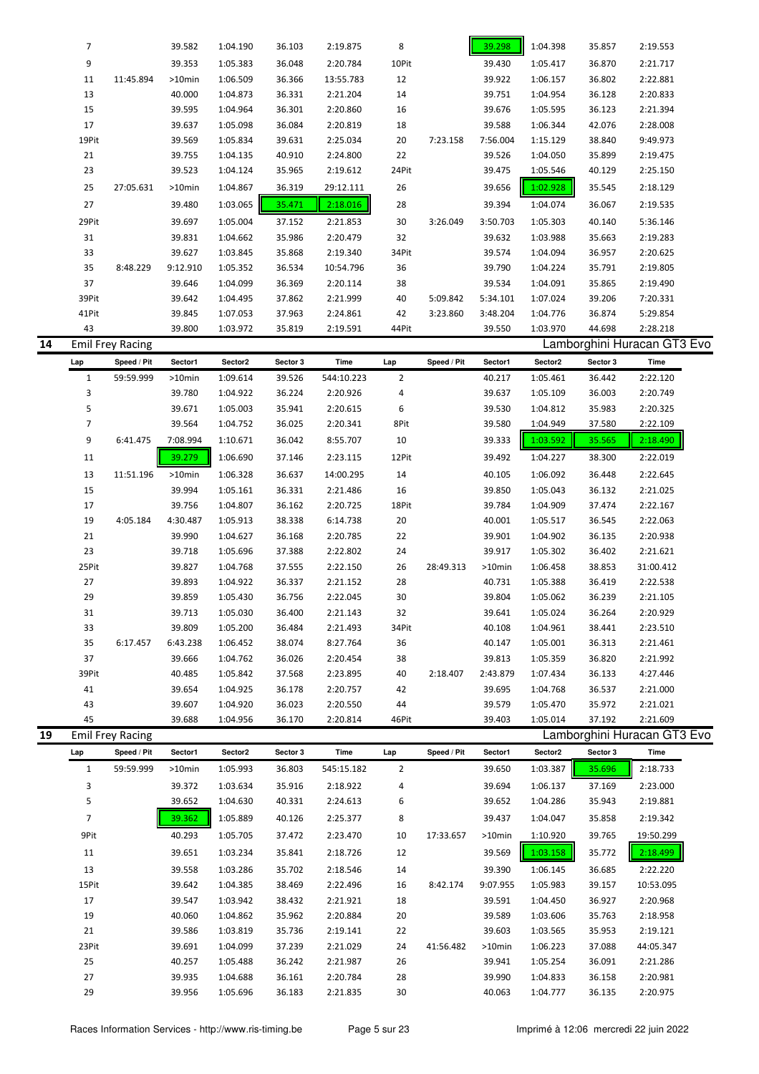|    | $\overline{7}$ |                         | 39.582           | 1:04.190             | 36.103           | 2:19.875             | 8              |             | 39.298           | 1:04.398             | 35.857           | 2:19.553                    |  |
|----|----------------|-------------------------|------------------|----------------------|------------------|----------------------|----------------|-------------|------------------|----------------------|------------------|-----------------------------|--|
|    | 9              |                         | 39.353           | 1:05.383             | 36.048           | 2:20.784             | 10Pit          |             | 39.430           | 1:05.417             | 36.870           | 2:21.717                    |  |
|    | 11             | 11:45.894               | >10min           | 1:06.509             | 36.366           | 13:55.783            | 12             |             | 39.922           | 1:06.157             | 36.802           | 2:22.881                    |  |
|    | 13             |                         | 40.000           | 1:04.873             | 36.331           | 2:21.204             | 14             |             | 39.751           | 1:04.954             | 36.128           | 2:20.833                    |  |
|    | 15             |                         | 39.595           | 1:04.964             | 36.301           | 2:20.860             | 16             |             | 39.676           | 1:05.595             | 36.123           | 2:21.394                    |  |
|    | 17             |                         | 39.637           | 1:05.098             | 36.084           | 2:20.819             | 18             |             | 39.588           | 1:06.344             | 42.076           | 2:28.008                    |  |
|    | 19Pit          |                         | 39.569           | 1:05.834             | 39.631           | 2:25.034             | 20             | 7:23.158    | 7:56.004         | 1:15.129             | 38.840           | 9:49.973                    |  |
|    | 21             |                         | 39.755           | 1:04.135             | 40.910           | 2:24.800             | 22             |             | 39.526           | 1:04.050             | 35.899           | 2:19.475                    |  |
|    | 23             |                         | 39.523           | 1:04.124             | 35.965           | 2:19.612             | 24Pit          |             | 39.475           | 1:05.546             | 40.129           | 2:25.150                    |  |
|    | 25             | 27:05.631               | >10min           | 1:04.867             | 36.319           | 29:12.111            | 26             |             | 39.656           | 1:02.928             | 35.545           | 2:18.129                    |  |
|    |                |                         |                  |                      |                  |                      |                |             |                  |                      |                  |                             |  |
|    | 27             |                         | 39.480           | 1:03.065             | 35.471           | 2:18.016             | 28             |             | 39.394           | 1:04.074             | 36.067           | 2:19.535                    |  |
|    | 29Pit          |                         | 39.697           | 1:05.004             | 37.152           | 2:21.853             | 30             | 3:26.049    | 3:50.703         | 1:05.303             | 40.140           | 5:36.146                    |  |
|    | 31             |                         | 39.831           | 1:04.662             | 35.986           | 2:20.479             | 32             |             | 39.632           | 1:03.988             | 35.663           | 2:19.283                    |  |
|    | 33             |                         | 39.627           | 1:03.845             | 35.868           | 2:19.340             | 34Pit          |             | 39.574           | 1:04.094             | 36.957           | 2:20.625                    |  |
|    | 35             | 8:48.229                | 9:12.910         | 1:05.352             | 36.534           | 10:54.796            | 36             |             | 39.790           | 1:04.224             | 35.791           | 2:19.805                    |  |
|    | 37             |                         | 39.646           | 1:04.099             | 36.369           | 2:20.114             | 38             |             | 39.534           | 1:04.091             | 35.865           | 2:19.490                    |  |
|    | 39Pit          |                         | 39.642           | 1:04.495             | 37.862           | 2:21.999             | 40             | 5:09.842    | 5:34.101         | 1:07.024             | 39.206           | 7:20.331                    |  |
|    | 41Pit          |                         | 39.845           | 1:07.053             | 37.963           | 2:24.861             | 42             | 3:23.860    | 3:48.204         | 1:04.776             | 36.874           | 5:29.854                    |  |
|    | 43             |                         | 39.800           | 1:03.972             | 35.819           | 2:19.591             | 44Pit          |             | 39.550           | 1:03.970             | 44.698           | 2:28.218                    |  |
| 14 |                | Emil Frey Racing        |                  |                      |                  |                      |                |             |                  |                      |                  | Lamborghini Huracan GT3 Evo |  |
|    | Lap            | Speed / Pit             | Sector1          | Sector2              | Sector 3         | <b>Time</b>          | Lap            | Speed / Pit | Sector1          | Sector2              | Sector 3         | Time                        |  |
|    | $\mathbf{1}$   | 59:59.999               | >10min           | 1:09.614             | 39.526           | 544:10.223           | $\overline{2}$ |             | 40.217           | 1:05.461             | 36.442           | 2:22.120                    |  |
|    | 3              |                         | 39.780           | 1:04.922             | 36.224           | 2:20.926             | 4              |             | 39.637           | 1:05.109             | 36.003           | 2:20.749                    |  |
|    | 5              |                         | 39.671           | 1:05.003             | 35.941           | 2:20.615             | 6              |             | 39.530           | 1:04.812             | 35.983           | 2:20.325                    |  |
|    | $\overline{7}$ |                         | 39.564           | 1:04.752             | 36.025           | 2:20.341             | 8Pit           |             | 39.580           | 1:04.949             | 37.580           | 2:22.109                    |  |
|    | 9              | 6:41.475                | 7:08.994         | 1:10.671             | 36.042           | 8:55.707             | 10             |             | 39.333           | 1:03.592             | 35.565           | 2:18.490                    |  |
|    | 11             |                         | 39.279           | 1:06.690             | 37.146           | 2:23.115             | 12Pit          |             | 39.492           | 1:04.227             | 38.300           | 2:22.019                    |  |
|    | 13             | 11:51.196               | $>10$ min        | 1:06.328             | 36.637           | 14:00.295            | 14             |             | 40.105           | 1:06.092             | 36.448           | 2:22.645                    |  |
|    | 15             |                         | 39.994           | 1:05.161             | 36.331           | 2:21.486             | 16             |             | 39.850           | 1:05.043             | 36.132           | 2:21.025                    |  |
|    | 17             |                         | 39.756           | 1:04.807             | 36.162           | 2:20.725             | 18Pit          |             | 39.784           | 1:04.909             | 37.474           | 2:22.167                    |  |
|    | 19             | 4:05.184                | 4:30.487         | 1:05.913             | 38.338           | 6:14.738             | 20             |             | 40.001           | 1:05.517             | 36.545           | 2:22.063                    |  |
|    | 21             |                         | 39.990           | 1:04.627             | 36.168           | 2:20.785             | 22             |             | 39.901           | 1:04.902             | 36.135           | 2:20.938                    |  |
|    | 23             |                         |                  |                      |                  |                      |                |             |                  |                      |                  |                             |  |
|    |                |                         | 39.718           | 1:05.696             | 37.388           | 2:22.802             | 24             |             | 39.917           | 1:05.302             | 36.402           | 2:21.621                    |  |
|    |                |                         |                  |                      |                  |                      |                |             |                  |                      |                  |                             |  |
|    | 25Pit          |                         | 39.827           | 1:04.768             | 37.555           | 2:22.150             | 26             | 28:49.313   | >10min           | 1:06.458             | 38.853           | 31:00.412                   |  |
|    | 27             |                         | 39.893           | 1:04.922             | 36.337           | 2:21.152             | 28             |             | 40.731           | 1:05.388             | 36.419           | 2:22.538                    |  |
|    | 29             |                         | 39.859           | 1:05.430             | 36.756           | 2:22.045             | 30             |             | 39.804           | 1:05.062             | 36.239           | 2:21.105                    |  |
|    | 31             |                         | 39.713           | 1:05.030             | 36.400           | 2:21.143             | 32             |             | 39.641           | 1:05.024             | 36.264           | 2:20.929                    |  |
|    | 33             |                         | 39.809           | 1:05.200             | 36.484           | 2:21.493             | 34Pit          |             | 40.108           | 1:04.961             | 38.441           | 2:23.510                    |  |
|    | 35             | 6:17.457                | 6:43.238         | 1:06.452             | 38.074           | 8:27.764             | 36             |             | 40.147           | 1:05.001             | 36.313           | 2:21.461                    |  |
|    | 37             |                         | 39.666           | 1:04.762             | 36.026           | 2:20.454             | 38             |             | 39.813           | 1:05.359             | 36.820           | 2:21.992                    |  |
|    | 39Pit          |                         | 40.485           | 1:05.842             | 37.568           | 2:23.895             | 40             | 2:18.407    | 2:43.879         | 1:07.434             | 36.133           | 4:27.446                    |  |
|    | 41             |                         | 39.654           | 1:04.925             | 36.178           | 2:20.757             | 42             |             | 39.695           | 1:04.768             | 36.537           | 2:21.000                    |  |
|    | 43             |                         | 39.607           | 1:04.920             | 36.023           | 2:20.550             | 44             |             | 39.579           | 1:05.470             | 35.972           | 2:21.021                    |  |
|    | 45             |                         | 39.688           | 1:04.956             | 36.170           | 2:20.814             | 46Pit          |             | 39.403           | 1:05.014             | 37.192           | 2:21.609                    |  |
| 19 |                | <b>Emil Frey Racing</b> |                  |                      |                  |                      |                |             |                  |                      |                  | Lamborghini Huracan GT3 Evo |  |
|    | Lap            | Speed / Pit             | Sector1          | Sector2              | Sector 3         | Time                 | Lap            | Speed / Pit | Sector1          | Sector2              | Sector 3         | Time                        |  |
|    | $\mathbf{1}$   | 59:59.999               | >10min           | 1:05.993             | 36.803           | 545:15.182           | $\overline{2}$ |             | 39.650           | 1:03.387             | 35.696           | 2:18.733                    |  |
|    | 3              |                         | 39.372           | 1:03.634             | 35.916           | 2:18.922             | 4              |             | 39.694           | 1:06.137             | 37.169           | 2:23.000                    |  |
|    | 5              |                         | 39.652           | 1:04.630             | 40.331           | 2:24.613             | 6              |             | 39.652           | 1:04.286             | 35.943           | 2:19.881                    |  |
|    | $\overline{7}$ |                         | 39.362           | 1:05.889             | 40.126           | 2:25.377             | 8              |             | 39.437           | 1:04.047             | 35.858           | 2:19.342                    |  |
|    | 9Pit           |                         | 40.293           | 1:05.705             | 37.472           | 2:23.470             | 10             | 17:33.657   | >10min           | 1:10.920             | 39.765           | 19:50.299                   |  |
|    | 11             |                         | 39.651           | 1:03.234             | 35.841           | 2:18.726             | 12             |             | 39.569           | 1:03.158             | 35.772           | 2:18.499                    |  |
|    |                |                         |                  |                      |                  |                      |                |             |                  |                      |                  |                             |  |
|    | 13             |                         | 39.558           | 1:03.286             | 35.702           | 2:18.546             | 14             |             | 39.390           | 1:06.145             | 36.685           | 2:22.220                    |  |
|    | 15Pit          |                         | 39.642           | 1:04.385             | 38.469           | 2:22.496             | 16             | 8:42.174    | 9:07.955         | 1:05.983             | 39.157           | 10:53.095                   |  |
|    | 17             |                         | 39.547           | 1:03.942             | 38.432           | 2:21.921             | 18             |             | 39.591           | 1:04.450             | 36.927           | 2:20.968                    |  |
|    | 19             |                         | 40.060           | 1:04.862             | 35.962           | 2:20.884             | 20             |             | 39.589           | 1:03.606             | 35.763           | 2:18.958                    |  |
|    | 21             |                         | 39.586           | 1:03.819             | 35.736           | 2:19.141             | 22             |             | 39.603           | 1:03.565             | 35.953           | 2:19.121                    |  |
|    | 23Pit          |                         | 39.691           | 1:04.099             | 37.239           | 2:21.029             | 24             | 41:56.482   | >10min           | 1:06.223             | 37.088           | 44:05.347                   |  |
|    | 25             |                         | 40.257           | 1:05.488             | 36.242           | 2:21.987             | 26             |             | 39.941           | 1:05.254             | 36.091           | 2:21.286                    |  |
|    | 27<br>29       |                         | 39.935<br>39.956 | 1:04.688<br>1:05.696 | 36.161<br>36.183 | 2:20.784<br>2:21.835 | 28<br>30       |             | 39.990<br>40.063 | 1:04.833<br>1:04.777 | 36.158<br>36.135 | 2:20.981<br>2:20.975        |  |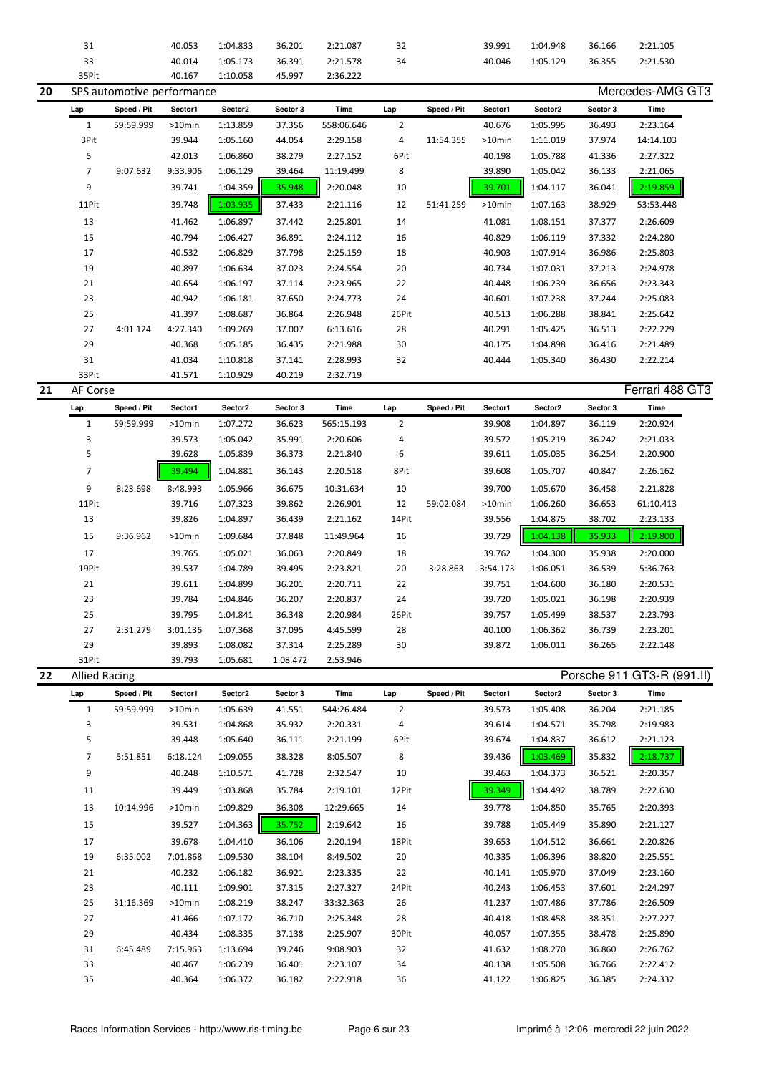|    | 31                   |                            | 40.053           | 1:04.833             | 36.201           | 2:21.087             | 32             |             | 39.991           | 1:04.948             | 36.166           | 2:21.105                   |
|----|----------------------|----------------------------|------------------|----------------------|------------------|----------------------|----------------|-------------|------------------|----------------------|------------------|----------------------------|
|    |                      |                            |                  |                      |                  |                      |                |             |                  |                      |                  |                            |
|    | 33                   |                            | 40.014           | 1:05.173             | 36.391           | 2:21.578             | 34             |             | 40.046           | 1:05.129             | 36.355           | 2:21.530                   |
|    | 35Pit                |                            | 40.167           | 1:10.058             | 45.997           | 2:36.222             |                |             |                  |                      |                  |                            |
| 20 |                      | SPS automotive performance |                  |                      |                  |                      |                |             |                  |                      |                  | Mercedes-AMG GT3           |
|    | Lap                  | Speed / Pit                | Sector1          | Sector2              | Sector 3         | Time                 | Lap            | Speed / Pit | Sector1          | Sector2              | Sector 3         | Time                       |
|    | $\mathbf{1}$         | 59:59.999                  | $>10$ min        | 1:13.859             | 37.356           | 558:06.646           | 2              |             | 40.676           | 1:05.995             | 36.493           | 2:23.164                   |
|    |                      |                            |                  |                      |                  |                      |                |             |                  |                      |                  |                            |
|    | 3Pit                 |                            | 39.944           | 1:05.160             | 44.054           | 2:29.158             | 4              | 11:54.355   | >10min           | 1:11.019             | 37.974           | 14:14.103                  |
|    | 5                    |                            | 42.013           | 1:06.860             | 38.279           | 2:27.152             | 6Pit           |             | 40.198           | 1:05.788             | 41.336           | 2:27.322                   |
|    | $\overline{7}$       | 9:07.632                   | 9:33.906         | 1:06.129             | 39.464           | 11:19.499            | 8              |             | 39.890           | 1:05.042             | 36.133           | 2:21.065                   |
|    | 9                    |                            | 39.741           | 1:04.359             | 35.948           | 2:20.048             | 10             |             | 39.701           | 1:04.117             | 36.041           | 2:19.859                   |
|    |                      |                            |                  |                      |                  |                      |                |             |                  |                      |                  |                            |
|    | 11Pit                |                            | 39.748           | 1:03.935             | 37.433           | 2:21.116             | 12             | 51:41.259   | $>10$ min        | 1:07.163             | 38.929           | 53:53.448                  |
|    | 13                   |                            | 41.462           | 1:06.897             | 37.442           | 2:25.801             | 14             |             | 41.081           | 1:08.151             | 37.377           | 2:26.609                   |
|    | 15                   |                            | 40.794           | 1:06.427             | 36.891           | 2:24.112             | 16             |             | 40.829           | 1:06.119             | 37.332           | 2:24.280                   |
|    | 17                   |                            | 40.532           | 1:06.829             | 37.798           | 2:25.159             | 18             |             | 40.903           | 1:07.914             | 36.986           | 2:25.803                   |
|    |                      |                            |                  |                      |                  |                      |                |             |                  |                      |                  |                            |
|    | 19                   |                            | 40.897           | 1:06.634             | 37.023           | 2:24.554             | 20             |             | 40.734           | 1:07.031             | 37.213           | 2:24.978                   |
|    | 21                   |                            | 40.654           | 1:06.197             | 37.114           | 2:23.965             | 22             |             | 40.448           | 1:06.239             | 36.656           | 2:23.343                   |
|    | 23                   |                            | 40.942           | 1:06.181             | 37.650           | 2:24.773             | 24             |             | 40.601           | 1:07.238             | 37.244           | 2:25.083                   |
|    | 25                   |                            | 41.397           | 1:08.687             | 36.864           | 2:26.948             | 26Pit          |             | 40.513           | 1:06.288             | 38.841           | 2:25.642                   |
|    | 27                   | 4:01.124                   | 4:27.340         | 1:09.269             | 37.007           | 6:13.616             | 28             |             | 40.291           | 1:05.425             | 36.513           | 2:22.229                   |
|    |                      |                            |                  |                      |                  |                      |                |             |                  |                      |                  |                            |
|    | 29                   |                            | 40.368           | 1:05.185             | 36.435           | 2:21.988             | 30             |             | 40.175           | 1:04.898             | 36.416           | 2:21.489                   |
|    | 31                   |                            | 41.034           | 1:10.818             | 37.141           | 2:28.993             | 32             |             | 40.444           | 1:05.340             | 36.430           | 2:22.214                   |
|    | 33Pit                |                            | 41.571           | 1:10.929             | 40.219           | 2:32.719             |                |             |                  |                      |                  |                            |
| 21 | AF Corse             |                            |                  |                      |                  |                      |                |             |                  |                      |                  | Ferrari 488 GT3            |
|    | Lap                  | Speed / Pit                | Sector1          | Sector2              | Sector 3         | Time                 | Lap            | Speed / Pit | Sector1          | Sector2              | Sector 3         | Time                       |
|    |                      |                            |                  |                      |                  |                      | $\overline{2}$ |             |                  |                      |                  |                            |
|    | $\mathbf{1}$         | 59:59.999                  | >10min           | 1:07.272             | 36.623           | 565:15.193           |                |             | 39.908           | 1:04.897             | 36.119           | 2:20.924                   |
|    | 3                    |                            | 39.573           | 1:05.042             | 35.991           | 2:20.606             | 4              |             | 39.572           | 1:05.219             | 36.242           | 2:21.033                   |
|    | 5                    |                            | 39.628           | 1:05.839             | 36.373           | 2:21.840             | 6              |             | 39.611           | 1:05.035             | 36.254           | 2:20.900                   |
|    | $\overline{7}$       |                            | 39.494           | 1:04.881             | 36.143           | 2:20.518             | 8Pit           |             | 39.608           | 1:05.707             | 40.847           | 2:26.162                   |
|    | 9                    | 8:23.698                   | 8:48.993         | 1:05.966             | 36.675           | 10:31.634            | 10             |             | 39.700           | 1:05.670             |                  | 2:21.828                   |
|    |                      |                            |                  |                      |                  |                      |                |             |                  |                      | 36.458           |                            |
|    | 11Pit                |                            | 39.716           | 1:07.323             | 39.862           | 2:26.901             | 12             | 59:02.084   | >10min           | 1:06.260             | 36.653           | 61:10.413                  |
|    |                      |                            |                  |                      |                  |                      |                |             |                  |                      |                  |                            |
|    | 13                   |                            | 39.826           | 1:04.897             | 36.439           | 2:21.162             | 14Pit          |             | 39.556           | 1:04.875             | 38.702           | 2:23.133                   |
|    | 15                   | 9:36.962                   | >10min           | 1:09.684             | 37.848           | 11:49.964            | 16             |             | 39.729           | 1:04.138             | 35.933           | 2:19.800                   |
|    |                      |                            |                  |                      |                  |                      |                |             |                  |                      |                  |                            |
|    | 17                   |                            | 39.765           | 1:05.021             | 36.063           | 2:20.849             | 18             |             | 39.762           | 1:04.300             | 35.938           | 2:20.000                   |
|    | 19Pit                |                            | 39.537           | 1:04.789             | 39.495           | 2:23.821             | 20             | 3:28.863    | 3:54.173         | 1:06.051             | 36.539           | 5:36.763                   |
|    | 21                   |                            | 39.611           | 1:04.899             | 36.201           | 2:20.711             | 22             |             | 39.751           | 1:04.600             | 36.180           | 2:20.531                   |
|    | 23                   |                            | 39.784           | 1:04.846             | 36.207           | 2:20.837             | 24             |             | 39.720           | 1:05.021             | 36.198           | 2:20.939                   |
|    | 25                   |                            | 39.795           | 1:04.841             | 36.348           | 2:20.984             | 26Pit          |             | 39.757           | 1:05.499             | 38.537           | 2:23.793                   |
|    |                      | 2:31.279                   |                  |                      |                  |                      |                |             |                  |                      |                  |                            |
|    | 27                   |                            | 3:01.136         | 1:07.368             | 37.095           | 4:45.599             | 28             |             | 40.100           | 1:06.362             | 36.739           | 2:23.201                   |
|    | 29                   |                            | 39.893           | 1:08.082             | 37.314           | 2:25.289             | 30             |             | 39.872           | 1:06.011             | 36.265           | 2:22.148                   |
|    | 31Pit                |                            | 39.793           | 1:05.681             | 1:08.472         | 2:53.946             |                |             |                  |                      |                  |                            |
| 22 | <b>Allied Racing</b> |                            |                  |                      |                  |                      |                |             |                  |                      |                  | Porsche 911 GT3-R (991.II) |
|    | Lap                  | Speed / Pit                | Sector1          | Sector2              | Sector 3         | Time                 | Lap            | Speed / Pit | Sector1          | Sector2              | Sector 3         | Time                       |
|    | $\mathbf{1}$         | 59:59.999                  | >10min           | 1:05.639             | 41.551           | 544:26.484           | $\overline{2}$ |             | 39.573           | 1:05.408             | 36.204           | 2:21.185                   |
|    |                      |                            |                  |                      |                  |                      |                |             |                  |                      |                  |                            |
|    | 3                    |                            | 39.531           | 1:04.868             | 35.932           | 2:20.331             | 4              |             | 39.614           | 1:04.571             | 35.798           | 2:19.983                   |
|    | 5                    |                            | 39.448           | 1:05.640             | 36.111           | 2:21.199             | 6Pit           |             | 39.674           | 1:04.837             | 36.612           | 2:21.123                   |
|    | 7                    | 5:51.851                   | 6:18.124         | 1:09.055             | 38.328           | 8:05.507             | 8              |             | 39.436           | 1:03.469             | 35.832           | 2:18.737                   |
|    | 9                    |                            | 40.248           | 1:10.571             | 41.728           | 2:32.547             | 10             |             | 39.463           | 1:04.373             | 36.521           | 2:20.357                   |
|    |                      |                            |                  |                      |                  |                      |                |             |                  |                      |                  |                            |
|    | 11                   |                            | 39.449           | 1:03.868             | 35.784           | 2:19.101             | 12Pit          |             | 39.349           | 1:04.492             | 38.789           | 2:22.630                   |
|    | 13                   | 10:14.996                  | >10min           | 1:09.829             | 36.308           | 12:29.665            | 14             |             | 39.778           | 1:04.850             | 35.765           | 2:20.393                   |
|    | 15                   |                            | 39.527           | 1:04.363             | 35.752           | 2:19.642             | 16             |             | 39.788           | 1:05.449             | 35.890           | 2:21.127                   |
|    |                      |                            |                  |                      |                  | 2:20.194             | 18Pit          |             |                  |                      |                  | 2:20.826                   |
|    | 17                   |                            | 39.678           | 1:04.410             | 36.106           |                      |                |             | 39.653           | 1:04.512             | 36.661           |                            |
|    | 19                   | 6:35.002                   | 7:01.868         | 1:09.530             | 38.104           | 8:49.502             | 20             |             | 40.335           | 1:06.396             | 38.820           | 2:25.551                   |
|    | 21                   |                            | 40.232           | 1:06.182             | 36.921           | 2:23.335             | 22             |             | 40.141           | 1:05.970             | 37.049           | 2:23.160                   |
|    | 23                   |                            | 40.111           | 1:09.901             | 37.315           | 2:27.327             | 24Pit          |             | 40.243           | 1:06.453             | 37.601           | 2:24.297                   |
|    | 25                   | 31:16.369                  | >10min           | 1:08.219             | 38.247           | 33:32.363            | 26             |             | 41.237           | 1:07.486             | 37.786           | 2:26.509                   |
|    | 27                   |                            | 41.466           | 1:07.172             | 36.710           | 2:25.348             | 28             |             | 40.418           | 1:08.458             | 38.351           | 2:27.227                   |
|    |                      |                            |                  |                      |                  |                      |                |             |                  |                      |                  |                            |
|    | 29                   |                            | 40.434           | 1:08.335             | 37.138           | 2:25.907             | 30Pit          |             | 40.057           | 1:07.355             | 38.478           | 2:25.890                   |
|    | 31                   | 6:45.489                   | 7:15.963         | 1:13.694             | 39.246           | 9:08.903             | 32             |             | 41.632           | 1:08.270             | 36.860           | 2:26.762                   |
|    | 33<br>35             |                            | 40.467<br>40.364 | 1:06.239<br>1:06.372 | 36.401<br>36.182 | 2:23.107<br>2:22.918 | 34<br>36       |             | 40.138<br>41.122 | 1:05.508<br>1:06.825 | 36.766<br>36.385 | 2:22.412<br>2:24.332       |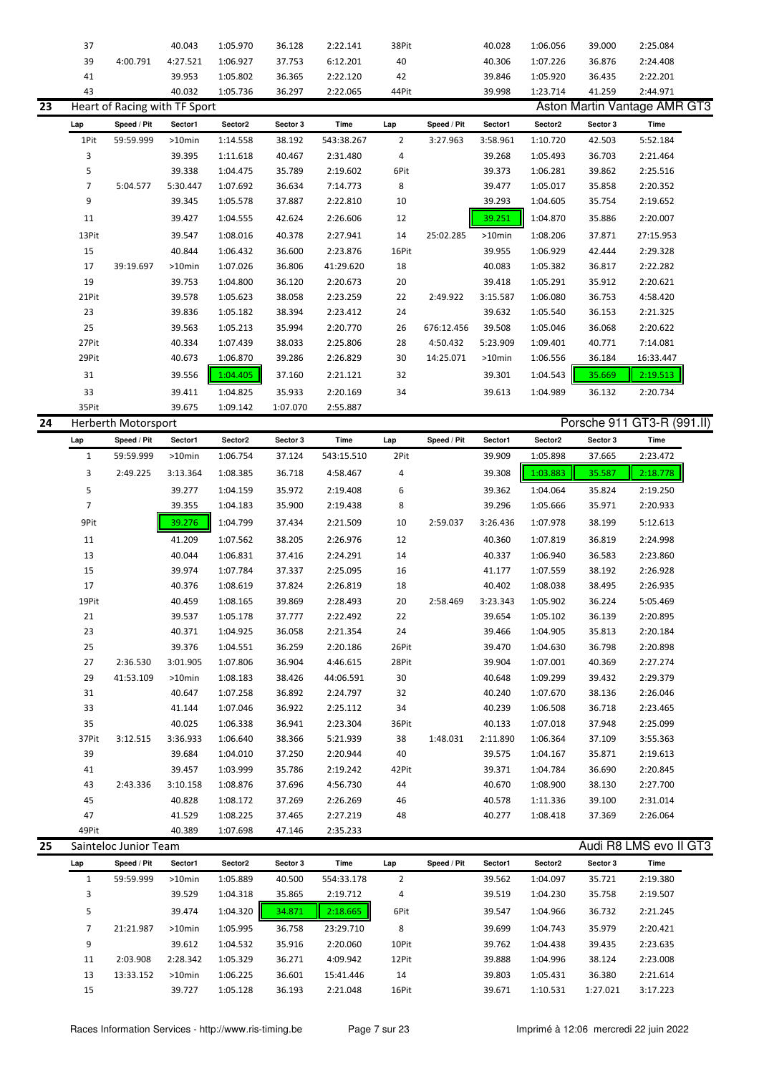|    | 37             |                               | 40.043    | 1:05.970 | 36.128   | 2:22.141   | 38Pit          |             | 40.028    | 1:06.056 | 39.000   | 2:25.084                     |  |
|----|----------------|-------------------------------|-----------|----------|----------|------------|----------------|-------------|-----------|----------|----------|------------------------------|--|
|    | 39             | 4:00.791                      | 4:27.521  | 1:06.927 | 37.753   | 6:12.201   | 40             |             | 40.306    | 1:07.226 | 36.876   | 2:24.408                     |  |
|    | 41             |                               | 39.953    | 1:05.802 | 36.365   | 2:22.120   | 42             |             | 39.846    | 1:05.920 | 36.435   | 2:22.201                     |  |
|    | 43             |                               | 40.032    | 1:05.736 | 36.297   | 2:22.065   | 44Pit          |             | 39.998    | 1:23.714 | 41.259   | 2:44.971                     |  |
| 23 |                | Heart of Racing with TF Sport |           |          |          |            |                |             |           |          |          | Aston Martin Vantage AMR GT3 |  |
|    | Lap            | Speed / Pit                   | Sector1   | Sector2  | Sector 3 | Time       | Lap            | Speed / Pit | Sector1   | Sector2  | Sector 3 | Time                         |  |
|    | 1Pit           | 59:59.999                     | $>10$ min | 1:14.558 | 38.192   | 543:38.267 | $\overline{2}$ | 3:27.963    | 3:58.961  | 1:10.720 | 42.503   | 5:52.184                     |  |
|    | 3              |                               | 39.395    | 1:11.618 | 40.467   | 2:31.480   | 4              |             | 39.268    | 1:05.493 | 36.703   | 2:21.464                     |  |
|    | 5              |                               | 39.338    | 1:04.475 | 35.789   | 2:19.602   | 6Pit           |             | 39.373    | 1:06.281 | 39.862   | 2:25.516                     |  |
|    | $\overline{7}$ | 5:04.577                      | 5:30.447  | 1:07.692 | 36.634   | 7:14.773   | 8              |             | 39.477    | 1:05.017 | 35.858   | 2:20.352                     |  |
|    | 9              |                               | 39.345    | 1:05.578 | 37.887   | 2:22.810   | 10             |             | 39.293    | 1:04.605 | 35.754   | 2:19.652                     |  |
|    | 11             |                               | 39.427    | 1:04.555 | 42.624   | 2:26.606   | 12             |             | 39.251    | 1:04.870 | 35.886   | 2:20.007                     |  |
|    | 13Pit          |                               | 39.547    | 1:08.016 | 40.378   | 2:27.941   | 14             | 25:02.285   | $>10$ min | 1:08.206 | 37.871   | 27:15.953                    |  |
|    | 15             |                               | 40.844    | 1:06.432 | 36.600   | 2:23.876   | 16Pit          |             | 39.955    | 1:06.929 | 42.444   | 2:29.328                     |  |
|    | 17             | 39:19.697                     | $>10$ min | 1:07.026 | 36.806   | 41:29.620  | 18             |             | 40.083    | 1:05.382 | 36.817   | 2:22.282                     |  |
|    | 19             |                               | 39.753    | 1:04.800 | 36.120   | 2:20.673   | 20             |             | 39.418    | 1:05.291 | 35.912   | 2:20.621                     |  |
|    | 21Pit          |                               | 39.578    | 1:05.623 | 38.058   | 2:23.259   | 22             | 2:49.922    | 3:15.587  | 1:06.080 | 36.753   | 4:58.420                     |  |
|    | 23             |                               | 39.836    | 1:05.182 | 38.394   | 2:23.412   | 24             |             | 39.632    | 1:05.540 | 36.153   | 2:21.325                     |  |
|    | 25             |                               | 39.563    | 1:05.213 | 35.994   | 2:20.770   | 26             | 676:12.456  | 39.508    | 1:05.046 | 36.068   | 2:20.622                     |  |
|    | 27Pit          |                               | 40.334    | 1:07.439 | 38.033   | 2:25.806   | 28             | 4:50.432    | 5:23.909  | 1:09.401 | 40.771   | 7:14.081                     |  |
|    | 29Pit          |                               | 40.673    | 1:06.870 | 39.286   | 2:26.829   | 30             | 14:25.071   | $>10$ min | 1:06.556 | 36.184   | 16:33.447                    |  |
|    | 31             |                               | 39.556    | 1:04.405 | 37.160   | 2:21.121   | 32             |             | 39.301    | 1:04.543 | 35.669   | 2:19.513                     |  |
|    | 33             |                               | 39.411    | 1:04.825 | 35.933   | 2:20.169   | 34             |             | 39.613    | 1:04.989 | 36.132   | 2:20.734                     |  |
|    | 35Pit          |                               | 39.675    | 1:09.142 | 1:07.070 | 2:55.887   |                |             |           |          |          |                              |  |
| 24 |                | <b>Herberth Motorsport</b>    |           |          |          |            |                |             |           |          |          | Porsche 911 GT3-R (991.II)   |  |

|    | Lap            | Speed / Pit           | Sector1   | Sector2  | Sector 3 | Time       | Lap   | Speed / Pit | Sector1  | Sector2  | Sector 3 | Time                   |
|----|----------------|-----------------------|-----------|----------|----------|------------|-------|-------------|----------|----------|----------|------------------------|
|    | $\mathbf{1}$   | 59:59.999             | $>10$ min | 1:06.754 | 37.124   | 543:15.510 | 2Pit  |             | 39.909   | 1:05.898 | 37.665   | 2:23.472               |
|    | 3              | 2:49.225              | 3:13.364  | 1:08.385 | 36.718   | 4:58.467   | 4     |             | 39.308   | 1:03.883 | 35.587   | 2:18.778               |
|    | 5              |                       | 39.277    | 1:04.159 | 35.972   | 2:19.408   | 6     |             | 39.362   | 1:04.064 | 35.824   | 2:19.250               |
|    | $\overline{7}$ |                       | 39.355    | 1:04.183 | 35.900   | 2:19.438   | 8     |             | 39.296   | 1:05.666 | 35.971   | 2:20.933               |
|    | 9Pit           |                       | 39.276    | 1:04.799 | 37.434   | 2:21.509   | 10    | 2:59.037    | 3:26.436 | 1:07.978 | 38.199   | 5:12.613               |
|    | 11             |                       | 41.209    | 1:07.562 | 38.205   | 2:26.976   | 12    |             | 40.360   | 1:07.819 | 36.819   | 2:24.998               |
|    | 13             |                       | 40.044    | 1:06.831 | 37.416   | 2:24.291   | 14    |             | 40.337   | 1:06.940 | 36.583   | 2:23.860               |
|    | 15             |                       | 39.974    | 1:07.784 | 37.337   | 2:25.095   | 16    |             | 41.177   | 1:07.559 | 38.192   | 2:26.928               |
|    | 17             |                       | 40.376    | 1:08.619 | 37.824   | 2:26.819   | 18    |             | 40.402   | 1:08.038 | 38.495   | 2:26.935               |
|    | 19Pit          |                       | 40.459    | 1:08.165 | 39.869   | 2:28.493   | 20    | 2:58.469    | 3:23.343 | 1:05.902 | 36.224   | 5:05.469               |
|    | 21             |                       | 39.537    | 1:05.178 | 37.777   | 2:22.492   | 22    |             | 39.654   | 1:05.102 | 36.139   | 2:20.895               |
|    | 23             |                       | 40.371    | 1:04.925 | 36.058   | 2:21.354   | 24    |             | 39.466   | 1:04.905 | 35.813   | 2:20.184               |
|    | 25             |                       | 39.376    | 1:04.551 | 36.259   | 2:20.186   | 26Pit |             | 39.470   | 1:04.630 | 36.798   | 2:20.898               |
|    | 27             | 2:36.530              | 3:01.905  | 1:07.806 | 36.904   | 4:46.615   | 28Pit |             | 39.904   | 1:07.001 | 40.369   | 2:27.274               |
|    | 29             | 41:53.109             | $>10$ min | 1:08.183 | 38.426   | 44:06.591  | 30    |             | 40.648   | 1:09.299 | 39.432   | 2:29.379               |
|    | 31             |                       | 40.647    | 1:07.258 | 36.892   | 2:24.797   | 32    |             | 40.240   | 1:07.670 | 38.136   | 2:26.046               |
|    | 33             |                       | 41.144    | 1:07.046 | 36.922   | 2:25.112   | 34    |             | 40.239   | 1:06.508 | 36.718   | 2:23.465               |
|    | 35             |                       | 40.025    | 1:06.338 | 36.941   | 2:23.304   | 36Pit |             | 40.133   | 1:07.018 | 37.948   | 2:25.099               |
|    | 37Pit          | 3:12.515              | 3:36.933  | 1:06.640 | 38.366   | 5:21.939   | 38    | 1:48.031    | 2:11.890 | 1:06.364 | 37.109   | 3:55.363               |
|    | 39             |                       | 39.684    | 1:04.010 | 37.250   | 2:20.944   | 40    |             | 39.575   | 1:04.167 | 35.871   | 2:19.613               |
|    | 41             |                       | 39.457    | 1:03.999 | 35.786   | 2:19.242   | 42Pit |             | 39.371   | 1:04.784 | 36.690   | 2:20.845               |
|    | 43             | 2:43.336              | 3:10.158  | 1:08.876 | 37.696   | 4:56.730   | 44    |             | 40.670   | 1:08.900 | 38.130   | 2:27.700               |
|    | 45             |                       | 40.828    | 1:08.172 | 37.269   | 2:26.269   | 46    |             | 40.578   | 1:11.336 | 39.100   | 2:31.014               |
|    | 47             |                       | 41.529    | 1:08.225 | 37.465   | 2:27.219   | 48    |             | 40.277   | 1:08.418 | 37.369   | 2:26.064               |
|    | 49Pit          |                       | 40.389    | 1:07.698 | 47.146   | 2:35.233   |       |             |          |          |          |                        |
| 25 |                | Sainteloc Junior Team |           |          |          |            |       |             |          |          |          | Audi R8 LMS evo II GT3 |

| Lap | Speed / Pit | Sector1   | Sector2  | Sector 3 | Time       | Lap   | Speed / Pit | Sector1 | Sector <sub>2</sub> | Sector 3 | Time     |  |
|-----|-------------|-----------|----------|----------|------------|-------|-------------|---------|---------------------|----------|----------|--|
|     | 59:59.999   | $>10$ min | 1:05.889 | 40.500   | 554:33.178 | 2     |             | 39.562  | 1:04.097            | 35.721   | 2:19.380 |  |
| 3   |             | 39.529    | 1:04.318 | 35.865   | 2:19.712   | 4     |             | 39.519  | 1:04.230            | 35.758   | 2:19.507 |  |
| 5   |             | 39.474    | 1:04.320 | 34.871   | 2:18.665   | 6Pit  |             | 39.547  | 1:04.966            | 36.732   | 2:21.245 |  |
|     | 21:21.987   | $>10$ min | 1:05.995 | 36.758   | 23:29.710  | 8     |             | 39.699  | 1:04.743            | 35.979   | 2:20.421 |  |
| 9   |             | 39.612    | 1:04.532 | 35.916   | 2:20.060   | 10Pit |             | 39.762  | 1:04.438            | 39.435   | 2:23.635 |  |
| 11  | 2:03.908    | 2:28.342  | 1:05.329 | 36.271   | 4:09.942   | 12Pit |             | 39.888  | 1:04.996            | 38.124   | 2:23.008 |  |
| 13  | 13:33.152   | $>10$ min | 1:06.225 | 36.601   | 15:41.446  | 14    |             | 39.803  | 1:05.431            | 36.380   | 2:21.614 |  |
| 15  |             | 39.727    | 1:05.128 | 36.193   | 2:21.048   | 16Pit |             | 39.671  | 1:10.531            | 1:27.021 | 3:17.223 |  |
|     |             |           |          |          |            |       |             |         |                     |          |          |  |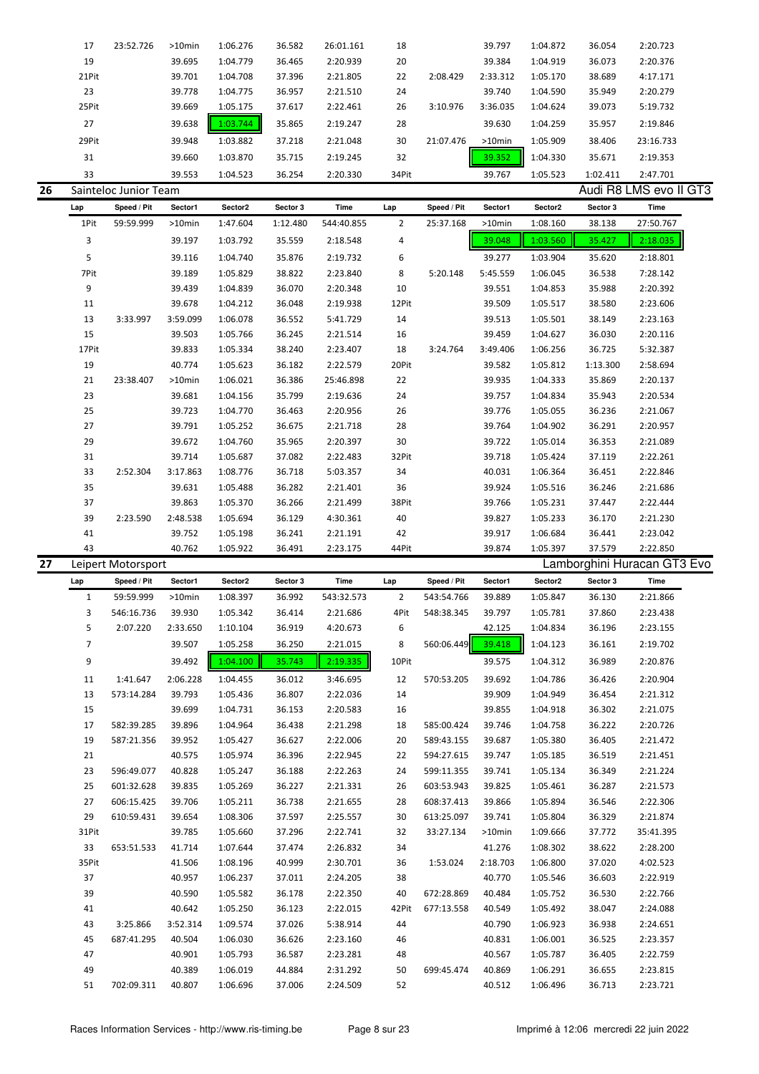| 17           | 23:52.726                             | >10min                   | 1:06.276                                                                           | 36.582                                                              | 26:01.161                                                              | 18                                                                             |                                                 | 39.797                                | 1:04.872                                                  | 36.054                                                                                                | 2:20.723                                                                                         |
|--------------|---------------------------------------|--------------------------|------------------------------------------------------------------------------------|---------------------------------------------------------------------|------------------------------------------------------------------------|--------------------------------------------------------------------------------|-------------------------------------------------|---------------------------------------|-----------------------------------------------------------|-------------------------------------------------------------------------------------------------------|--------------------------------------------------------------------------------------------------|
| 19           |                                       | 39.695                   | 1:04.779                                                                           | 36.465                                                              | 2:20.939                                                               | 20                                                                             |                                                 | 39.384                                | 1:04.919                                                  | 36.073                                                                                                | 2:20.376                                                                                         |
| 21Pit        |                                       | 39.701                   | 1:04.708                                                                           | 37.396                                                              | 2:21.805                                                               | 22                                                                             | 2:08.429                                        | 2:33.312                              | 1:05.170                                                  | 38.689                                                                                                | 4:17.171                                                                                         |
| 23           |                                       | 39.778                   | 1:04.775                                                                           | 36.957                                                              | 2:21.510                                                               | 24                                                                             |                                                 | 39.740                                | 1:04.590                                                  | 35.949                                                                                                | 2:20.279                                                                                         |
| 25Pit        |                                       | 39.669                   | 1:05.175                                                                           | 37.617                                                              | 2:22.461                                                               | 26                                                                             | 3:10.976                                        | 3:36.035                              | 1:04.624                                                  | 39.073                                                                                                | 5:19.732                                                                                         |
| 27           |                                       | 39.638                   | 1:03.744                                                                           |                                                                     |                                                                        | 28                                                                             |                                                 | 39.630                                |                                                           |                                                                                                       | 2:19.846                                                                                         |
|              |                                       |                          |                                                                                    |                                                                     |                                                                        |                                                                                |                                                 |                                       |                                                           |                                                                                                       | 23:16.733                                                                                        |
|              |                                       |                          |                                                                                    |                                                                     |                                                                        |                                                                                |                                                 |                                       |                                                           |                                                                                                       | 2:19.353                                                                                         |
|              |                                       |                          |                                                                                    |                                                                     |                                                                        |                                                                                |                                                 |                                       |                                                           |                                                                                                       |                                                                                                  |
|              |                                       |                          |                                                                                    |                                                                     |                                                                        |                                                                                |                                                 |                                       |                                                           |                                                                                                       | 2:47.701                                                                                         |
|              |                                       |                          |                                                                                    |                                                                     |                                                                        |                                                                                |                                                 |                                       |                                                           |                                                                                                       |                                                                                                  |
|              |                                       |                          |                                                                                    |                                                                     |                                                                        |                                                                                |                                                 |                                       |                                                           |                                                                                                       | Time                                                                                             |
|              |                                       |                          |                                                                                    |                                                                     |                                                                        |                                                                                |                                                 |                                       |                                                           |                                                                                                       | 27:50.767                                                                                        |
|              |                                       |                          |                                                                                    |                                                                     |                                                                        |                                                                                |                                                 |                                       |                                                           |                                                                                                       | 2:18.035                                                                                         |
| 5            |                                       | 39.116                   | 1:04.740                                                                           | 35.876                                                              | 2:19.732                                                               | 6                                                                              |                                                 | 39.277                                | 1:03.904                                                  | 35.620                                                                                                | 2:18.801                                                                                         |
| 7Pit         |                                       | 39.189                   | 1:05.829                                                                           | 38.822                                                              | 2:23.840                                                               | 8                                                                              | 5:20.148                                        | 5:45.559                              | 1:06.045                                                  | 36.538                                                                                                | 7:28.142                                                                                         |
| 9            |                                       | 39.439                   | 1:04.839                                                                           | 36.070                                                              | 2:20.348                                                               | 10                                                                             |                                                 | 39.551                                | 1:04.853                                                  | 35.988                                                                                                | 2:20.392                                                                                         |
| 11           |                                       | 39.678                   | 1:04.212                                                                           | 36.048                                                              | 2:19.938                                                               | 12Pit                                                                          |                                                 | 39.509                                | 1:05.517                                                  | 38.580                                                                                                | 2:23.606                                                                                         |
| 13           | 3:33.997                              | 3:59.099                 | 1:06.078                                                                           | 36.552                                                              | 5:41.729                                                               | 14                                                                             |                                                 | 39.513                                | 1:05.501                                                  | 38.149                                                                                                | 2:23.163                                                                                         |
| 15           |                                       | 39.503                   | 1:05.766                                                                           | 36.245                                                              | 2:21.514                                                               | 16                                                                             |                                                 | 39.459                                | 1:04.627                                                  | 36.030                                                                                                | 2:20.116                                                                                         |
| 17Pit        |                                       | 39.833                   | 1:05.334                                                                           | 38.240                                                              | 2:23.407                                                               | 18                                                                             | 3:24.764                                        | 3:49.406                              | 1:06.256                                                  | 36.725                                                                                                | 5:32.387                                                                                         |
| 19           |                                       | 40.774                   | 1:05.623                                                                           | 36.182                                                              | 2:22.579                                                               | 20Pit                                                                          |                                                 | 39.582                                | 1:05.812                                                  | 1:13.300                                                                                              | 2:58.694                                                                                         |
| 21           | 23:38.407                             | $>10$ min                | 1:06.021                                                                           | 36.386                                                              | 25:46.898                                                              | 22                                                                             |                                                 | 39.935                                | 1:04.333                                                  | 35.869                                                                                                | 2:20.137                                                                                         |
| 23           |                                       | 39.681                   | 1:04.156                                                                           | 35.799                                                              | 2:19.636                                                               | 24                                                                             |                                                 | 39.757                                | 1:04.834                                                  | 35.943                                                                                                | 2:20.534                                                                                         |
| 25           |                                       | 39.723                   | 1:04.770                                                                           | 36.463                                                              | 2:20.956                                                               | 26                                                                             |                                                 | 39.776                                | 1:05.055                                                  | 36.236                                                                                                | 2:21.067                                                                                         |
| 27           |                                       | 39.791                   | 1:05.252                                                                           | 36.675                                                              | 2:21.718                                                               | 28                                                                             |                                                 |                                       |                                                           | 36.291                                                                                                | 2:20.957                                                                                         |
|              |                                       |                          |                                                                                    |                                                                     |                                                                        |                                                                                |                                                 |                                       |                                                           |                                                                                                       |                                                                                                  |
| 29           |                                       | 39.672                   | 1:04.760                                                                           | 35.965                                                              | 2:20.397                                                               | 30                                                                             |                                                 | 39.722                                | 1:05.014                                                  | 36.353                                                                                                | 2:21.089                                                                                         |
| 31           |                                       | 39.714                   | 1:05.687                                                                           | 37.082                                                              | 2:22.483                                                               | 32Pit                                                                          |                                                 | 39.718                                | 1:05.424                                                  | 37.119                                                                                                | 2:22.261                                                                                         |
| 33           | 2:52.304                              | 3:17.863                 | 1:08.776                                                                           | 36.718                                                              | 5:03.357                                                               | 34                                                                             |                                                 | 40.031                                | 1:06.364                                                  | 36.451                                                                                                | 2:22.846                                                                                         |
| 35           |                                       | 39.631                   | 1:05.488                                                                           | 36.282                                                              | 2:21.401                                                               | 36                                                                             |                                                 | 39.924                                | 1:05.516                                                  | 36.246                                                                                                | 2:21.686                                                                                         |
| 37           |                                       | 39.863                   | 1:05.370                                                                           | 36.266                                                              | 2:21.499                                                               | 38Pit                                                                          |                                                 | 39.766                                | 1:05.231                                                  | 37.447                                                                                                | 2:22.444                                                                                         |
| 39           | 2:23.590                              | 2:48.538                 | 1:05.694                                                                           | 36.129                                                              | 4:30.361                                                               | 40                                                                             |                                                 | 39.827                                | 1:05.233                                                  | 36.170                                                                                                | 2:21.230                                                                                         |
| 41           |                                       | 39.752                   | 1:05.198                                                                           | 36.241                                                              | 2:21.191                                                               | 42                                                                             |                                                 | 39.917                                | 1:06.684                                                  | 36.441                                                                                                | 2:23.042                                                                                         |
| 43           |                                       | 40.762                   | 1:05.922                                                                           | 36.491                                                              | 2:23.175                                                               | 44Pit                                                                          |                                                 | 39.874                                | 1:05.397                                                  | 37.579                                                                                                | 2:22.850                                                                                         |
|              | Leipert Motorsport                    |                          |                                                                                    |                                                                     |                                                                        |                                                                                |                                                 |                                       |                                                           |                                                                                                       | Lamborghini Huracan GT3 Evo                                                                      |
| Lap          | Speed / Pit                           | Sector1                  | Sector2                                                                            | Sector 3                                                            | Time                                                                   | Lap                                                                            | Speed / Pit                                     | Sector1                               | Sector2                                                   | Sector 3                                                                                              | Time                                                                                             |
| $\mathbf{1}$ | 59:59.999                             | $>10$ min                | 1:08.397                                                                           | 36.992                                                              | 543:32.573                                                             | 2                                                                              | 543:54.766                                      | 39.889                                | 1:05.847                                                  | 36.130                                                                                                | 2:21.866                                                                                         |
| 3            | 546:16.736                            | 39.930                   | 1:05.342                                                                           | 36.414                                                              | 2:21.686                                                               | 4Pit                                                                           | 548:38.345                                      | 39.797                                | 1:05.781                                                  | 37.860                                                                                                | 2:23.438                                                                                         |
| 5            | 2:07.220                              | 2:33.650                 | 1:10.104                                                                           | 36.919                                                              | 4:20.673                                                               | 6                                                                              |                                                 | 42.125                                | 1:04.834                                                  | 36.196                                                                                                | 2:23.155                                                                                         |
| 7            |                                       | 39.507                   | 1:05.258                                                                           | 36.250                                                              | 2:21.015                                                               | 8                                                                              | 560:06.449                                      | 39.418                                | 1:04.123                                                  | 36.161                                                                                                | 2:19.702                                                                                         |
| 9            |                                       | 39.492                   | 1:04.100                                                                           | 35.743                                                              | 2:19.335                                                               | 10Pit                                                                          |                                                 | 39.575                                | 1:04.312                                                  | 36.989                                                                                                | 2:20.876                                                                                         |
|              | 1:41.647                              |                          |                                                                                    |                                                                     | 3:46.695                                                               | 12                                                                             |                                                 |                                       | 1:04.786                                                  |                                                                                                       | 2:20.904                                                                                         |
| 11           |                                       | 2:06.228                 | 1:04.455                                                                           | 36.012                                                              |                                                                        |                                                                                | 570:53.205                                      | 39.692                                |                                                           | 36.426                                                                                                |                                                                                                  |
| 13           | 573:14.284                            | 39.793                   | 1:05.436                                                                           | 36.807                                                              | 2:22.036                                                               | 14                                                                             |                                                 | 39.909<br>39.855                      | 1:04.949                                                  | 36.454                                                                                                | 2:21.312                                                                                         |
| 15<br>17     | 582:39.285                            | 39.699<br>39.896         | 1:04.731<br>1:04.964                                                               | 36.153<br>36.438                                                    | 2:20.583<br>2:21.298                                                   | 16<br>18                                                                       | 585:00.424                                      | 39.746                                | 1:04.918<br>1:04.758                                      | 36.302<br>36.222                                                                                      | 2:21.075<br>2:20.726                                                                             |
|              |                                       |                          |                                                                                    |                                                                     |                                                                        |                                                                                | 589:43.155                                      | 39.687                                |                                                           |                                                                                                       |                                                                                                  |
| 19           | 587:21.356                            | 39.952                   | 1:05.427                                                                           | 36.627                                                              | 2:22.006                                                               | 20                                                                             |                                                 | 39.747                                | 1:05.380                                                  | 36.405                                                                                                | 2:21.472                                                                                         |
| 21<br>23     | 596:49.077                            | 40.575                   | 1:05.974                                                                           | 36.396                                                              | 2:22.945                                                               | 22                                                                             | 594:27.615                                      | 39.741                                | 1:05.185                                                  | 36.519                                                                                                | 2:21.451                                                                                         |
| 25           |                                       | 40.828                   | 1:05.247                                                                           | 36.188                                                              | 2:22.263                                                               | 24                                                                             | 599:11.355                                      | 39.825                                | 1:05.134                                                  | 36.349                                                                                                | 2:21.224                                                                                         |
|              | 601:32.628                            | 39.835                   | 1:05.269                                                                           | 36.227                                                              | 2:21.331                                                               | 26                                                                             | 603:53.943                                      |                                       | 1:05.461                                                  | 36.287                                                                                                | 2:21.573                                                                                         |
| 27<br>29     | 606:15.425<br>610:59.431              | 39.706<br>39.654         | 1:05.211<br>1:08.306                                                               | 36.738<br>37.597                                                    | 2:21.655<br>2:25.557                                                   | 28<br>30                                                                       | 608:37.413<br>613:25.097                        | 39.866<br>39.741                      | 1:05.894<br>1:05.804                                      | 36.546<br>36.329                                                                                      | 2:22.306<br>2:21.874                                                                             |
|              | 29Pit<br>31<br>33<br>Lap<br>1Pit<br>3 | Speed / Pit<br>59:59.999 | 39.948<br>39.660<br>39.553<br>Sainteloc Junior Team<br>Sector1<br>>10min<br>39.197 | 1:03.882<br>1:03.870<br>1:04.523<br>Sector2<br>1:47.604<br>1:03.792 | 35.865<br>37.218<br>35.715<br>36.254<br>Sector 3<br>1:12.480<br>35.559 | 2:19.247<br>2:21.048<br>2:19.245<br>2:20.330<br>Time<br>544:40.855<br>2:18.548 | 30<br>32<br>34Pit<br>Lap<br>$\overline{2}$<br>4 | 21:07.476<br>Speed / Pit<br>25:37.168 | >10min<br>39.352<br>39.767<br>Sector1<br>>10min<br>39.048 | 1:04.259<br>1:05.909<br>1:04.330<br>1:05.523<br>Sector2<br>1:08.160<br>1:03.560<br>39.764<br>1:04.902 | 35.957<br>38.406<br>35.671<br>1:02.411<br>Audi R8 LMS evo II GT3<br>Sector 3<br>38.138<br>35.427 |

33 653:51.533 41.714 1:07.644 37.474 2:26.832 34 41.276 1:08.302 38.622 2:28.200 35Pit 41.506 1:08.196 40.999 2:30.701 36 1:53.024 2:18.703 1:06.800 37.020 4:02.523 37 40.957 1:06.237 37.011 2:24.205 38 40.770 1:05.546 36.603 2:22.919 39 40.590 1:05.582 36.178 2:22.350 40 672:28.869 40.484 1:05.752 36.530 2:22.766 41 40.642 1:05.250 36.123 2:22.015 42Pit 677:13.558 40.549 1:05.492 38.047 2:24.088 43 3:25.866 3:52.314 1:09.574 37.026 5:38.914 44 40.790 1:06.923 36.938 2:24.651 45 687:41.295 40.504 1:06.030 36.626 2:23.160 46 40.831 1:06.001 36.525 2:23.357 47 40.901 1:05.793 36.587 2:23.281 48 40.567 1:05.787 36.405 2:22.759 49 40.389 1:06.019 44.884 2:31.292 50 699:45.474 40.869 1:06.291 36.655 2:23.815 51 702:09.311 40.807 1:06.696 37.006 2:24.509 52 40.512 1:06.496 36.713 2:23.721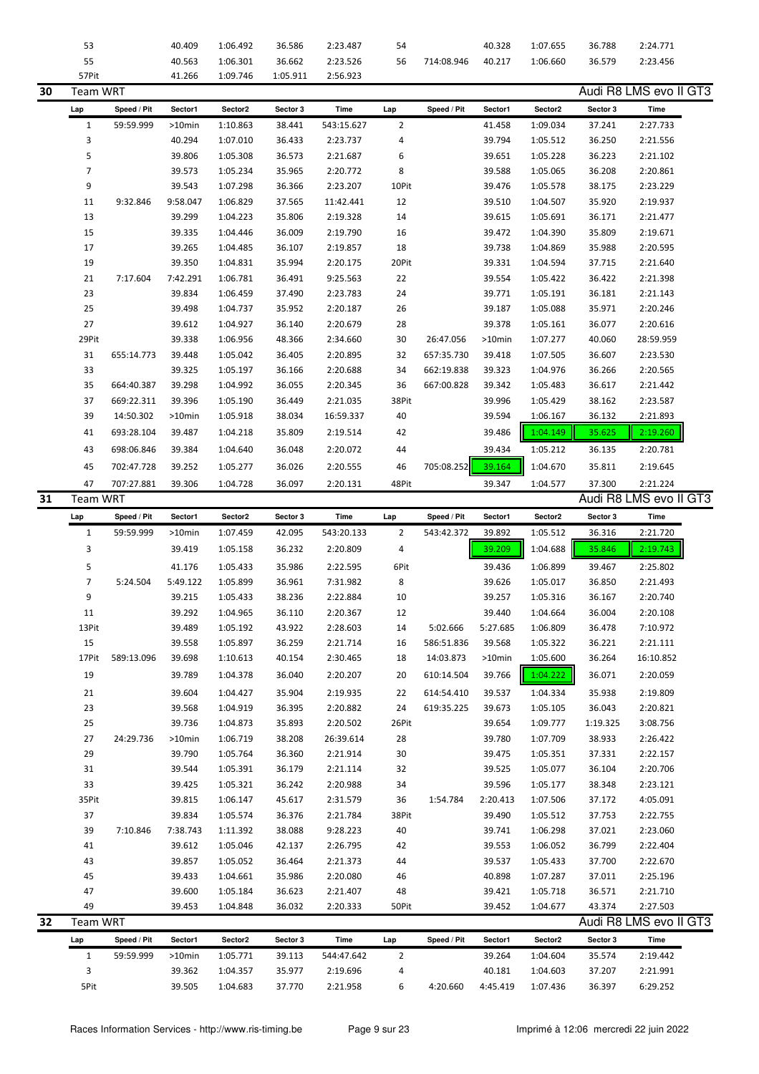|    | 53              |             | 40.409           | 1:06.492             | 36.586           | 2:23.487             | 54             |             | 40.328             | 1:07.655             | 36.788           | 2:24.771               |
|----|-----------------|-------------|------------------|----------------------|------------------|----------------------|----------------|-------------|--------------------|----------------------|------------------|------------------------|
|    | 55              |             | 40.563           | 1:06.301             | 36.662           | 2:23.526             | 56             | 714:08.946  | 40.217             | 1:06.660             | 36.579           | 2:23.456               |
|    | 57Pit           |             | 41.266           | 1:09.746             | 1:05.911         | 2:56.923             |                |             |                    |                      |                  |                        |
| 30 | <b>Team WRT</b> |             |                  |                      |                  |                      |                |             |                    |                      |                  | Audi R8 LMS evo II GT3 |
|    |                 |             |                  |                      |                  |                      |                |             | Sector1            |                      |                  | Time                   |
|    | Lap             | Speed / Pit | Sector1          | Sector2              | Sector 3         | Time                 | Lap            | Speed / Pit |                    | Sector2              | Sector 3         |                        |
|    | $\mathbf{1}$    | 59:59.999   | >10min           | 1:10.863             | 38.441           | 543:15.627           | $\overline{2}$ |             | 41.458             | 1:09.034             | 37.241           | 2:27.733               |
|    | 3               |             | 40.294           | 1:07.010             | 36.433           | 2:23.737             | 4              |             | 39.794             | 1:05.512             | 36.250           | 2:21.556               |
|    | 5               |             | 39.806           | 1:05.308             | 36.573           | 2:21.687             | 6              |             | 39.651             | 1:05.228             | 36.223           | 2:21.102               |
|    | $\overline{7}$  |             | 39.573           | 1:05.234             | 35.965           | 2:20.772             | 8              |             | 39.588             | 1:05.065             | 36.208           | 2:20.861               |
|    | 9               |             | 39.543           | 1:07.298             | 36.366           | 2:23.207             | 10Pit          |             | 39.476             | 1:05.578             | 38.175           | 2:23.229               |
|    | 11              | 9:32.846    | 9:58.047         | 1:06.829             | 37.565           | 11:42.441            | 12             |             | 39.510             | 1:04.507             | 35.920           | 2:19.937               |
|    | 13              |             | 39.299           | 1:04.223             | 35.806           | 2:19.328             | 14             |             | 39.615             | 1:05.691             | 36.171           | 2:21.477               |
|    | 15              |             | 39.335           | 1:04.446             | 36.009           | 2:19.790             | 16             |             | 39.472             | 1:04.390             | 35.809           | 2:19.671               |
|    | 17              |             | 39.265           | 1:04.485             | 36.107           | 2:19.857             | 18             |             | 39.738             | 1:04.869             | 35.988           | 2:20.595               |
|    | 19              |             | 39.350           | 1:04.831             | 35.994           | 2:20.175             | 20Pit          |             | 39.331             | 1:04.594             | 37.715           | 2:21.640               |
|    |                 |             |                  |                      |                  |                      |                |             |                    |                      |                  |                        |
|    | 21              | 7:17.604    | 7:42.291         | 1:06.781             | 36.491           | 9:25.563             | 22             |             | 39.554             | 1:05.422             | 36.422           | 2:21.398               |
|    | 23              |             | 39.834           | 1:06.459             | 37.490           | 2:23.783             | 24             |             | 39.771             | 1:05.191             | 36.181           | 2:21.143               |
|    | 25              |             | 39.498           | 1:04.737             | 35.952           | 2:20.187             | 26             |             | 39.187             | 1:05.088             | 35.971           | 2:20.246               |
|    | 27              |             | 39.612           | 1:04.927             | 36.140           | 2:20.679             | 28             |             | 39.378             | 1:05.161             | 36.077           | 2:20.616               |
|    | 29Pit           |             | 39.338           | 1:06.956             | 48.366           | 2:34.660             | 30             | 26:47.056   | >10min             | 1:07.277             | 40.060           | 28:59.959              |
|    | 31              | 655:14.773  | 39.448           | 1:05.042             | 36.405           | 2:20.895             | 32             | 657:35.730  | 39.418             | 1:07.505             | 36.607           | 2:23.530               |
|    | 33              |             | 39.325           | 1:05.197             | 36.166           | 2:20.688             | 34             | 662:19.838  | 39.323             | 1:04.976             | 36.266           | 2:20.565               |
|    | 35              | 664:40.387  | 39.298           | 1:04.992             | 36.055           | 2:20.345             | 36             | 667:00.828  | 39.342             | 1:05.483             | 36.617           | 2:21.442               |
|    | 37              | 669:22.311  | 39.396           | 1:05.190             | 36.449           | 2:21.035             | 38Pit          |             | 39.996             | 1:05.429             | 38.162           | 2:23.587               |
|    | 39              | 14:50.302   | >10min           | 1:05.918             | 38.034           | 16:59.337            | 40             |             | 39.594             | 1:06.167             | 36.132           | 2:21.893               |
|    |                 |             |                  |                      |                  |                      |                |             |                    |                      |                  |                        |
|    | 41              | 693:28.104  | 39.487           | 1:04.218             | 35.809           | 2:19.514             | 42             |             | 39.486             | 1:04.149             | 35.625           | 2:19.260               |
|    | 43              | 698:06.846  | 39.384           | 1:04.640             | 36.048           | 2:20.072             | 44             |             | 39.434             | 1:05.212             | 36.135           | 2:20.781               |
|    | 45              | 702:47.728  | 39.252           | 1:05.277             | 36.026           | 2:20.555             | 46             | 705:08.252  | 39.164             | 1:04.670             | 35.811           | 2:19.645               |
|    | 47              | 707:27.881  | 39.306           | 1:04.728             | 36.097           | 2:20.131             | 48Pit          |             | 39.347             | 1:04.577             | 37.300           | 2:21.224               |
| 31 | Team WRT        |             |                  |                      |                  |                      |                |             |                    |                      |                  | Audi R8 LMS evo II GT3 |
|    |                 | Speed / Pit | Sector1          | Sector2              | Sector 3         | Time                 | Lap            | Speed / Pit | Sector1            | Sector2              | Sector 3         | Time                   |
|    | Lap             |             |                  |                      |                  |                      |                |             |                    |                      |                  |                        |
|    | $\mathbf{1}$    | 59:59.999   | >10min           | 1:07.459             | 42.095           | 543:20.133           | 2              | 543:42.372  | 39.892             | 1:05.512             | 36.316           | 2:21.720               |
|    |                 |             |                  |                      |                  |                      |                |             |                    |                      |                  |                        |
|    | 3               |             | 39.419           | 1:05.158             | 36.232           | 2:20.809             | 4              |             | 39.209             | 1:04.688             | 35.846           | 2:19.743               |
|    | 5               |             | 41.176           | 1:05.433             | 35.986           | 2:22.595             | 6Pit           |             | 39.436             | 1:06.899             | 39.467           | 2:25.802               |
|    | 7               | 5:24.504    | 5:49.122         | 1:05.899             | 36.961           | 7:31.982             | 8              |             | 39.626             | 1:05.017             | 36.850           | 2:21.493               |
|    | 9               |             | 39.215           | 1:05.433             | 38.236           | 2:22.884             | 10             |             | 39.257             | 1:05.316             | 36.167           | 2:20.740               |
|    |                 |             |                  |                      |                  |                      |                |             |                    |                      |                  |                        |
|    | 11              |             | 39.292           | 1:04.965             | 36.110           | 2:20.367             | 12             |             | 39.440             | 1:04.664             | 36.004           | 2:20.108               |
|    | 13Pit           |             | 39.489           | 1:05.192             | 43.922           | 2:28.603             | 14             | 5:02.666    | 5:27.685           | 1:06.809             | 36.478           | 7:10.972               |
|    | 15              |             | 39.558           | 1:05.897             | 36.259           | 2:21.714             | 16             | 586:51.836  | 39.568             | 1:05.322             | 36.221           | 2:21.111               |
|    | 17Pit           | 589:13.096  | 39.698           | 1:10.613             | 40.154           | 2:30.465             | 18             | 14:03.873   | >10min             | 1:05.600             | 36.264           | 16:10.852              |
|    | 19              |             | 39.789           | 1:04.378             | 36.040           | 2:20.207             | 20             | 610:14.504  | 39.766             | 1:04.222             | 36.071           | 2:20.059               |
|    | 21              |             | 39.604           | 1:04.427             | 35.904           | 2:19.935             | 22             | 614:54.410  | 39.537             | 1:04.334             | 35.938           | 2:19.809               |
|    | 23              |             | 39.568           | 1:04.919             | 36.395           | 2:20.882             | 24             | 619:35.225  | 39.673             | 1:05.105             | 36.043           | 2:20.821               |
|    | 25              |             | 39.736           | 1:04.873             | 35.893           | 2:20.502             | 26Pit          |             | 39.654             | 1:09.777             | 1:19.325         | 3:08.756               |
|    | 27              | 24:29.736   | >10min           | 1:06.719             | 38.208           | 26:39.614            | 28             |             | 39.780             | 1:07.709             | 38.933           | 2:26.422               |
|    |                 |             |                  |                      |                  |                      |                |             |                    |                      |                  |                        |
|    | 29              |             | 39.790           | 1:05.764             | 36.360           | 2:21.914             | 30             |             | 39.475             | 1:05.351             | 37.331           | 2:22.157               |
|    | 31              |             | 39.544           | 1:05.391             | 36.179           | 2:21.114             | 32             |             | 39.525             | 1:05.077             | 36.104           | 2:20.706               |
|    | 33              |             | 39.425           | 1:05.321             | 36.242           | 2:20.988             | 34             |             | 39.596             | 1:05.177             | 38.348           | 2:23.121               |
|    | 35Pit           |             | 39.815           | 1:06.147             | 45.617           | 2:31.579             | 36             | 1:54.784    | 2:20.413           | 1:07.506             | 37.172           | 4:05.091               |
|    | 37              |             | 39.834           | 1:05.574             | 36.376           | 2:21.784             | 38Pit          |             | 39.490             | 1:05.512             | 37.753           | 2:22.755               |
|    | 39              | 7:10.846    | 7:38.743         | 1:11.392             | 38.088           | 9:28.223             | 40             |             | 39.741             | 1:06.298             | 37.021           | 2:23.060               |
|    | 41              |             | 39.612           | 1:05.046             | 42.137           | 2:26.795             | 42             |             | 39.553             | 1:06.052             | 36.799           | 2:22.404               |
|    | 43              |             | 39.857           | 1:05.052             | 36.464           | 2:21.373             | 44             |             | 39.537             | 1:05.433             | 37.700           | 2:22.670               |
|    | 45              |             | 39.433           | 1:04.661             | 35.986           | 2:20.080             | 46             |             | 40.898             | 1:07.287             | 37.011           | 2:25.196               |
|    | 47              |             | 39.600           | 1:05.184             | 36.623           | 2:21.407             | 48             |             | 39.421             | 1:05.718             | 36.571           | 2:21.710               |
|    | 49              |             | 39.453           | 1:04.848             | 36.032           | 2:20.333             | 50Pit          |             | 39.452             | 1:04.677             | 43.374           | 2:27.503               |
|    |                 |             |                  |                      |                  |                      |                |             |                    |                      |                  |                        |
| 32 | <b>Team WRT</b> |             |                  |                      |                  |                      |                |             |                    |                      |                  | Audi R8 LMS evo II GT3 |
|    | Lap             | Speed / Pit | Sector1          | Sector2              | Sector 3         | Time                 | Lap            | Speed / Pit | Sector1            | Sector2              | Sector 3         | Time                   |
|    | $\mathbf{1}$    | 59:59.999   | >10min           | 1:05.771             | 39.113           | 544:47.642           | $\overline{2}$ |             | 39.264             | 1:04.604             | 35.574           | 2:19.442               |
|    | 3<br>5Pit       |             | 39.362<br>39.505 | 1:04.357<br>1:04.683 | 35.977<br>37.770 | 2:19.696<br>2:21.958 | 4<br>6         | 4:20.660    | 40.181<br>4:45.419 | 1:04.603<br>1:07.436 | 37.207<br>36.397 | 2:21.991<br>6:29.252   |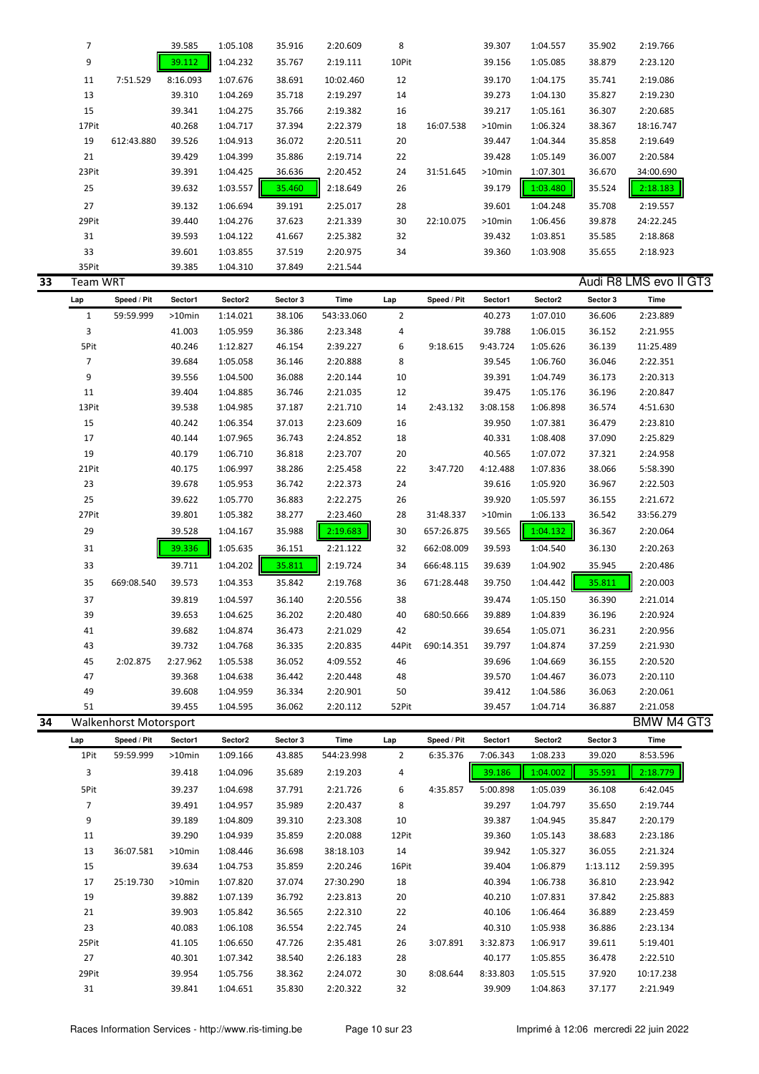|    | 7               |                        | 39.585           | 1:05.108             | 35.916           | 2:20.609             | 8              |             | 39.307           | 1:04.557             | 35.902           | 2:19.766               |  |
|----|-----------------|------------------------|------------------|----------------------|------------------|----------------------|----------------|-------------|------------------|----------------------|------------------|------------------------|--|
|    | 9               |                        | 39.112           | 1:04.232             | 35.767           | 2:19.111             | 10Pit          |             | 39.156           | 1:05.085             | 38.879           | 2:23.120               |  |
|    | 11              | 7:51.529               | 8:16.093         | 1:07.676             | 38.691           | 10:02.460            | 12             |             | 39.170           | 1:04.175             | 35.741           | 2:19.086               |  |
|    | 13              |                        | 39.310           | 1:04.269             | 35.718           | 2:19.297             | 14             |             | 39.273           | 1:04.130             | 35.827           | 2:19.230               |  |
|    | 15              |                        | 39.341           | 1:04.275             | 35.766           | 2:19.382             | 16             |             | 39.217           | 1:05.161             | 36.307           | 2:20.685               |  |
|    | 17Pit           |                        | 40.268           | 1:04.717             | 37.394           | 2:22.379             | 18             | 16:07.538   | >10min           | 1:06.324             | 38.367           | 18:16.747              |  |
|    | 19              | 612:43.880             | 39.526           | 1:04.913             | 36.072           | 2:20.511             | 20             |             | 39.447           | 1:04.344             | 35.858           | 2:19.649               |  |
|    | 21              |                        | 39.429           | 1:04.399             | 35.886           | 2:19.714             | 22             |             | 39.428           | 1:05.149             | 36.007           | 2:20.584               |  |
|    | 23Pit           |                        | 39.391           | 1:04.425             | 36.636           | 2:20.452             | 24             | 31:51.645   | >10min           | 1:07.301             | 36.670           | 34:00.690              |  |
|    | 25              |                        |                  | 1:03.557             | 35.460           |                      | 26             |             |                  | 1:03.480             | 35.524           | 2:18.183               |  |
|    |                 |                        | 39.632           |                      |                  | 2:18.649             |                |             | 39.179           |                      |                  |                        |  |
|    | 27              |                        | 39.132           | 1:06.694             | 39.191           | 2:25.017             | 28             |             | 39.601           | 1:04.248             | 35.708           | 2:19.557               |  |
|    | 29Pit           |                        | 39.440           | 1:04.276             | 37.623           | 2:21.339             | 30             | 22:10.075   | >10min           | 1:06.456             | 39.878           | 24:22.245              |  |
|    | 31              |                        | 39.593           | 1:04.122             | 41.667           | 2:25.382             | 32             |             | 39.432           | 1:03.851             | 35.585           | 2:18.868               |  |
|    | 33              |                        | 39.601           | 1:03.855             | 37.519           | 2:20.975             | 34             |             | 39.360           | 1:03.908             | 35.655           | 2:18.923               |  |
|    | 35Pit           |                        | 39.385           | 1:04.310             | 37.849           | 2:21.544             |                |             |                  |                      |                  |                        |  |
| 33 | <b>Team WRT</b> |                        |                  |                      |                  |                      |                |             |                  |                      |                  | Audi R8 LMS evo II GT3 |  |
|    | Lap             | Speed / Pit            | Sector1          | Sector2              | Sector 3         | Time                 | Lap            | Speed / Pit | Sector1          | Sector2              | Sector 3         | Time                   |  |
|    | $\mathbf{1}$    | 59:59.999              | >10min           | 1:14.021             | 38.106           | 543:33.060           | $\overline{2}$ |             | 40.273           | 1:07.010             | 36.606           | 2:23.889               |  |
|    | 3               |                        | 41.003           | 1:05.959             | 36.386           | 2:23.348             | 4              |             | 39.788           | 1:06.015             | 36.152           | 2:21.955               |  |
|    | 5Pit            |                        | 40.246           | 1:12.827             | 46.154           | 2:39.227             | 6              | 9:18.615    | 9:43.724         | 1:05.626             | 36.139           | 11:25.489              |  |
|    | 7               |                        | 39.684           | 1:05.058             | 36.146           | 2:20.888             | 8              |             | 39.545           | 1:06.760             | 36.046           | 2:22.351               |  |
|    | 9               |                        | 39.556           | 1:04.500             | 36.088           | 2:20.144             | 10             |             | 39.391           | 1:04.749             | 36.173           | 2:20.313               |  |
|    | 11              |                        | 39.404           | 1:04.885             | 36.746           | 2:21.035             | 12             |             | 39.475           | 1:05.176             | 36.196           | 2:20.847               |  |
|    | 13Pit           |                        | 39.538           | 1:04.985             | 37.187           | 2:21.710             | 14             | 2:43.132    | 3:08.158         | 1:06.898             | 36.574           | 4:51.630               |  |
|    | 15              |                        | 40.242           | 1:06.354             | 37.013           | 2:23.609             | 16             |             | 39.950           | 1:07.381             | 36.479           | 2:23.810               |  |
|    | 17              |                        | 40.144           | 1:07.965             | 36.743           | 2:24.852             | 18             |             | 40.331           | 1:08.408             | 37.090           | 2:25.829               |  |
|    | 19              |                        | 40.179           | 1:06.710             | 36.818           | 2:23.707             | 20             |             | 40.565           | 1:07.072             | 37.321           | 2:24.958               |  |
|    | 21Pit           |                        | 40.175           | 1:06.997             | 38.286           | 2:25.458             | 22             | 3:47.720    | 4:12.488         | 1:07.836             | 38.066           | 5:58.390               |  |
|    | 23              |                        | 39.678           | 1:05.953             | 36.742           | 2:22.373             | 24             |             | 39.616           | 1:05.920             | 36.967           | 2:22.503               |  |
|    | 25              |                        | 39.622           | 1:05.770             | 36.883           | 2:22.275             | 26             |             | 39.920           | 1:05.597             | 36.155           | 2:21.672               |  |
|    | 27Pit           |                        | 39.801           | 1:05.382             | 38.277           | 2:23.460             | 28             | 31:48.337   | >10min           | 1:06.133             | 36.542           | 33:56.279              |  |
|    | 29              |                        | 39.528           | 1:04.167             | 35.988           | 2:19.683             | 30             | 657:26.875  | 39.565           | 1:04.132             | 36.367           | 2:20.064               |  |
|    | 31              |                        | 39.336           | 1:05.635             | 36.151           | 2:21.122             | 32             | 662:08.009  | 39.593           | 1:04.540             | 36.130           | 2:20.263               |  |
|    | 33              |                        | 39.711           | 1:04.202             | 35.811           | 2:19.724             | 34             | 666:48.115  | 39.639           | 1:04.902             | 35.945           | 2:20.486               |  |
|    | 35              | 669:08.540             | 39.573           | 1:04.353             | 35.842           | 2:19.768             | 36             | 671:28.448  | 39.750           | 1:04.442             | 35.811           | 2:20.003               |  |
|    | 37              |                        |                  |                      |                  |                      |                |             | 39.474           |                      | 36.390           |                        |  |
|    |                 |                        | 39.819           | 1:04.597             | 36.140           | 2:20.556             | 38             |             |                  | 1:05.150             |                  | 2:21.014               |  |
|    | 39              |                        | 39.653           | 1:04.625             | 36.202           | 2:20.480             | 40             | 680:50.666  | 39.889           | 1:04.839             | 36.196           | 2:20.924               |  |
|    | 41              |                        | 39.682           | 1:04.874             | 36.473           | 2:21.029             | 42             |             | 39.654           | 1:05.071             | 36.231           | 2:20.956               |  |
|    | 43              | 2:02.875               | 39.732           | 1:04.768<br>1:05.538 | 36.335           | 2:20.835             | 44Pit          | 690:14.351  | 39.797           | 1:04.874             | 37.259           | 2:21.930               |  |
|    | 45              |                        | 2:27.962         | 1:04.638             | 36.052           | 4:09.552             | 46             |             | 39.696           | 1:04.669             | 36.155           | 2:20.520               |  |
|    | 47              |                        | 39.368           |                      | 36.442           | 2:20.448             | 48             |             | 39.570           | 1:04.467             | 36.073           | 2:20.110               |  |
|    | 49<br>51        |                        | 39.608<br>39.455 | 1:04.959<br>1:04.595 | 36.334<br>36.062 | 2:20.901<br>2:20.112 | 50<br>52Pit    |             | 39.412<br>39.457 | 1:04.586<br>1:04.714 | 36.063<br>36.887 | 2:20.061<br>2:21.058   |  |
| 34 |                 | Walkenhorst Motorsport |                  |                      |                  |                      |                |             |                  |                      |                  | <b>BMW M4 GT3</b>      |  |
|    |                 |                        |                  |                      |                  |                      |                |             |                  |                      |                  |                        |  |
|    | Lap             | Speed / Pit            | Sector1          | Sector2              | Sector 3         | Time                 | Lap            | Speed / Pit | Sector1          | Sector2              | Sector 3         | Time                   |  |
|    | 1Pit            | 59:59.999              | >10min           | 1:09.166             | 43.885           | 544:23.998           | $\overline{2}$ | 6:35.376    | 7:06.343         | 1:08.233             | 39.020           | 8:53.596               |  |
|    | 3               |                        | 39.418           | 1:04.096             | 35.689           | 2:19.203             | 4              |             | 39.186           | 1:04.002             | 35.591           | 2:18.779               |  |
|    | 5Pit            |                        | 39.237           | 1:04.698             | 37.791           | 2:21.726             | 6              | 4:35.857    | 5:00.898         | 1:05.039             | 36.108           | 6:42.045               |  |
|    | 7               |                        | 39.491           | 1:04.957             | 35.989           | 2:20.437             | 8              |             | 39.297           | 1:04.797             | 35.650           | 2:19.744               |  |
|    | 9               |                        | 39.189           | 1:04.809             | 39.310           | 2:23.308             | 10             |             | 39.387           | 1:04.945             | 35.847           | 2:20.179               |  |
|    | 11              |                        | 39.290           | 1:04.939             | 35.859           | 2:20.088             | 12Pit          |             | 39.360           | 1:05.143             | 38.683           | 2:23.186               |  |
|    | 13              | 36:07.581              | >10min           | 1:08.446             | 36.698           | 38:18.103            | 14             |             | 39.942           | 1:05.327             | 36.055           | 2:21.324               |  |
|    | 15              |                        | 39.634           | 1:04.753             | 35.859           | 2:20.246             | 16Pit          |             | 39.404           | 1:06.879             | 1:13.112         | 2:59.395               |  |
|    | 17              | 25:19.730              | >10min           | 1:07.820             | 37.074           | 27:30.290            | 18             |             | 40.394           | 1:06.738             | 36.810           | 2:23.942               |  |
|    | 19              |                        | 39.882           | 1:07.139             | 36.792           | 2:23.813             | 20             |             | 40.210           | 1:07.831             | 37.842           | 2:25.883               |  |
|    | 21              |                        | 39.903           | 1:05.842             | 36.565           | 2:22.310             | 22             |             | 40.106           | 1:06.464             | 36.889           | 2:23.459               |  |
|    | 23              |                        | 40.083           | 1:06.108             | 36.554           | 2:22.745             | 24             |             | 40.310           | 1:05.938             | 36.886           | 2:23.134               |  |
|    | 25Pit           |                        | 41.105           | 1:06.650             | 47.726           | 2:35.481             | 26             | 3:07.891    | 3:32.873         | 1:06.917             | 39.611           | 5:19.401               |  |
|    | 27              |                        | 40.301           | 1:07.342             | 38.540           | 2:26.183             | 28             |             | 40.177           | 1:05.855             | 36.478           | 2:22.510               |  |
|    | 29Pit           |                        | 39.954           | 1:05.756             | 38.362           | 2:24.072             | 30             | 8:08.644    | 8:33.803         | 1:05.515             | 37.920           | 10:17.238              |  |
|    | 31              |                        | 39.841           | 1:04.651             | 35.830           | 2:20.322             | 32             |             | 39.909           | 1:04.863             | 37.177           | 2:21.949               |  |
|    |                 |                        |                  |                      |                  |                      |                |             |                  |                      |                  |                        |  |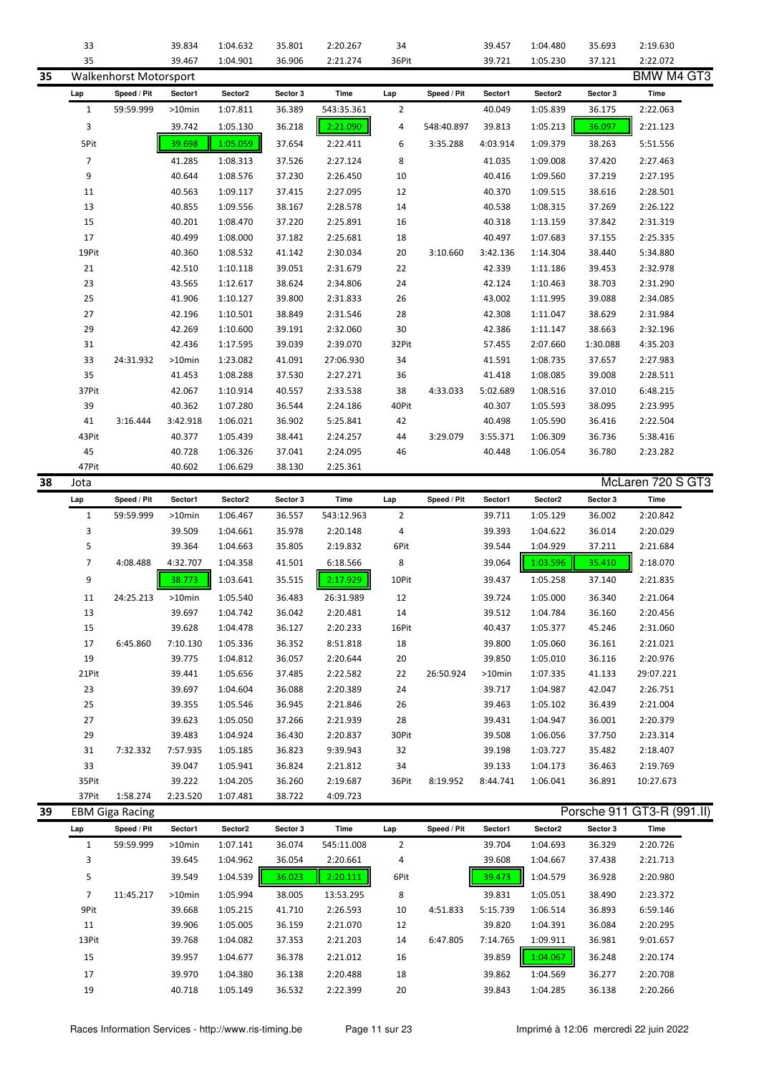| 35<br>39.467<br>36.906<br>36Pit<br>39.721<br>1:05.230<br>2:22.072<br>1:04.901<br>2:21.274<br>37.121<br><b>BMW M4 GT3</b><br>35<br>Walkenhorst Motorsport<br>Speed / Pit<br>Sector2<br>Sector 3<br>Time<br>Speed / Pit<br>Sector2<br>Sector 3<br>Time<br>Sector1<br>Lap<br>Sector1<br>Lap<br>59:59.999<br>1:07.811<br>$\overline{2}$<br>$\mathbf{1}$<br>$>10$ min<br>36.389<br>543:35.361<br>40.049<br>1:05.839<br>36.175<br>2:22.063<br>3<br>2:21.123<br>39.742<br>1:05.130<br>36.218<br>2:21.090<br>4<br>548:40.897<br>39.813<br>1:05.213<br>36.097<br>39.698<br>1:05.059<br>5Pit<br>37.654<br>2:22.411<br>3:35.288<br>4:03.914<br>1:09.379<br>38.263<br>5:51.556<br>6<br>$\overline{7}$<br>41.285<br>1:08.313<br>37.526<br>2:27.124<br>8<br>41.035<br>1:09.008<br>37.420<br>2:27.463<br>9<br>40.644<br>1:08.576<br>37.230<br>10<br>40.416<br>1:09.560<br>2:27.195<br>2:26.450<br>37.219<br>40.563<br>40.370<br>1:09.515<br>11<br>1:09.117<br>37.415<br>2:27.095<br>12<br>38.616<br>2:28.501<br>13<br>40.855<br>40.538<br>1:08.315<br>1:09.556<br>38.167<br>2:28.578<br>14<br>37.269<br>2:26.122<br>15<br>40.201<br>1:08.470<br>37.220<br>2:25.891<br>16<br>40.318<br>1:13.159<br>2:31.319<br>37.842<br>17<br>40.499<br>1:08.000<br>37.182<br>2:25.681<br>18<br>40.497<br>1:07.683<br>2:25.335<br>37.155<br>19Pit<br>40.360<br>1:08.532<br>2:30.034<br>20<br>3:10.660<br>1:14.304<br>5:34.880<br>41.142<br>3:42.136<br>38.440<br>21<br>42.510<br>39.051<br>22<br>42.339<br>2:32.978<br>1:10.118<br>2:31.679<br>1:11.186<br>39.453<br>23<br>38.624<br>2:34.806<br>42.124<br>1:10.463<br>43.565<br>1:12.617<br>24<br>38.703<br>2:31.290<br>25<br>41.906<br>39.800<br>26<br>43.002<br>1:11.995<br>39.088<br>2:34.085<br>1:10.127<br>2:31.833<br>27<br>42.196<br>1:10.501<br>38.849<br>2:31.546<br>28<br>42.308<br>1:11.047<br>38.629<br>2:31.984<br>29<br>30<br>42.269<br>1:10.600<br>39.191<br>2:32.060<br>42.386<br>38.663<br>2:32.196<br>1:11.147<br>31<br>42.436<br>1:17.595<br>39.039<br>2:39.070<br>32Pit<br>57.455<br>2:07.660<br>1:30.088<br>4:35.203<br>33<br>24:31.932<br>1:23.082<br>41.091<br>41.591<br>1:08.735<br>2:27.983<br>>10min<br>27:06.930<br>34<br>37.657<br>35<br>1:08.288<br>36<br>41.418<br>1:08.085<br>39.008<br>41.453<br>37.530<br>2:27.271<br>2:28.511<br>37Pit<br>42.067<br>1:10.914<br>38<br>4:33.033<br>1:08.516<br>37.010<br>6:48.215<br>40.557<br>2:33.538<br>5:02.689<br>39<br>40.362<br>1:07.280<br>36.544<br>40Pit<br>40.307<br>1:05.593<br>38.095<br>2:23.995<br>2:24.186<br>41<br>3:16.444<br>3:42.918<br>1:06.021<br>36.902<br>42<br>40.498<br>1:05.590<br>2:22.504<br>5:25.841<br>36.416<br>43Pit<br>40.377<br>1:05.439<br>3:29.079<br>1:06.309<br>5:38.416<br>38.441<br>2:24.257<br>44<br>3:55.371<br>36.736<br>45<br>40.728<br>37.041<br>40.448<br>1:06.326<br>2:24.095<br>46<br>1:06.054<br>36.780<br>2:23.282<br>47Pit<br>40.602<br>38.130<br>1:06.629<br>2:25.361<br>McLaren 720 S GT3<br>38<br>Jota<br>Sector2<br>Time<br>Speed / Pit<br>Sector1<br>Sector2<br>Sector 3<br>Time<br>Speed / Pit<br>Sector1<br>Sector 3<br>Lap<br>Lap<br>$\mathbf{1}$<br>543:12.963<br>$\overline{2}$<br>39.711<br>1:05.129<br>2:20.842<br>59:59.999<br>>10min<br>1:06.467<br>36.557<br>36.002<br>3<br>1:04.661<br>35.978<br>2:20.148<br>4<br>39.393<br>1:04.622<br>36.014<br>2:20.029<br>39.509<br>5<br>39.364<br>1:04.663<br>35.805<br>2:19.832<br>6Pit<br>39.544<br>1:04.929<br>37.211<br>2:21.684<br>7<br>8<br>4:08.488<br>4:32.707<br>1:04.358<br>41.501<br>6:18.566<br>39.064<br>1:03.596<br>35.410<br>2:18.070<br>9<br>38.773<br>1:03.641<br>35.515<br>2:17.929<br>10Pit<br>39.437<br>1:05.258<br>37.140<br>2:21.835<br>12<br>11<br>24:25.213<br>1:05.540<br>36.483<br>26:31.989<br>39.724<br>1:05.000<br>36.340<br>2:21.064<br>>10min<br>13<br>39.697<br>36.042<br>2:20.481<br>39.512<br>1:04.784<br>36.160<br>2:20.456<br>1:04.742<br>14<br>15<br>39.628<br>16Pit<br>1:05.377<br>2:31.060<br>1:04.478<br>36.127<br>2:20.233<br>40.437<br>45.246<br>17<br>6:45.860<br>7:10.130<br>1:05.336<br>36.352<br>8:51.818<br>18<br>39.800<br>1:05.060<br>36.161<br>2:21.021<br>19<br>39.775<br>1:04.812<br>36.057<br>2:20.644<br>20<br>39.850<br>1:05.010<br>36.116<br>2:20.976<br>21Pit<br>39.441<br>1:05.656<br>37.485<br>2:22.582<br>22<br>26:50.924<br>>10min<br>1:07.335<br>41.133<br>29:07.221<br>23<br>39.697<br>39.717<br>1:04.604<br>36.088<br>2:20.389<br>24<br>1:04.987<br>42.047<br>2:26.751<br>25<br>26<br>39.355<br>1:05.546<br>36.945<br>2:21.846<br>39.463<br>1:05.102<br>36.439<br>2:21.004<br>27<br>28<br>39.623<br>1:05.050<br>37.266<br>2:21.939<br>39.431<br>1:04.947<br>36.001<br>2:20.379<br>29<br>39.483<br>1:04.924<br>36.430<br>2:20.837<br>30Pit<br>39.508<br>1:06.056<br>37.750<br>2:23.314<br>31<br>7:32.332<br>7:57.935<br>1:05.185<br>36.823<br>9:39.943<br>32<br>39.198<br>1:03.727<br>2:18.407<br>35.482<br>33<br>39.047<br>1:05.941<br>36.824<br>2:21.812<br>34<br>39.133<br>1:04.173<br>36.463<br>2:19.769<br>35Pit<br>39.222<br>1:04.205<br>36.260<br>2:19.687<br>36Pit<br>8:19.952<br>8:44.741<br>1:06.041<br>36.891<br>10:27.673<br>37Pit<br>1:58.274<br>2:23.520<br>1:07.481<br>38.722<br>4:09.723<br>Porsche 911 GT3-R (991.II)<br>39<br><b>EBM Giga Racing</b><br>Sector2<br>Sector 3<br>Sector2<br>Sector 3<br>Time<br>Speed / Pit<br>Sector1<br>Time<br>Lap<br>Speed / Pit<br>Sector1<br>Lap<br>$\mathbf{1}$<br>59:59.999<br>1:07.141<br>36.074<br>545:11.008<br>$\overline{2}$<br>39.704<br>36.329<br>2:20.726<br>>10min<br>1:04.693<br>3<br>39.645<br>1:04.962<br>36.054<br>2:20.661<br>4<br>39.608<br>1:04.667<br>37.438<br>2:21.713<br>5<br>1:04.539<br>1:04.579<br>39.549<br>36.023<br>2:20.111<br>6Pit<br>39.473<br>36.928<br>2:20.980<br>$\overline{7}$<br>1:05.051<br>11:45.217<br>>10min<br>1:05.994<br>38.005<br>13:53.295<br>8<br>39.831<br>38.490<br>2:23.372<br>9Pit<br>39.668<br>1:05.215<br>41.710<br>2:26.593<br>10<br>4:51.833<br>5:15.739<br>1:06.514<br>36.893<br>6:59.146<br>11<br>39.906<br>1:05.005<br>36.159<br>2:21.070<br>12<br>39.820<br>1:04.391<br>36.084<br>2:20.295<br>13Pit<br>39.768<br>1:04.082<br>2:21.203<br>6:47.805<br>1:09.911<br>9:01.657<br>37.353<br>14<br>7:14.765<br>36.981<br>15<br>39.859<br>39.957<br>1:04.677<br>36.378<br>2:21.012<br>16<br>36.248<br>2:20.174<br>1:04.067<br>17<br>39.970<br>1:04.380<br>36.138<br>2:20.488<br>18<br>39.862<br>2:20.708<br>36.277<br>1:04.569<br>19<br>40.718<br>1:05.149<br>36.532<br>2:22.399<br>36.138<br>2:20.266<br>20<br>39.843<br>1:04.285 | 33 | 39.834 | 1:04.632 | 35.801 | 2:20.267 | 34 | 39.457 | 1:04.480 | 35.693 | 2:19.630 |  |
|---------------------------------------------------------------------------------------------------------------------------------------------------------------------------------------------------------------------------------------------------------------------------------------------------------------------------------------------------------------------------------------------------------------------------------------------------------------------------------------------------------------------------------------------------------------------------------------------------------------------------------------------------------------------------------------------------------------------------------------------------------------------------------------------------------------------------------------------------------------------------------------------------------------------------------------------------------------------------------------------------------------------------------------------------------------------------------------------------------------------------------------------------------------------------------------------------------------------------------------------------------------------------------------------------------------------------------------------------------------------------------------------------------------------------------------------------------------------------------------------------------------------------------------------------------------------------------------------------------------------------------------------------------------------------------------------------------------------------------------------------------------------------------------------------------------------------------------------------------------------------------------------------------------------------------------------------------------------------------------------------------------------------------------------------------------------------------------------------------------------------------------------------------------------------------------------------------------------------------------------------------------------------------------------------------------------------------------------------------------------------------------------------------------------------------------------------------------------------------------------------------------------------------------------------------------------------------------------------------------------------------------------------------------------------------------------------------------------------------------------------------------------------------------------------------------------------------------------------------------------------------------------------------------------------------------------------------------------------------------------------------------------------------------------------------------------------------------------------------------------------------------------------------------------------------------------------------------------------------------------------------------------------------------------------------------------------------------------------------------------------------------------------------------------------------------------------------------------------------------------------------------------------------------------------------------------------------------------------------------------------------------------------------------------------------------------------------------------------------------------------------------------------------------------------------------------------------------------------------------------------------------------------------------------------------------------------------------------------------------------------------------------------------------------------------------------------------------------------------------------------------------------------------------------------------------------------------------------------------------------------------------------------------------------------------------------------------------------------------------------------------------------------------------------------------------------------------------------------------------------------------------------------------------------------------------------------------------------------------------------------------------------------------------------------------------------------------------------------------------------------------------------------------------------------------------------------------------------------------------------------------------------------------------------------------------------------------------------------------------------------------------------------------------------------------------------------------------------------------------------------------------------------------------------------------------------------------------------------------------------------------------------------------------------------------------------------------------------------------------------------------------------------------------------------------------------------------------------------------------------------------------------------------------------------------------------------------------------------------------------------------------------------------------------------------------------------------------------------------------------------------------------------------------------------------------------------------------------------------------------------------------------------------------------------------------------------------------------------------------------------------------------------------------------------------------------------------------------------------------------------------------------------------------------------------------------------------------------------------------------------------------------------------------------------------------------------------------------------------------------------------------------------------------------------------------------------------------------------------------------------------|----|--------|----------|--------|----------|----|--------|----------|--------|----------|--|
|                                                                                                                                                                                                                                                                                                                                                                                                                                                                                                                                                                                                                                                                                                                                                                                                                                                                                                                                                                                                                                                                                                                                                                                                                                                                                                                                                                                                                                                                                                                                                                                                                                                                                                                                                                                                                                                                                                                                                                                                                                                                                                                                                                                                                                                                                                                                                                                                                                                                                                                                                                                                                                                                                                                                                                                                                                                                                                                                                                                                                                                                                                                                                                                                                                                                                                                                                                                                                                                                                                                                                                                                                                                                                                                                                                                                                                                                                                                                                                                                                                                                                                                                                                                                                                                                                                                                                                                                                                                                                                                                                                                                                                                                                                                                                                                                                                                                                                                                                                                                                                                                                                                                                                                                                                                                                                                                                                                                                                                                                                                                                                                                                                                                                                                                                                                                                                                                                                                                                                                                                                                                                                                                                                                                                                                                                                                                                                                                                                                                                                         |    |        |          |        |          |    |        |          |        |          |  |
|                                                                                                                                                                                                                                                                                                                                                                                                                                                                                                                                                                                                                                                                                                                                                                                                                                                                                                                                                                                                                                                                                                                                                                                                                                                                                                                                                                                                                                                                                                                                                                                                                                                                                                                                                                                                                                                                                                                                                                                                                                                                                                                                                                                                                                                                                                                                                                                                                                                                                                                                                                                                                                                                                                                                                                                                                                                                                                                                                                                                                                                                                                                                                                                                                                                                                                                                                                                                                                                                                                                                                                                                                                                                                                                                                                                                                                                                                                                                                                                                                                                                                                                                                                                                                                                                                                                                                                                                                                                                                                                                                                                                                                                                                                                                                                                                                                                                                                                                                                                                                                                                                                                                                                                                                                                                                                                                                                                                                                                                                                                                                                                                                                                                                                                                                                                                                                                                                                                                                                                                                                                                                                                                                                                                                                                                                                                                                                                                                                                                                                         |    |        |          |        |          |    |        |          |        |          |  |
|                                                                                                                                                                                                                                                                                                                                                                                                                                                                                                                                                                                                                                                                                                                                                                                                                                                                                                                                                                                                                                                                                                                                                                                                                                                                                                                                                                                                                                                                                                                                                                                                                                                                                                                                                                                                                                                                                                                                                                                                                                                                                                                                                                                                                                                                                                                                                                                                                                                                                                                                                                                                                                                                                                                                                                                                                                                                                                                                                                                                                                                                                                                                                                                                                                                                                                                                                                                                                                                                                                                                                                                                                                                                                                                                                                                                                                                                                                                                                                                                                                                                                                                                                                                                                                                                                                                                                                                                                                                                                                                                                                                                                                                                                                                                                                                                                                                                                                                                                                                                                                                                                                                                                                                                                                                                                                                                                                                                                                                                                                                                                                                                                                                                                                                                                                                                                                                                                                                                                                                                                                                                                                                                                                                                                                                                                                                                                                                                                                                                                                         |    |        |          |        |          |    |        |          |        |          |  |
|                                                                                                                                                                                                                                                                                                                                                                                                                                                                                                                                                                                                                                                                                                                                                                                                                                                                                                                                                                                                                                                                                                                                                                                                                                                                                                                                                                                                                                                                                                                                                                                                                                                                                                                                                                                                                                                                                                                                                                                                                                                                                                                                                                                                                                                                                                                                                                                                                                                                                                                                                                                                                                                                                                                                                                                                                                                                                                                                                                                                                                                                                                                                                                                                                                                                                                                                                                                                                                                                                                                                                                                                                                                                                                                                                                                                                                                                                                                                                                                                                                                                                                                                                                                                                                                                                                                                                                                                                                                                                                                                                                                                                                                                                                                                                                                                                                                                                                                                                                                                                                                                                                                                                                                                                                                                                                                                                                                                                                                                                                                                                                                                                                                                                                                                                                                                                                                                                                                                                                                                                                                                                                                                                                                                                                                                                                                                                                                                                                                                                                         |    |        |          |        |          |    |        |          |        |          |  |
|                                                                                                                                                                                                                                                                                                                                                                                                                                                                                                                                                                                                                                                                                                                                                                                                                                                                                                                                                                                                                                                                                                                                                                                                                                                                                                                                                                                                                                                                                                                                                                                                                                                                                                                                                                                                                                                                                                                                                                                                                                                                                                                                                                                                                                                                                                                                                                                                                                                                                                                                                                                                                                                                                                                                                                                                                                                                                                                                                                                                                                                                                                                                                                                                                                                                                                                                                                                                                                                                                                                                                                                                                                                                                                                                                                                                                                                                                                                                                                                                                                                                                                                                                                                                                                                                                                                                                                                                                                                                                                                                                                                                                                                                                                                                                                                                                                                                                                                                                                                                                                                                                                                                                                                                                                                                                                                                                                                                                                                                                                                                                                                                                                                                                                                                                                                                                                                                                                                                                                                                                                                                                                                                                                                                                                                                                                                                                                                                                                                                                                         |    |        |          |        |          |    |        |          |        |          |  |
|                                                                                                                                                                                                                                                                                                                                                                                                                                                                                                                                                                                                                                                                                                                                                                                                                                                                                                                                                                                                                                                                                                                                                                                                                                                                                                                                                                                                                                                                                                                                                                                                                                                                                                                                                                                                                                                                                                                                                                                                                                                                                                                                                                                                                                                                                                                                                                                                                                                                                                                                                                                                                                                                                                                                                                                                                                                                                                                                                                                                                                                                                                                                                                                                                                                                                                                                                                                                                                                                                                                                                                                                                                                                                                                                                                                                                                                                                                                                                                                                                                                                                                                                                                                                                                                                                                                                                                                                                                                                                                                                                                                                                                                                                                                                                                                                                                                                                                                                                                                                                                                                                                                                                                                                                                                                                                                                                                                                                                                                                                                                                                                                                                                                                                                                                                                                                                                                                                                                                                                                                                                                                                                                                                                                                                                                                                                                                                                                                                                                                                         |    |        |          |        |          |    |        |          |        |          |  |
|                                                                                                                                                                                                                                                                                                                                                                                                                                                                                                                                                                                                                                                                                                                                                                                                                                                                                                                                                                                                                                                                                                                                                                                                                                                                                                                                                                                                                                                                                                                                                                                                                                                                                                                                                                                                                                                                                                                                                                                                                                                                                                                                                                                                                                                                                                                                                                                                                                                                                                                                                                                                                                                                                                                                                                                                                                                                                                                                                                                                                                                                                                                                                                                                                                                                                                                                                                                                                                                                                                                                                                                                                                                                                                                                                                                                                                                                                                                                                                                                                                                                                                                                                                                                                                                                                                                                                                                                                                                                                                                                                                                                                                                                                                                                                                                                                                                                                                                                                                                                                                                                                                                                                                                                                                                                                                                                                                                                                                                                                                                                                                                                                                                                                                                                                                                                                                                                                                                                                                                                                                                                                                                                                                                                                                                                                                                                                                                                                                                                                                         |    |        |          |        |          |    |        |          |        |          |  |
|                                                                                                                                                                                                                                                                                                                                                                                                                                                                                                                                                                                                                                                                                                                                                                                                                                                                                                                                                                                                                                                                                                                                                                                                                                                                                                                                                                                                                                                                                                                                                                                                                                                                                                                                                                                                                                                                                                                                                                                                                                                                                                                                                                                                                                                                                                                                                                                                                                                                                                                                                                                                                                                                                                                                                                                                                                                                                                                                                                                                                                                                                                                                                                                                                                                                                                                                                                                                                                                                                                                                                                                                                                                                                                                                                                                                                                                                                                                                                                                                                                                                                                                                                                                                                                                                                                                                                                                                                                                                                                                                                                                                                                                                                                                                                                                                                                                                                                                                                                                                                                                                                                                                                                                                                                                                                                                                                                                                                                                                                                                                                                                                                                                                                                                                                                                                                                                                                                                                                                                                                                                                                                                                                                                                                                                                                                                                                                                                                                                                                                         |    |        |          |        |          |    |        |          |        |          |  |
|                                                                                                                                                                                                                                                                                                                                                                                                                                                                                                                                                                                                                                                                                                                                                                                                                                                                                                                                                                                                                                                                                                                                                                                                                                                                                                                                                                                                                                                                                                                                                                                                                                                                                                                                                                                                                                                                                                                                                                                                                                                                                                                                                                                                                                                                                                                                                                                                                                                                                                                                                                                                                                                                                                                                                                                                                                                                                                                                                                                                                                                                                                                                                                                                                                                                                                                                                                                                                                                                                                                                                                                                                                                                                                                                                                                                                                                                                                                                                                                                                                                                                                                                                                                                                                                                                                                                                                                                                                                                                                                                                                                                                                                                                                                                                                                                                                                                                                                                                                                                                                                                                                                                                                                                                                                                                                                                                                                                                                                                                                                                                                                                                                                                                                                                                                                                                                                                                                                                                                                                                                                                                                                                                                                                                                                                                                                                                                                                                                                                                                         |    |        |          |        |          |    |        |          |        |          |  |
|                                                                                                                                                                                                                                                                                                                                                                                                                                                                                                                                                                                                                                                                                                                                                                                                                                                                                                                                                                                                                                                                                                                                                                                                                                                                                                                                                                                                                                                                                                                                                                                                                                                                                                                                                                                                                                                                                                                                                                                                                                                                                                                                                                                                                                                                                                                                                                                                                                                                                                                                                                                                                                                                                                                                                                                                                                                                                                                                                                                                                                                                                                                                                                                                                                                                                                                                                                                                                                                                                                                                                                                                                                                                                                                                                                                                                                                                                                                                                                                                                                                                                                                                                                                                                                                                                                                                                                                                                                                                                                                                                                                                                                                                                                                                                                                                                                                                                                                                                                                                                                                                                                                                                                                                                                                                                                                                                                                                                                                                                                                                                                                                                                                                                                                                                                                                                                                                                                                                                                                                                                                                                                                                                                                                                                                                                                                                                                                                                                                                                                         |    |        |          |        |          |    |        |          |        |          |  |
|                                                                                                                                                                                                                                                                                                                                                                                                                                                                                                                                                                                                                                                                                                                                                                                                                                                                                                                                                                                                                                                                                                                                                                                                                                                                                                                                                                                                                                                                                                                                                                                                                                                                                                                                                                                                                                                                                                                                                                                                                                                                                                                                                                                                                                                                                                                                                                                                                                                                                                                                                                                                                                                                                                                                                                                                                                                                                                                                                                                                                                                                                                                                                                                                                                                                                                                                                                                                                                                                                                                                                                                                                                                                                                                                                                                                                                                                                                                                                                                                                                                                                                                                                                                                                                                                                                                                                                                                                                                                                                                                                                                                                                                                                                                                                                                                                                                                                                                                                                                                                                                                                                                                                                                                                                                                                                                                                                                                                                                                                                                                                                                                                                                                                                                                                                                                                                                                                                                                                                                                                                                                                                                                                                                                                                                                                                                                                                                                                                                                                                         |    |        |          |        |          |    |        |          |        |          |  |
|                                                                                                                                                                                                                                                                                                                                                                                                                                                                                                                                                                                                                                                                                                                                                                                                                                                                                                                                                                                                                                                                                                                                                                                                                                                                                                                                                                                                                                                                                                                                                                                                                                                                                                                                                                                                                                                                                                                                                                                                                                                                                                                                                                                                                                                                                                                                                                                                                                                                                                                                                                                                                                                                                                                                                                                                                                                                                                                                                                                                                                                                                                                                                                                                                                                                                                                                                                                                                                                                                                                                                                                                                                                                                                                                                                                                                                                                                                                                                                                                                                                                                                                                                                                                                                                                                                                                                                                                                                                                                                                                                                                                                                                                                                                                                                                                                                                                                                                                                                                                                                                                                                                                                                                                                                                                                                                                                                                                                                                                                                                                                                                                                                                                                                                                                                                                                                                                                                                                                                                                                                                                                                                                                                                                                                                                                                                                                                                                                                                                                                         |    |        |          |        |          |    |        |          |        |          |  |
|                                                                                                                                                                                                                                                                                                                                                                                                                                                                                                                                                                                                                                                                                                                                                                                                                                                                                                                                                                                                                                                                                                                                                                                                                                                                                                                                                                                                                                                                                                                                                                                                                                                                                                                                                                                                                                                                                                                                                                                                                                                                                                                                                                                                                                                                                                                                                                                                                                                                                                                                                                                                                                                                                                                                                                                                                                                                                                                                                                                                                                                                                                                                                                                                                                                                                                                                                                                                                                                                                                                                                                                                                                                                                                                                                                                                                                                                                                                                                                                                                                                                                                                                                                                                                                                                                                                                                                                                                                                                                                                                                                                                                                                                                                                                                                                                                                                                                                                                                                                                                                                                                                                                                                                                                                                                                                                                                                                                                                                                                                                                                                                                                                                                                                                                                                                                                                                                                                                                                                                                                                                                                                                                                                                                                                                                                                                                                                                                                                                                                                         |    |        |          |        |          |    |        |          |        |          |  |
|                                                                                                                                                                                                                                                                                                                                                                                                                                                                                                                                                                                                                                                                                                                                                                                                                                                                                                                                                                                                                                                                                                                                                                                                                                                                                                                                                                                                                                                                                                                                                                                                                                                                                                                                                                                                                                                                                                                                                                                                                                                                                                                                                                                                                                                                                                                                                                                                                                                                                                                                                                                                                                                                                                                                                                                                                                                                                                                                                                                                                                                                                                                                                                                                                                                                                                                                                                                                                                                                                                                                                                                                                                                                                                                                                                                                                                                                                                                                                                                                                                                                                                                                                                                                                                                                                                                                                                                                                                                                                                                                                                                                                                                                                                                                                                                                                                                                                                                                                                                                                                                                                                                                                                                                                                                                                                                                                                                                                                                                                                                                                                                                                                                                                                                                                                                                                                                                                                                                                                                                                                                                                                                                                                                                                                                                                                                                                                                                                                                                                                         |    |        |          |        |          |    |        |          |        |          |  |
|                                                                                                                                                                                                                                                                                                                                                                                                                                                                                                                                                                                                                                                                                                                                                                                                                                                                                                                                                                                                                                                                                                                                                                                                                                                                                                                                                                                                                                                                                                                                                                                                                                                                                                                                                                                                                                                                                                                                                                                                                                                                                                                                                                                                                                                                                                                                                                                                                                                                                                                                                                                                                                                                                                                                                                                                                                                                                                                                                                                                                                                                                                                                                                                                                                                                                                                                                                                                                                                                                                                                                                                                                                                                                                                                                                                                                                                                                                                                                                                                                                                                                                                                                                                                                                                                                                                                                                                                                                                                                                                                                                                                                                                                                                                                                                                                                                                                                                                                                                                                                                                                                                                                                                                                                                                                                                                                                                                                                                                                                                                                                                                                                                                                                                                                                                                                                                                                                                                                                                                                                                                                                                                                                                                                                                                                                                                                                                                                                                                                                                         |    |        |          |        |          |    |        |          |        |          |  |
|                                                                                                                                                                                                                                                                                                                                                                                                                                                                                                                                                                                                                                                                                                                                                                                                                                                                                                                                                                                                                                                                                                                                                                                                                                                                                                                                                                                                                                                                                                                                                                                                                                                                                                                                                                                                                                                                                                                                                                                                                                                                                                                                                                                                                                                                                                                                                                                                                                                                                                                                                                                                                                                                                                                                                                                                                                                                                                                                                                                                                                                                                                                                                                                                                                                                                                                                                                                                                                                                                                                                                                                                                                                                                                                                                                                                                                                                                                                                                                                                                                                                                                                                                                                                                                                                                                                                                                                                                                                                                                                                                                                                                                                                                                                                                                                                                                                                                                                                                                                                                                                                                                                                                                                                                                                                                                                                                                                                                                                                                                                                                                                                                                                                                                                                                                                                                                                                                                                                                                                                                                                                                                                                                                                                                                                                                                                                                                                                                                                                                                         |    |        |          |        |          |    |        |          |        |          |  |
|                                                                                                                                                                                                                                                                                                                                                                                                                                                                                                                                                                                                                                                                                                                                                                                                                                                                                                                                                                                                                                                                                                                                                                                                                                                                                                                                                                                                                                                                                                                                                                                                                                                                                                                                                                                                                                                                                                                                                                                                                                                                                                                                                                                                                                                                                                                                                                                                                                                                                                                                                                                                                                                                                                                                                                                                                                                                                                                                                                                                                                                                                                                                                                                                                                                                                                                                                                                                                                                                                                                                                                                                                                                                                                                                                                                                                                                                                                                                                                                                                                                                                                                                                                                                                                                                                                                                                                                                                                                                                                                                                                                                                                                                                                                                                                                                                                                                                                                                                                                                                                                                                                                                                                                                                                                                                                                                                                                                                                                                                                                                                                                                                                                                                                                                                                                                                                                                                                                                                                                                                                                                                                                                                                                                                                                                                                                                                                                                                                                                                                         |    |        |          |        |          |    |        |          |        |          |  |
|                                                                                                                                                                                                                                                                                                                                                                                                                                                                                                                                                                                                                                                                                                                                                                                                                                                                                                                                                                                                                                                                                                                                                                                                                                                                                                                                                                                                                                                                                                                                                                                                                                                                                                                                                                                                                                                                                                                                                                                                                                                                                                                                                                                                                                                                                                                                                                                                                                                                                                                                                                                                                                                                                                                                                                                                                                                                                                                                                                                                                                                                                                                                                                                                                                                                                                                                                                                                                                                                                                                                                                                                                                                                                                                                                                                                                                                                                                                                                                                                                                                                                                                                                                                                                                                                                                                                                                                                                                                                                                                                                                                                                                                                                                                                                                                                                                                                                                                                                                                                                                                                                                                                                                                                                                                                                                                                                                                                                                                                                                                                                                                                                                                                                                                                                                                                                                                                                                                                                                                                                                                                                                                                                                                                                                                                                                                                                                                                                                                                                                         |    |        |          |        |          |    |        |          |        |          |  |
|                                                                                                                                                                                                                                                                                                                                                                                                                                                                                                                                                                                                                                                                                                                                                                                                                                                                                                                                                                                                                                                                                                                                                                                                                                                                                                                                                                                                                                                                                                                                                                                                                                                                                                                                                                                                                                                                                                                                                                                                                                                                                                                                                                                                                                                                                                                                                                                                                                                                                                                                                                                                                                                                                                                                                                                                                                                                                                                                                                                                                                                                                                                                                                                                                                                                                                                                                                                                                                                                                                                                                                                                                                                                                                                                                                                                                                                                                                                                                                                                                                                                                                                                                                                                                                                                                                                                                                                                                                                                                                                                                                                                                                                                                                                                                                                                                                                                                                                                                                                                                                                                                                                                                                                                                                                                                                                                                                                                                                                                                                                                                                                                                                                                                                                                                                                                                                                                                                                                                                                                                                                                                                                                                                                                                                                                                                                                                                                                                                                                                                         |    |        |          |        |          |    |        |          |        |          |  |
|                                                                                                                                                                                                                                                                                                                                                                                                                                                                                                                                                                                                                                                                                                                                                                                                                                                                                                                                                                                                                                                                                                                                                                                                                                                                                                                                                                                                                                                                                                                                                                                                                                                                                                                                                                                                                                                                                                                                                                                                                                                                                                                                                                                                                                                                                                                                                                                                                                                                                                                                                                                                                                                                                                                                                                                                                                                                                                                                                                                                                                                                                                                                                                                                                                                                                                                                                                                                                                                                                                                                                                                                                                                                                                                                                                                                                                                                                                                                                                                                                                                                                                                                                                                                                                                                                                                                                                                                                                                                                                                                                                                                                                                                                                                                                                                                                                                                                                                                                                                                                                                                                                                                                                                                                                                                                                                                                                                                                                                                                                                                                                                                                                                                                                                                                                                                                                                                                                                                                                                                                                                                                                                                                                                                                                                                                                                                                                                                                                                                                                         |    |        |          |        |          |    |        |          |        |          |  |
|                                                                                                                                                                                                                                                                                                                                                                                                                                                                                                                                                                                                                                                                                                                                                                                                                                                                                                                                                                                                                                                                                                                                                                                                                                                                                                                                                                                                                                                                                                                                                                                                                                                                                                                                                                                                                                                                                                                                                                                                                                                                                                                                                                                                                                                                                                                                                                                                                                                                                                                                                                                                                                                                                                                                                                                                                                                                                                                                                                                                                                                                                                                                                                                                                                                                                                                                                                                                                                                                                                                                                                                                                                                                                                                                                                                                                                                                                                                                                                                                                                                                                                                                                                                                                                                                                                                                                                                                                                                                                                                                                                                                                                                                                                                                                                                                                                                                                                                                                                                                                                                                                                                                                                                                                                                                                                                                                                                                                                                                                                                                                                                                                                                                                                                                                                                                                                                                                                                                                                                                                                                                                                                                                                                                                                                                                                                                                                                                                                                                                                         |    |        |          |        |          |    |        |          |        |          |  |
|                                                                                                                                                                                                                                                                                                                                                                                                                                                                                                                                                                                                                                                                                                                                                                                                                                                                                                                                                                                                                                                                                                                                                                                                                                                                                                                                                                                                                                                                                                                                                                                                                                                                                                                                                                                                                                                                                                                                                                                                                                                                                                                                                                                                                                                                                                                                                                                                                                                                                                                                                                                                                                                                                                                                                                                                                                                                                                                                                                                                                                                                                                                                                                                                                                                                                                                                                                                                                                                                                                                                                                                                                                                                                                                                                                                                                                                                                                                                                                                                                                                                                                                                                                                                                                                                                                                                                                                                                                                                                                                                                                                                                                                                                                                                                                                                                                                                                                                                                                                                                                                                                                                                                                                                                                                                                                                                                                                                                                                                                                                                                                                                                                                                                                                                                                                                                                                                                                                                                                                                                                                                                                                                                                                                                                                                                                                                                                                                                                                                                                         |    |        |          |        |          |    |        |          |        |          |  |
|                                                                                                                                                                                                                                                                                                                                                                                                                                                                                                                                                                                                                                                                                                                                                                                                                                                                                                                                                                                                                                                                                                                                                                                                                                                                                                                                                                                                                                                                                                                                                                                                                                                                                                                                                                                                                                                                                                                                                                                                                                                                                                                                                                                                                                                                                                                                                                                                                                                                                                                                                                                                                                                                                                                                                                                                                                                                                                                                                                                                                                                                                                                                                                                                                                                                                                                                                                                                                                                                                                                                                                                                                                                                                                                                                                                                                                                                                                                                                                                                                                                                                                                                                                                                                                                                                                                                                                                                                                                                                                                                                                                                                                                                                                                                                                                                                                                                                                                                                                                                                                                                                                                                                                                                                                                                                                                                                                                                                                                                                                                                                                                                                                                                                                                                                                                                                                                                                                                                                                                                                                                                                                                                                                                                                                                                                                                                                                                                                                                                                                         |    |        |          |        |          |    |        |          |        |          |  |
|                                                                                                                                                                                                                                                                                                                                                                                                                                                                                                                                                                                                                                                                                                                                                                                                                                                                                                                                                                                                                                                                                                                                                                                                                                                                                                                                                                                                                                                                                                                                                                                                                                                                                                                                                                                                                                                                                                                                                                                                                                                                                                                                                                                                                                                                                                                                                                                                                                                                                                                                                                                                                                                                                                                                                                                                                                                                                                                                                                                                                                                                                                                                                                                                                                                                                                                                                                                                                                                                                                                                                                                                                                                                                                                                                                                                                                                                                                                                                                                                                                                                                                                                                                                                                                                                                                                                                                                                                                                                                                                                                                                                                                                                                                                                                                                                                                                                                                                                                                                                                                                                                                                                                                                                                                                                                                                                                                                                                                                                                                                                                                                                                                                                                                                                                                                                                                                                                                                                                                                                                                                                                                                                                                                                                                                                                                                                                                                                                                                                                                         |    |        |          |        |          |    |        |          |        |          |  |
|                                                                                                                                                                                                                                                                                                                                                                                                                                                                                                                                                                                                                                                                                                                                                                                                                                                                                                                                                                                                                                                                                                                                                                                                                                                                                                                                                                                                                                                                                                                                                                                                                                                                                                                                                                                                                                                                                                                                                                                                                                                                                                                                                                                                                                                                                                                                                                                                                                                                                                                                                                                                                                                                                                                                                                                                                                                                                                                                                                                                                                                                                                                                                                                                                                                                                                                                                                                                                                                                                                                                                                                                                                                                                                                                                                                                                                                                                                                                                                                                                                                                                                                                                                                                                                                                                                                                                                                                                                                                                                                                                                                                                                                                                                                                                                                                                                                                                                                                                                                                                                                                                                                                                                                                                                                                                                                                                                                                                                                                                                                                                                                                                                                                                                                                                                                                                                                                                                                                                                                                                                                                                                                                                                                                                                                                                                                                                                                                                                                                                                         |    |        |          |        |          |    |        |          |        |          |  |
|                                                                                                                                                                                                                                                                                                                                                                                                                                                                                                                                                                                                                                                                                                                                                                                                                                                                                                                                                                                                                                                                                                                                                                                                                                                                                                                                                                                                                                                                                                                                                                                                                                                                                                                                                                                                                                                                                                                                                                                                                                                                                                                                                                                                                                                                                                                                                                                                                                                                                                                                                                                                                                                                                                                                                                                                                                                                                                                                                                                                                                                                                                                                                                                                                                                                                                                                                                                                                                                                                                                                                                                                                                                                                                                                                                                                                                                                                                                                                                                                                                                                                                                                                                                                                                                                                                                                                                                                                                                                                                                                                                                                                                                                                                                                                                                                                                                                                                                                                                                                                                                                                                                                                                                                                                                                                                                                                                                                                                                                                                                                                                                                                                                                                                                                                                                                                                                                                                                                                                                                                                                                                                                                                                                                                                                                                                                                                                                                                                                                                                         |    |        |          |        |          |    |        |          |        |          |  |
|                                                                                                                                                                                                                                                                                                                                                                                                                                                                                                                                                                                                                                                                                                                                                                                                                                                                                                                                                                                                                                                                                                                                                                                                                                                                                                                                                                                                                                                                                                                                                                                                                                                                                                                                                                                                                                                                                                                                                                                                                                                                                                                                                                                                                                                                                                                                                                                                                                                                                                                                                                                                                                                                                                                                                                                                                                                                                                                                                                                                                                                                                                                                                                                                                                                                                                                                                                                                                                                                                                                                                                                                                                                                                                                                                                                                                                                                                                                                                                                                                                                                                                                                                                                                                                                                                                                                                                                                                                                                                                                                                                                                                                                                                                                                                                                                                                                                                                                                                                                                                                                                                                                                                                                                                                                                                                                                                                                                                                                                                                                                                                                                                                                                                                                                                                                                                                                                                                                                                                                                                                                                                                                                                                                                                                                                                                                                                                                                                                                                                                         |    |        |          |        |          |    |        |          |        |          |  |
|                                                                                                                                                                                                                                                                                                                                                                                                                                                                                                                                                                                                                                                                                                                                                                                                                                                                                                                                                                                                                                                                                                                                                                                                                                                                                                                                                                                                                                                                                                                                                                                                                                                                                                                                                                                                                                                                                                                                                                                                                                                                                                                                                                                                                                                                                                                                                                                                                                                                                                                                                                                                                                                                                                                                                                                                                                                                                                                                                                                                                                                                                                                                                                                                                                                                                                                                                                                                                                                                                                                                                                                                                                                                                                                                                                                                                                                                                                                                                                                                                                                                                                                                                                                                                                                                                                                                                                                                                                                                                                                                                                                                                                                                                                                                                                                                                                                                                                                                                                                                                                                                                                                                                                                                                                                                                                                                                                                                                                                                                                                                                                                                                                                                                                                                                                                                                                                                                                                                                                                                                                                                                                                                                                                                                                                                                                                                                                                                                                                                                                         |    |        |          |        |          |    |        |          |        |          |  |
|                                                                                                                                                                                                                                                                                                                                                                                                                                                                                                                                                                                                                                                                                                                                                                                                                                                                                                                                                                                                                                                                                                                                                                                                                                                                                                                                                                                                                                                                                                                                                                                                                                                                                                                                                                                                                                                                                                                                                                                                                                                                                                                                                                                                                                                                                                                                                                                                                                                                                                                                                                                                                                                                                                                                                                                                                                                                                                                                                                                                                                                                                                                                                                                                                                                                                                                                                                                                                                                                                                                                                                                                                                                                                                                                                                                                                                                                                                                                                                                                                                                                                                                                                                                                                                                                                                                                                                                                                                                                                                                                                                                                                                                                                                                                                                                                                                                                                                                                                                                                                                                                                                                                                                                                                                                                                                                                                                                                                                                                                                                                                                                                                                                                                                                                                                                                                                                                                                                                                                                                                                                                                                                                                                                                                                                                                                                                                                                                                                                                                                         |    |        |          |        |          |    |        |          |        |          |  |
|                                                                                                                                                                                                                                                                                                                                                                                                                                                                                                                                                                                                                                                                                                                                                                                                                                                                                                                                                                                                                                                                                                                                                                                                                                                                                                                                                                                                                                                                                                                                                                                                                                                                                                                                                                                                                                                                                                                                                                                                                                                                                                                                                                                                                                                                                                                                                                                                                                                                                                                                                                                                                                                                                                                                                                                                                                                                                                                                                                                                                                                                                                                                                                                                                                                                                                                                                                                                                                                                                                                                                                                                                                                                                                                                                                                                                                                                                                                                                                                                                                                                                                                                                                                                                                                                                                                                                                                                                                                                                                                                                                                                                                                                                                                                                                                                                                                                                                                                                                                                                                                                                                                                                                                                                                                                                                                                                                                                                                                                                                                                                                                                                                                                                                                                                                                                                                                                                                                                                                                                                                                                                                                                                                                                                                                                                                                                                                                                                                                                                                         |    |        |          |        |          |    |        |          |        |          |  |
|                                                                                                                                                                                                                                                                                                                                                                                                                                                                                                                                                                                                                                                                                                                                                                                                                                                                                                                                                                                                                                                                                                                                                                                                                                                                                                                                                                                                                                                                                                                                                                                                                                                                                                                                                                                                                                                                                                                                                                                                                                                                                                                                                                                                                                                                                                                                                                                                                                                                                                                                                                                                                                                                                                                                                                                                                                                                                                                                                                                                                                                                                                                                                                                                                                                                                                                                                                                                                                                                                                                                                                                                                                                                                                                                                                                                                                                                                                                                                                                                                                                                                                                                                                                                                                                                                                                                                                                                                                                                                                                                                                                                                                                                                                                                                                                                                                                                                                                                                                                                                                                                                                                                                                                                                                                                                                                                                                                                                                                                                                                                                                                                                                                                                                                                                                                                                                                                                                                                                                                                                                                                                                                                                                                                                                                                                                                                                                                                                                                                                                         |    |        |          |        |          |    |        |          |        |          |  |
|                                                                                                                                                                                                                                                                                                                                                                                                                                                                                                                                                                                                                                                                                                                                                                                                                                                                                                                                                                                                                                                                                                                                                                                                                                                                                                                                                                                                                                                                                                                                                                                                                                                                                                                                                                                                                                                                                                                                                                                                                                                                                                                                                                                                                                                                                                                                                                                                                                                                                                                                                                                                                                                                                                                                                                                                                                                                                                                                                                                                                                                                                                                                                                                                                                                                                                                                                                                                                                                                                                                                                                                                                                                                                                                                                                                                                                                                                                                                                                                                                                                                                                                                                                                                                                                                                                                                                                                                                                                                                                                                                                                                                                                                                                                                                                                                                                                                                                                                                                                                                                                                                                                                                                                                                                                                                                                                                                                                                                                                                                                                                                                                                                                                                                                                                                                                                                                                                                                                                                                                                                                                                                                                                                                                                                                                                                                                                                                                                                                                                                         |    |        |          |        |          |    |        |          |        |          |  |
|                                                                                                                                                                                                                                                                                                                                                                                                                                                                                                                                                                                                                                                                                                                                                                                                                                                                                                                                                                                                                                                                                                                                                                                                                                                                                                                                                                                                                                                                                                                                                                                                                                                                                                                                                                                                                                                                                                                                                                                                                                                                                                                                                                                                                                                                                                                                                                                                                                                                                                                                                                                                                                                                                                                                                                                                                                                                                                                                                                                                                                                                                                                                                                                                                                                                                                                                                                                                                                                                                                                                                                                                                                                                                                                                                                                                                                                                                                                                                                                                                                                                                                                                                                                                                                                                                                                                                                                                                                                                                                                                                                                                                                                                                                                                                                                                                                                                                                                                                                                                                                                                                                                                                                                                                                                                                                                                                                                                                                                                                                                                                                                                                                                                                                                                                                                                                                                                                                                                                                                                                                                                                                                                                                                                                                                                                                                                                                                                                                                                                                         |    |        |          |        |          |    |        |          |        |          |  |
|                                                                                                                                                                                                                                                                                                                                                                                                                                                                                                                                                                                                                                                                                                                                                                                                                                                                                                                                                                                                                                                                                                                                                                                                                                                                                                                                                                                                                                                                                                                                                                                                                                                                                                                                                                                                                                                                                                                                                                                                                                                                                                                                                                                                                                                                                                                                                                                                                                                                                                                                                                                                                                                                                                                                                                                                                                                                                                                                                                                                                                                                                                                                                                                                                                                                                                                                                                                                                                                                                                                                                                                                                                                                                                                                                                                                                                                                                                                                                                                                                                                                                                                                                                                                                                                                                                                                                                                                                                                                                                                                                                                                                                                                                                                                                                                                                                                                                                                                                                                                                                                                                                                                                                                                                                                                                                                                                                                                                                                                                                                                                                                                                                                                                                                                                                                                                                                                                                                                                                                                                                                                                                                                                                                                                                                                                                                                                                                                                                                                                                         |    |        |          |        |          |    |        |          |        |          |  |
|                                                                                                                                                                                                                                                                                                                                                                                                                                                                                                                                                                                                                                                                                                                                                                                                                                                                                                                                                                                                                                                                                                                                                                                                                                                                                                                                                                                                                                                                                                                                                                                                                                                                                                                                                                                                                                                                                                                                                                                                                                                                                                                                                                                                                                                                                                                                                                                                                                                                                                                                                                                                                                                                                                                                                                                                                                                                                                                                                                                                                                                                                                                                                                                                                                                                                                                                                                                                                                                                                                                                                                                                                                                                                                                                                                                                                                                                                                                                                                                                                                                                                                                                                                                                                                                                                                                                                                                                                                                                                                                                                                                                                                                                                                                                                                                                                                                                                                                                                                                                                                                                                                                                                                                                                                                                                                                                                                                                                                                                                                                                                                                                                                                                                                                                                                                                                                                                                                                                                                                                                                                                                                                                                                                                                                                                                                                                                                                                                                                                                                         |    |        |          |        |          |    |        |          |        |          |  |
|                                                                                                                                                                                                                                                                                                                                                                                                                                                                                                                                                                                                                                                                                                                                                                                                                                                                                                                                                                                                                                                                                                                                                                                                                                                                                                                                                                                                                                                                                                                                                                                                                                                                                                                                                                                                                                                                                                                                                                                                                                                                                                                                                                                                                                                                                                                                                                                                                                                                                                                                                                                                                                                                                                                                                                                                                                                                                                                                                                                                                                                                                                                                                                                                                                                                                                                                                                                                                                                                                                                                                                                                                                                                                                                                                                                                                                                                                                                                                                                                                                                                                                                                                                                                                                                                                                                                                                                                                                                                                                                                                                                                                                                                                                                                                                                                                                                                                                                                                                                                                                                                                                                                                                                                                                                                                                                                                                                                                                                                                                                                                                                                                                                                                                                                                                                                                                                                                                                                                                                                                                                                                                                                                                                                                                                                                                                                                                                                                                                                                                         |    |        |          |        |          |    |        |          |        |          |  |
|                                                                                                                                                                                                                                                                                                                                                                                                                                                                                                                                                                                                                                                                                                                                                                                                                                                                                                                                                                                                                                                                                                                                                                                                                                                                                                                                                                                                                                                                                                                                                                                                                                                                                                                                                                                                                                                                                                                                                                                                                                                                                                                                                                                                                                                                                                                                                                                                                                                                                                                                                                                                                                                                                                                                                                                                                                                                                                                                                                                                                                                                                                                                                                                                                                                                                                                                                                                                                                                                                                                                                                                                                                                                                                                                                                                                                                                                                                                                                                                                                                                                                                                                                                                                                                                                                                                                                                                                                                                                                                                                                                                                                                                                                                                                                                                                                                                                                                                                                                                                                                                                                                                                                                                                                                                                                                                                                                                                                                                                                                                                                                                                                                                                                                                                                                                                                                                                                                                                                                                                                                                                                                                                                                                                                                                                                                                                                                                                                                                                                                         |    |        |          |        |          |    |        |          |        |          |  |
|                                                                                                                                                                                                                                                                                                                                                                                                                                                                                                                                                                                                                                                                                                                                                                                                                                                                                                                                                                                                                                                                                                                                                                                                                                                                                                                                                                                                                                                                                                                                                                                                                                                                                                                                                                                                                                                                                                                                                                                                                                                                                                                                                                                                                                                                                                                                                                                                                                                                                                                                                                                                                                                                                                                                                                                                                                                                                                                                                                                                                                                                                                                                                                                                                                                                                                                                                                                                                                                                                                                                                                                                                                                                                                                                                                                                                                                                                                                                                                                                                                                                                                                                                                                                                                                                                                                                                                                                                                                                                                                                                                                                                                                                                                                                                                                                                                                                                                                                                                                                                                                                                                                                                                                                                                                                                                                                                                                                                                                                                                                                                                                                                                                                                                                                                                                                                                                                                                                                                                                                                                                                                                                                                                                                                                                                                                                                                                                                                                                                                                         |    |        |          |        |          |    |        |          |        |          |  |
|                                                                                                                                                                                                                                                                                                                                                                                                                                                                                                                                                                                                                                                                                                                                                                                                                                                                                                                                                                                                                                                                                                                                                                                                                                                                                                                                                                                                                                                                                                                                                                                                                                                                                                                                                                                                                                                                                                                                                                                                                                                                                                                                                                                                                                                                                                                                                                                                                                                                                                                                                                                                                                                                                                                                                                                                                                                                                                                                                                                                                                                                                                                                                                                                                                                                                                                                                                                                                                                                                                                                                                                                                                                                                                                                                                                                                                                                                                                                                                                                                                                                                                                                                                                                                                                                                                                                                                                                                                                                                                                                                                                                                                                                                                                                                                                                                                                                                                                                                                                                                                                                                                                                                                                                                                                                                                                                                                                                                                                                                                                                                                                                                                                                                                                                                                                                                                                                                                                                                                                                                                                                                                                                                                                                                                                                                                                                                                                                                                                                                                         |    |        |          |        |          |    |        |          |        |          |  |
|                                                                                                                                                                                                                                                                                                                                                                                                                                                                                                                                                                                                                                                                                                                                                                                                                                                                                                                                                                                                                                                                                                                                                                                                                                                                                                                                                                                                                                                                                                                                                                                                                                                                                                                                                                                                                                                                                                                                                                                                                                                                                                                                                                                                                                                                                                                                                                                                                                                                                                                                                                                                                                                                                                                                                                                                                                                                                                                                                                                                                                                                                                                                                                                                                                                                                                                                                                                                                                                                                                                                                                                                                                                                                                                                                                                                                                                                                                                                                                                                                                                                                                                                                                                                                                                                                                                                                                                                                                                                                                                                                                                                                                                                                                                                                                                                                                                                                                                                                                                                                                                                                                                                                                                                                                                                                                                                                                                                                                                                                                                                                                                                                                                                                                                                                                                                                                                                                                                                                                                                                                                                                                                                                                                                                                                                                                                                                                                                                                                                                                         |    |        |          |        |          |    |        |          |        |          |  |
|                                                                                                                                                                                                                                                                                                                                                                                                                                                                                                                                                                                                                                                                                                                                                                                                                                                                                                                                                                                                                                                                                                                                                                                                                                                                                                                                                                                                                                                                                                                                                                                                                                                                                                                                                                                                                                                                                                                                                                                                                                                                                                                                                                                                                                                                                                                                                                                                                                                                                                                                                                                                                                                                                                                                                                                                                                                                                                                                                                                                                                                                                                                                                                                                                                                                                                                                                                                                                                                                                                                                                                                                                                                                                                                                                                                                                                                                                                                                                                                                                                                                                                                                                                                                                                                                                                                                                                                                                                                                                                                                                                                                                                                                                                                                                                                                                                                                                                                                                                                                                                                                                                                                                                                                                                                                                                                                                                                                                                                                                                                                                                                                                                                                                                                                                                                                                                                                                                                                                                                                                                                                                                                                                                                                                                                                                                                                                                                                                                                                                                         |    |        |          |        |          |    |        |          |        |          |  |
|                                                                                                                                                                                                                                                                                                                                                                                                                                                                                                                                                                                                                                                                                                                                                                                                                                                                                                                                                                                                                                                                                                                                                                                                                                                                                                                                                                                                                                                                                                                                                                                                                                                                                                                                                                                                                                                                                                                                                                                                                                                                                                                                                                                                                                                                                                                                                                                                                                                                                                                                                                                                                                                                                                                                                                                                                                                                                                                                                                                                                                                                                                                                                                                                                                                                                                                                                                                                                                                                                                                                                                                                                                                                                                                                                                                                                                                                                                                                                                                                                                                                                                                                                                                                                                                                                                                                                                                                                                                                                                                                                                                                                                                                                                                                                                                                                                                                                                                                                                                                                                                                                                                                                                                                                                                                                                                                                                                                                                                                                                                                                                                                                                                                                                                                                                                                                                                                                                                                                                                                                                                                                                                                                                                                                                                                                                                                                                                                                                                                                                         |    |        |          |        |          |    |        |          |        |          |  |
|                                                                                                                                                                                                                                                                                                                                                                                                                                                                                                                                                                                                                                                                                                                                                                                                                                                                                                                                                                                                                                                                                                                                                                                                                                                                                                                                                                                                                                                                                                                                                                                                                                                                                                                                                                                                                                                                                                                                                                                                                                                                                                                                                                                                                                                                                                                                                                                                                                                                                                                                                                                                                                                                                                                                                                                                                                                                                                                                                                                                                                                                                                                                                                                                                                                                                                                                                                                                                                                                                                                                                                                                                                                                                                                                                                                                                                                                                                                                                                                                                                                                                                                                                                                                                                                                                                                                                                                                                                                                                                                                                                                                                                                                                                                                                                                                                                                                                                                                                                                                                                                                                                                                                                                                                                                                                                                                                                                                                                                                                                                                                                                                                                                                                                                                                                                                                                                                                                                                                                                                                                                                                                                                                                                                                                                                                                                                                                                                                                                                                                         |    |        |          |        |          |    |        |          |        |          |  |
|                                                                                                                                                                                                                                                                                                                                                                                                                                                                                                                                                                                                                                                                                                                                                                                                                                                                                                                                                                                                                                                                                                                                                                                                                                                                                                                                                                                                                                                                                                                                                                                                                                                                                                                                                                                                                                                                                                                                                                                                                                                                                                                                                                                                                                                                                                                                                                                                                                                                                                                                                                                                                                                                                                                                                                                                                                                                                                                                                                                                                                                                                                                                                                                                                                                                                                                                                                                                                                                                                                                                                                                                                                                                                                                                                                                                                                                                                                                                                                                                                                                                                                                                                                                                                                                                                                                                                                                                                                                                                                                                                                                                                                                                                                                                                                                                                                                                                                                                                                                                                                                                                                                                                                                                                                                                                                                                                                                                                                                                                                                                                                                                                                                                                                                                                                                                                                                                                                                                                                                                                                                                                                                                                                                                                                                                                                                                                                                                                                                                                                         |    |        |          |        |          |    |        |          |        |          |  |
|                                                                                                                                                                                                                                                                                                                                                                                                                                                                                                                                                                                                                                                                                                                                                                                                                                                                                                                                                                                                                                                                                                                                                                                                                                                                                                                                                                                                                                                                                                                                                                                                                                                                                                                                                                                                                                                                                                                                                                                                                                                                                                                                                                                                                                                                                                                                                                                                                                                                                                                                                                                                                                                                                                                                                                                                                                                                                                                                                                                                                                                                                                                                                                                                                                                                                                                                                                                                                                                                                                                                                                                                                                                                                                                                                                                                                                                                                                                                                                                                                                                                                                                                                                                                                                                                                                                                                                                                                                                                                                                                                                                                                                                                                                                                                                                                                                                                                                                                                                                                                                                                                                                                                                                                                                                                                                                                                                                                                                                                                                                                                                                                                                                                                                                                                                                                                                                                                                                                                                                                                                                                                                                                                                                                                                                                                                                                                                                                                                                                                                         |    |        |          |        |          |    |        |          |        |          |  |
|                                                                                                                                                                                                                                                                                                                                                                                                                                                                                                                                                                                                                                                                                                                                                                                                                                                                                                                                                                                                                                                                                                                                                                                                                                                                                                                                                                                                                                                                                                                                                                                                                                                                                                                                                                                                                                                                                                                                                                                                                                                                                                                                                                                                                                                                                                                                                                                                                                                                                                                                                                                                                                                                                                                                                                                                                                                                                                                                                                                                                                                                                                                                                                                                                                                                                                                                                                                                                                                                                                                                                                                                                                                                                                                                                                                                                                                                                                                                                                                                                                                                                                                                                                                                                                                                                                                                                                                                                                                                                                                                                                                                                                                                                                                                                                                                                                                                                                                                                                                                                                                                                                                                                                                                                                                                                                                                                                                                                                                                                                                                                                                                                                                                                                                                                                                                                                                                                                                                                                                                                                                                                                                                                                                                                                                                                                                                                                                                                                                                                                         |    |        |          |        |          |    |        |          |        |          |  |
|                                                                                                                                                                                                                                                                                                                                                                                                                                                                                                                                                                                                                                                                                                                                                                                                                                                                                                                                                                                                                                                                                                                                                                                                                                                                                                                                                                                                                                                                                                                                                                                                                                                                                                                                                                                                                                                                                                                                                                                                                                                                                                                                                                                                                                                                                                                                                                                                                                                                                                                                                                                                                                                                                                                                                                                                                                                                                                                                                                                                                                                                                                                                                                                                                                                                                                                                                                                                                                                                                                                                                                                                                                                                                                                                                                                                                                                                                                                                                                                                                                                                                                                                                                                                                                                                                                                                                                                                                                                                                                                                                                                                                                                                                                                                                                                                                                                                                                                                                                                                                                                                                                                                                                                                                                                                                                                                                                                                                                                                                                                                                                                                                                                                                                                                                                                                                                                                                                                                                                                                                                                                                                                                                                                                                                                                                                                                                                                                                                                                                                         |    |        |          |        |          |    |        |          |        |          |  |
|                                                                                                                                                                                                                                                                                                                                                                                                                                                                                                                                                                                                                                                                                                                                                                                                                                                                                                                                                                                                                                                                                                                                                                                                                                                                                                                                                                                                                                                                                                                                                                                                                                                                                                                                                                                                                                                                                                                                                                                                                                                                                                                                                                                                                                                                                                                                                                                                                                                                                                                                                                                                                                                                                                                                                                                                                                                                                                                                                                                                                                                                                                                                                                                                                                                                                                                                                                                                                                                                                                                                                                                                                                                                                                                                                                                                                                                                                                                                                                                                                                                                                                                                                                                                                                                                                                                                                                                                                                                                                                                                                                                                                                                                                                                                                                                                                                                                                                                                                                                                                                                                                                                                                                                                                                                                                                                                                                                                                                                                                                                                                                                                                                                                                                                                                                                                                                                                                                                                                                                                                                                                                                                                                                                                                                                                                                                                                                                                                                                                                                         |    |        |          |        |          |    |        |          |        |          |  |
|                                                                                                                                                                                                                                                                                                                                                                                                                                                                                                                                                                                                                                                                                                                                                                                                                                                                                                                                                                                                                                                                                                                                                                                                                                                                                                                                                                                                                                                                                                                                                                                                                                                                                                                                                                                                                                                                                                                                                                                                                                                                                                                                                                                                                                                                                                                                                                                                                                                                                                                                                                                                                                                                                                                                                                                                                                                                                                                                                                                                                                                                                                                                                                                                                                                                                                                                                                                                                                                                                                                                                                                                                                                                                                                                                                                                                                                                                                                                                                                                                                                                                                                                                                                                                                                                                                                                                                                                                                                                                                                                                                                                                                                                                                                                                                                                                                                                                                                                                                                                                                                                                                                                                                                                                                                                                                                                                                                                                                                                                                                                                                                                                                                                                                                                                                                                                                                                                                                                                                                                                                                                                                                                                                                                                                                                                                                                                                                                                                                                                                         |    |        |          |        |          |    |        |          |        |          |  |
|                                                                                                                                                                                                                                                                                                                                                                                                                                                                                                                                                                                                                                                                                                                                                                                                                                                                                                                                                                                                                                                                                                                                                                                                                                                                                                                                                                                                                                                                                                                                                                                                                                                                                                                                                                                                                                                                                                                                                                                                                                                                                                                                                                                                                                                                                                                                                                                                                                                                                                                                                                                                                                                                                                                                                                                                                                                                                                                                                                                                                                                                                                                                                                                                                                                                                                                                                                                                                                                                                                                                                                                                                                                                                                                                                                                                                                                                                                                                                                                                                                                                                                                                                                                                                                                                                                                                                                                                                                                                                                                                                                                                                                                                                                                                                                                                                                                                                                                                                                                                                                                                                                                                                                                                                                                                                                                                                                                                                                                                                                                                                                                                                                                                                                                                                                                                                                                                                                                                                                                                                                                                                                                                                                                                                                                                                                                                                                                                                                                                                                         |    |        |          |        |          |    |        |          |        |          |  |
|                                                                                                                                                                                                                                                                                                                                                                                                                                                                                                                                                                                                                                                                                                                                                                                                                                                                                                                                                                                                                                                                                                                                                                                                                                                                                                                                                                                                                                                                                                                                                                                                                                                                                                                                                                                                                                                                                                                                                                                                                                                                                                                                                                                                                                                                                                                                                                                                                                                                                                                                                                                                                                                                                                                                                                                                                                                                                                                                                                                                                                                                                                                                                                                                                                                                                                                                                                                                                                                                                                                                                                                                                                                                                                                                                                                                                                                                                                                                                                                                                                                                                                                                                                                                                                                                                                                                                                                                                                                                                                                                                                                                                                                                                                                                                                                                                                                                                                                                                                                                                                                                                                                                                                                                                                                                                                                                                                                                                                                                                                                                                                                                                                                                                                                                                                                                                                                                                                                                                                                                                                                                                                                                                                                                                                                                                                                                                                                                                                                                                                         |    |        |          |        |          |    |        |          |        |          |  |
|                                                                                                                                                                                                                                                                                                                                                                                                                                                                                                                                                                                                                                                                                                                                                                                                                                                                                                                                                                                                                                                                                                                                                                                                                                                                                                                                                                                                                                                                                                                                                                                                                                                                                                                                                                                                                                                                                                                                                                                                                                                                                                                                                                                                                                                                                                                                                                                                                                                                                                                                                                                                                                                                                                                                                                                                                                                                                                                                                                                                                                                                                                                                                                                                                                                                                                                                                                                                                                                                                                                                                                                                                                                                                                                                                                                                                                                                                                                                                                                                                                                                                                                                                                                                                                                                                                                                                                                                                                                                                                                                                                                                                                                                                                                                                                                                                                                                                                                                                                                                                                                                                                                                                                                                                                                                                                                                                                                                                                                                                                                                                                                                                                                                                                                                                                                                                                                                                                                                                                                                                                                                                                                                                                                                                                                                                                                                                                                                                                                                                                         |    |        |          |        |          |    |        |          |        |          |  |
|                                                                                                                                                                                                                                                                                                                                                                                                                                                                                                                                                                                                                                                                                                                                                                                                                                                                                                                                                                                                                                                                                                                                                                                                                                                                                                                                                                                                                                                                                                                                                                                                                                                                                                                                                                                                                                                                                                                                                                                                                                                                                                                                                                                                                                                                                                                                                                                                                                                                                                                                                                                                                                                                                                                                                                                                                                                                                                                                                                                                                                                                                                                                                                                                                                                                                                                                                                                                                                                                                                                                                                                                                                                                                                                                                                                                                                                                                                                                                                                                                                                                                                                                                                                                                                                                                                                                                                                                                                                                                                                                                                                                                                                                                                                                                                                                                                                                                                                                                                                                                                                                                                                                                                                                                                                                                                                                                                                                                                                                                                                                                                                                                                                                                                                                                                                                                                                                                                                                                                                                                                                                                                                                                                                                                                                                                                                                                                                                                                                                                                         |    |        |          |        |          |    |        |          |        |          |  |
|                                                                                                                                                                                                                                                                                                                                                                                                                                                                                                                                                                                                                                                                                                                                                                                                                                                                                                                                                                                                                                                                                                                                                                                                                                                                                                                                                                                                                                                                                                                                                                                                                                                                                                                                                                                                                                                                                                                                                                                                                                                                                                                                                                                                                                                                                                                                                                                                                                                                                                                                                                                                                                                                                                                                                                                                                                                                                                                                                                                                                                                                                                                                                                                                                                                                                                                                                                                                                                                                                                                                                                                                                                                                                                                                                                                                                                                                                                                                                                                                                                                                                                                                                                                                                                                                                                                                                                                                                                                                                                                                                                                                                                                                                                                                                                                                                                                                                                                                                                                                                                                                                                                                                                                                                                                                                                                                                                                                                                                                                                                                                                                                                                                                                                                                                                                                                                                                                                                                                                                                                                                                                                                                                                                                                                                                                                                                                                                                                                                                                                         |    |        |          |        |          |    |        |          |        |          |  |
|                                                                                                                                                                                                                                                                                                                                                                                                                                                                                                                                                                                                                                                                                                                                                                                                                                                                                                                                                                                                                                                                                                                                                                                                                                                                                                                                                                                                                                                                                                                                                                                                                                                                                                                                                                                                                                                                                                                                                                                                                                                                                                                                                                                                                                                                                                                                                                                                                                                                                                                                                                                                                                                                                                                                                                                                                                                                                                                                                                                                                                                                                                                                                                                                                                                                                                                                                                                                                                                                                                                                                                                                                                                                                                                                                                                                                                                                                                                                                                                                                                                                                                                                                                                                                                                                                                                                                                                                                                                                                                                                                                                                                                                                                                                                                                                                                                                                                                                                                                                                                                                                                                                                                                                                                                                                                                                                                                                                                                                                                                                                                                                                                                                                                                                                                                                                                                                                                                                                                                                                                                                                                                                                                                                                                                                                                                                                                                                                                                                                                                         |    |        |          |        |          |    |        |          |        |          |  |
|                                                                                                                                                                                                                                                                                                                                                                                                                                                                                                                                                                                                                                                                                                                                                                                                                                                                                                                                                                                                                                                                                                                                                                                                                                                                                                                                                                                                                                                                                                                                                                                                                                                                                                                                                                                                                                                                                                                                                                                                                                                                                                                                                                                                                                                                                                                                                                                                                                                                                                                                                                                                                                                                                                                                                                                                                                                                                                                                                                                                                                                                                                                                                                                                                                                                                                                                                                                                                                                                                                                                                                                                                                                                                                                                                                                                                                                                                                                                                                                                                                                                                                                                                                                                                                                                                                                                                                                                                                                                                                                                                                                                                                                                                                                                                                                                                                                                                                                                                                                                                                                                                                                                                                                                                                                                                                                                                                                                                                                                                                                                                                                                                                                                                                                                                                                                                                                                                                                                                                                                                                                                                                                                                                                                                                                                                                                                                                                                                                                                                                         |    |        |          |        |          |    |        |          |        |          |  |
|                                                                                                                                                                                                                                                                                                                                                                                                                                                                                                                                                                                                                                                                                                                                                                                                                                                                                                                                                                                                                                                                                                                                                                                                                                                                                                                                                                                                                                                                                                                                                                                                                                                                                                                                                                                                                                                                                                                                                                                                                                                                                                                                                                                                                                                                                                                                                                                                                                                                                                                                                                                                                                                                                                                                                                                                                                                                                                                                                                                                                                                                                                                                                                                                                                                                                                                                                                                                                                                                                                                                                                                                                                                                                                                                                                                                                                                                                                                                                                                                                                                                                                                                                                                                                                                                                                                                                                                                                                                                                                                                                                                                                                                                                                                                                                                                                                                                                                                                                                                                                                                                                                                                                                                                                                                                                                                                                                                                                                                                                                                                                                                                                                                                                                                                                                                                                                                                                                                                                                                                                                                                                                                                                                                                                                                                                                                                                                                                                                                                                                         |    |        |          |        |          |    |        |          |        |          |  |
|                                                                                                                                                                                                                                                                                                                                                                                                                                                                                                                                                                                                                                                                                                                                                                                                                                                                                                                                                                                                                                                                                                                                                                                                                                                                                                                                                                                                                                                                                                                                                                                                                                                                                                                                                                                                                                                                                                                                                                                                                                                                                                                                                                                                                                                                                                                                                                                                                                                                                                                                                                                                                                                                                                                                                                                                                                                                                                                                                                                                                                                                                                                                                                                                                                                                                                                                                                                                                                                                                                                                                                                                                                                                                                                                                                                                                                                                                                                                                                                                                                                                                                                                                                                                                                                                                                                                                                                                                                                                                                                                                                                                                                                                                                                                                                                                                                                                                                                                                                                                                                                                                                                                                                                                                                                                                                                                                                                                                                                                                                                                                                                                                                                                                                                                                                                                                                                                                                                                                                                                                                                                                                                                                                                                                                                                                                                                                                                                                                                                                                         |    |        |          |        |          |    |        |          |        |          |  |
|                                                                                                                                                                                                                                                                                                                                                                                                                                                                                                                                                                                                                                                                                                                                                                                                                                                                                                                                                                                                                                                                                                                                                                                                                                                                                                                                                                                                                                                                                                                                                                                                                                                                                                                                                                                                                                                                                                                                                                                                                                                                                                                                                                                                                                                                                                                                                                                                                                                                                                                                                                                                                                                                                                                                                                                                                                                                                                                                                                                                                                                                                                                                                                                                                                                                                                                                                                                                                                                                                                                                                                                                                                                                                                                                                                                                                                                                                                                                                                                                                                                                                                                                                                                                                                                                                                                                                                                                                                                                                                                                                                                                                                                                                                                                                                                                                                                                                                                                                                                                                                                                                                                                                                                                                                                                                                                                                                                                                                                                                                                                                                                                                                                                                                                                                                                                                                                                                                                                                                                                                                                                                                                                                                                                                                                                                                                                                                                                                                                                                                         |    |        |          |        |          |    |        |          |        |          |  |
|                                                                                                                                                                                                                                                                                                                                                                                                                                                                                                                                                                                                                                                                                                                                                                                                                                                                                                                                                                                                                                                                                                                                                                                                                                                                                                                                                                                                                                                                                                                                                                                                                                                                                                                                                                                                                                                                                                                                                                                                                                                                                                                                                                                                                                                                                                                                                                                                                                                                                                                                                                                                                                                                                                                                                                                                                                                                                                                                                                                                                                                                                                                                                                                                                                                                                                                                                                                                                                                                                                                                                                                                                                                                                                                                                                                                                                                                                                                                                                                                                                                                                                                                                                                                                                                                                                                                                                                                                                                                                                                                                                                                                                                                                                                                                                                                                                                                                                                                                                                                                                                                                                                                                                                                                                                                                                                                                                                                                                                                                                                                                                                                                                                                                                                                                                                                                                                                                                                                                                                                                                                                                                                                                                                                                                                                                                                                                                                                                                                                                                         |    |        |          |        |          |    |        |          |        |          |  |
|                                                                                                                                                                                                                                                                                                                                                                                                                                                                                                                                                                                                                                                                                                                                                                                                                                                                                                                                                                                                                                                                                                                                                                                                                                                                                                                                                                                                                                                                                                                                                                                                                                                                                                                                                                                                                                                                                                                                                                                                                                                                                                                                                                                                                                                                                                                                                                                                                                                                                                                                                                                                                                                                                                                                                                                                                                                                                                                                                                                                                                                                                                                                                                                                                                                                                                                                                                                                                                                                                                                                                                                                                                                                                                                                                                                                                                                                                                                                                                                                                                                                                                                                                                                                                                                                                                                                                                                                                                                                                                                                                                                                                                                                                                                                                                                                                                                                                                                                                                                                                                                                                                                                                                                                                                                                                                                                                                                                                                                                                                                                                                                                                                                                                                                                                                                                                                                                                                                                                                                                                                                                                                                                                                                                                                                                                                                                                                                                                                                                                                         |    |        |          |        |          |    |        |          |        |          |  |
|                                                                                                                                                                                                                                                                                                                                                                                                                                                                                                                                                                                                                                                                                                                                                                                                                                                                                                                                                                                                                                                                                                                                                                                                                                                                                                                                                                                                                                                                                                                                                                                                                                                                                                                                                                                                                                                                                                                                                                                                                                                                                                                                                                                                                                                                                                                                                                                                                                                                                                                                                                                                                                                                                                                                                                                                                                                                                                                                                                                                                                                                                                                                                                                                                                                                                                                                                                                                                                                                                                                                                                                                                                                                                                                                                                                                                                                                                                                                                                                                                                                                                                                                                                                                                                                                                                                                                                                                                                                                                                                                                                                                                                                                                                                                                                                                                                                                                                                                                                                                                                                                                                                                                                                                                                                                                                                                                                                                                                                                                                                                                                                                                                                                                                                                                                                                                                                                                                                                                                                                                                                                                                                                                                                                                                                                                                                                                                                                                                                                                                         |    |        |          |        |          |    |        |          |        |          |  |
|                                                                                                                                                                                                                                                                                                                                                                                                                                                                                                                                                                                                                                                                                                                                                                                                                                                                                                                                                                                                                                                                                                                                                                                                                                                                                                                                                                                                                                                                                                                                                                                                                                                                                                                                                                                                                                                                                                                                                                                                                                                                                                                                                                                                                                                                                                                                                                                                                                                                                                                                                                                                                                                                                                                                                                                                                                                                                                                                                                                                                                                                                                                                                                                                                                                                                                                                                                                                                                                                                                                                                                                                                                                                                                                                                                                                                                                                                                                                                                                                                                                                                                                                                                                                                                                                                                                                                                                                                                                                                                                                                                                                                                                                                                                                                                                                                                                                                                                                                                                                                                                                                                                                                                                                                                                                                                                                                                                                                                                                                                                                                                                                                                                                                                                                                                                                                                                                                                                                                                                                                                                                                                                                                                                                                                                                                                                                                                                                                                                                                                         |    |        |          |        |          |    |        |          |        |          |  |
|                                                                                                                                                                                                                                                                                                                                                                                                                                                                                                                                                                                                                                                                                                                                                                                                                                                                                                                                                                                                                                                                                                                                                                                                                                                                                                                                                                                                                                                                                                                                                                                                                                                                                                                                                                                                                                                                                                                                                                                                                                                                                                                                                                                                                                                                                                                                                                                                                                                                                                                                                                                                                                                                                                                                                                                                                                                                                                                                                                                                                                                                                                                                                                                                                                                                                                                                                                                                                                                                                                                                                                                                                                                                                                                                                                                                                                                                                                                                                                                                                                                                                                                                                                                                                                                                                                                                                                                                                                                                                                                                                                                                                                                                                                                                                                                                                                                                                                                                                                                                                                                                                                                                                                                                                                                                                                                                                                                                                                                                                                                                                                                                                                                                                                                                                                                                                                                                                                                                                                                                                                                                                                                                                                                                                                                                                                                                                                                                                                                                                                         |    |        |          |        |          |    |        |          |        |          |  |
|                                                                                                                                                                                                                                                                                                                                                                                                                                                                                                                                                                                                                                                                                                                                                                                                                                                                                                                                                                                                                                                                                                                                                                                                                                                                                                                                                                                                                                                                                                                                                                                                                                                                                                                                                                                                                                                                                                                                                                                                                                                                                                                                                                                                                                                                                                                                                                                                                                                                                                                                                                                                                                                                                                                                                                                                                                                                                                                                                                                                                                                                                                                                                                                                                                                                                                                                                                                                                                                                                                                                                                                                                                                                                                                                                                                                                                                                                                                                                                                                                                                                                                                                                                                                                                                                                                                                                                                                                                                                                                                                                                                                                                                                                                                                                                                                                                                                                                                                                                                                                                                                                                                                                                                                                                                                                                                                                                                                                                                                                                                                                                                                                                                                                                                                                                                                                                                                                                                                                                                                                                                                                                                                                                                                                                                                                                                                                                                                                                                                                                         |    |        |          |        |          |    |        |          |        |          |  |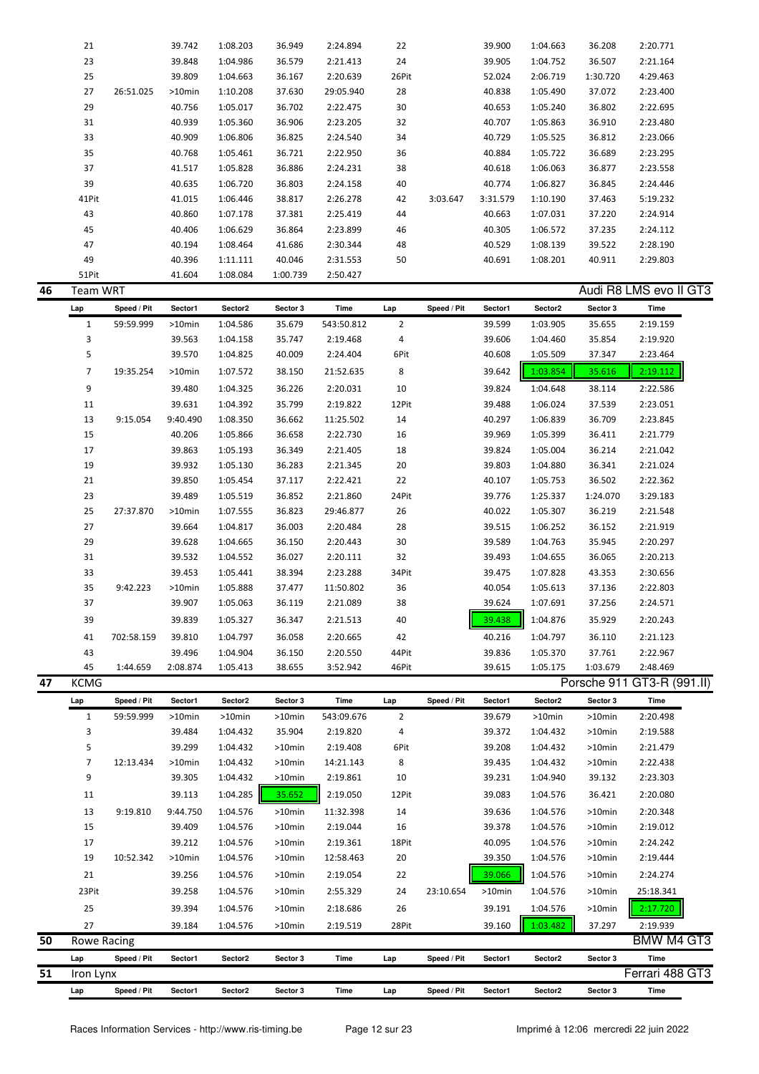|    | 21                 |             | 39.742   | 1:08.203 | 36.949   | 2:24.894   | 22             |             | 39.900   | 1:04.663 | 36.208      | 2:20.771               |
|----|--------------------|-------------|----------|----------|----------|------------|----------------|-------------|----------|----------|-------------|------------------------|
|    | 23                 |             | 39.848   | 1:04.986 | 36.579   | 2:21.413   | 24             |             | 39.905   | 1:04.752 | 36.507      | 2:21.164               |
|    | 25                 |             | 39.809   | 1:04.663 | 36.167   | 2:20.639   | 26Pit          |             | 52.024   | 2:06.719 | 1:30.720    | 4:29.463               |
|    | 27                 | 26:51.025   | >10min   | 1:10.208 | 37.630   | 29:05.940  | 28             |             | 40.838   | 1:05.490 | 37.072      | 2:23.400               |
|    | 29                 |             | 40.756   | 1:05.017 | 36.702   | 2:22.475   | 30             |             | 40.653   | 1:05.240 | 36.802      | 2:22.695               |
|    | 31                 |             | 40.939   | 1:05.360 | 36.906   | 2:23.205   | 32             |             | 40.707   | 1:05.863 | 36.910      | 2:23.480               |
|    | 33                 |             | 40.909   | 1:06.806 | 36.825   | 2:24.540   | 34             |             | 40.729   | 1:05.525 | 36.812      | 2:23.066               |
|    | 35                 |             | 40.768   | 1:05.461 | 36.721   | 2:22.950   | 36             |             | 40.884   | 1:05.722 | 36.689      | 2:23.295               |
|    |                    |             |          |          |          |            |                |             |          |          |             |                        |
|    | 37                 |             | 41.517   | 1:05.828 | 36.886   | 2:24.231   | 38             |             | 40.618   | 1:06.063 | 36.877      | 2:23.558               |
|    | 39                 |             | 40.635   | 1:06.720 | 36.803   | 2:24.158   | 40             |             | 40.774   | 1:06.827 | 36.845      | 2:24.446               |
|    | 41Pit              |             | 41.015   | 1:06.446 | 38.817   | 2:26.278   | 42             | 3:03.647    | 3:31.579 | 1:10.190 | 37.463      | 5:19.232               |
|    | 43                 |             | 40.860   | 1:07.178 | 37.381   | 2:25.419   | 44             |             | 40.663   | 1:07.031 | 37.220      | 2:24.914               |
|    | 45                 |             | 40.406   | 1:06.629 | 36.864   | 2:23.899   | 46             |             | 40.305   | 1:06.572 | 37.235      | 2:24.112               |
|    | 47                 |             | 40.194   | 1:08.464 | 41.686   | 2:30.344   | 48             |             | 40.529   | 1:08.139 | 39.522      | 2:28.190               |
|    | 49                 |             | 40.396   | 1:11.111 | 40.046   | 2:31.553   | 50             |             | 40.691   | 1:08.201 | 40.911      | 2:29.803               |
|    | 51Pit              |             | 41.604   | 1:08.084 | 1:00.739 | 2:50.427   |                |             |          |          |             |                        |
| 46 | <b>Team WRT</b>    |             |          |          |          |            |                |             |          |          |             | Audi R8 LMS evo II GT3 |
|    | Lap                | Speed / Pit | Sector1  | Sector2  | Sector 3 | Time       | Lap            | Speed / Pit | Sector1  | Sector2  | Sector 3    | Time                   |
|    | $\mathbf{1}$       | 59:59.999   | >10min   | 1:04.586 | 35.679   | 543:50.812 | $\overline{2}$ |             | 39.599   | 1:03.905 | 35.655      | 2:19.159               |
|    | 3                  |             | 39.563   | 1:04.158 | 35.747   | 2:19.468   | 4              |             | 39.606   | 1:04.460 | 35.854      | 2:19.920               |
|    | 5                  |             | 39.570   | 1:04.825 | 40.009   | 2:24.404   | 6Pit           |             | 40.608   | 1:05.509 | 37.347      | 2:23.464               |
|    | 7                  | 19:35.254   | >10min   | 1:07.572 | 38.150   | 21:52.635  | 8              |             | 39.642   | 1:03.854 | 35.616      | 2:19.112               |
|    |                    |             |          |          |          |            |                |             |          |          |             |                        |
|    | 9                  |             | 39.480   | 1:04.325 | 36.226   | 2:20.031   | 10             |             | 39.824   | 1:04.648 | 38.114      | 2:22.586               |
|    | 11                 |             | 39.631   | 1:04.392 | 35.799   | 2:19.822   | 12Pit          |             | 39.488   | 1:06.024 | 37.539      | 2:23.051               |
|    | 13                 | 9:15.054    | 9:40.490 | 1:08.350 | 36.662   | 11:25.502  | 14             |             | 40.297   | 1:06.839 | 36.709      | 2:23.845               |
|    | 15                 |             | 40.206   | 1:05.866 | 36.658   | 2:22.730   | 16             |             | 39.969   | 1:05.399 | 36.411      | 2:21.779               |
|    | 17                 |             | 39.863   | 1:05.193 | 36.349   | 2:21.405   | 18             |             | 39.824   | 1:05.004 | 36.214      | 2:21.042               |
|    | 19                 |             | 39.932   | 1:05.130 | 36.283   | 2:21.345   | 20             |             | 39.803   | 1:04.880 | 36.341      | 2:21.024               |
|    | 21                 |             | 39.850   | 1:05.454 | 37.117   | 2:22.421   | 22             |             | 40.107   | 1:05.753 | 36.502      | 2:22.362               |
|    | 23                 |             | 39.489   | 1:05.519 | 36.852   | 2:21.860   | 24Pit          |             | 39.776   | 1:25.337 | 1:24.070    | 3:29.183               |
|    | 25                 | 27:37.870   | >10min   | 1:07.555 | 36.823   | 29:46.877  | 26             |             | 40.022   | 1:05.307 | 36.219      | 2:21.548               |
|    | 27                 |             | 39.664   | 1:04.817 | 36.003   | 2:20.484   | 28             |             | 39.515   | 1:06.252 | 36.152      | 2:21.919               |
|    | 29                 |             | 39.628   | 1:04.665 | 36.150   | 2:20.443   | 30             |             | 39.589   | 1:04.763 | 35.945      | 2:20.297               |
|    | 31                 |             | 39.532   | 1:04.552 | 36.027   | 2:20.111   | 32             |             | 39.493   | 1:04.655 | 36.065      | 2:20.213               |
|    | 33                 |             | 39.453   | 1:05.441 | 38.394   | 2:23.288   | 34Pit          |             | 39.475   | 1:07.828 | 43.353      | 2:30.656               |
|    | 35                 | 9:42.223    | >10min   | 1:05.888 | 37.477   | 11:50.802  | 36             |             | 40.054   | 1:05.613 | 37.136      | 2:22.803               |
|    | 37                 |             | 39.907   | 1:05.063 | 36.119   | 2:21.089   | 38             |             | 39.624   | 1:07.691 | 37.256      | 2:24.571               |
|    | 39                 |             | 39.839   | 1:05.327 | 36.347   | 2:21.513   | 40             |             | 39.438   | 1:04.876 | 35.929      | 2:20.243               |
|    |                    |             |          |          |          |            |                |             |          |          |             |                        |
|    | 41                 | 702:58.159  | 39.810   | 1:04.797 | 36.058   | 2:20.665   | 42             |             | 40.216   | 1:04.797 | 36.110      | 2:21.123               |
|    | 43                 |             | 39.496   | 1:04.904 | 36.150   | 2:20.550   | 44Pit          |             | 39.836   | 1:05.370 | 37.761      | 2:22.967               |
|    | 45                 | 1:44.659    | 2:08.874 | 1:05.413 | 38.655   | 3:52.942   | 46Pit          |             | 39.615   | 1:05.175 | 1:03.679    | 2:48.469               |
| 47 | <b>KCMG</b>        |             |          |          |          |            |                |             |          |          | Porsche 911 | GT3-R (991.II)         |
|    | Lap                | Speed / Pit | Sector1  | Sector2  | Sector 3 | Time       | Lap            | Speed / Pit | Sector1  | Sector2  | Sector 3    | Time                   |
|    | $\mathbf{1}$       | 59:59.999   | >10min   | >10min   | >10min   | 543:09.676 | 2              |             | 39.679   | >10min   | $>10$ min   | 2:20.498               |
|    | 3                  |             | 39.484   | 1:04.432 | 35.904   | 2:19.820   | 4              |             | 39.372   | 1:04.432 | >10min      | 2:19.588               |
|    | 5                  |             | 39.299   | 1:04.432 | >10min   | 2:19.408   | 6Pit           |             | 39.208   | 1:04.432 | >10min      | 2:21.479               |
|    | 7                  | 12:13.434   | >10min   | 1:04.432 | >10min   | 14:21.143  | 8              |             | 39.435   | 1:04.432 | >10min      | 2:22.438               |
|    | 9                  |             | 39.305   | 1:04.432 | >10min   | 2:19.861   | 10             |             | 39.231   | 1:04.940 | 39.132      | 2:23.303               |
|    | 11                 |             | 39.113   | 1:04.285 | 35.652   | 2:19.050   | 12Pit          |             | 39.083   | 1:04.576 | 36.421      | 2:20.080               |
|    | 13                 | 9:19.810    | 9:44.750 | 1:04.576 | >10min   | 11:32.398  | 14             |             | 39.636   | 1:04.576 | >10min      | 2:20.348               |
|    | 15                 |             | 39.409   | 1:04.576 | >10min   | 2:19.044   | 16             |             | 39.378   | 1:04.576 | >10min      | 2:19.012               |
|    | 17                 |             | 39.212   | 1:04.576 | >10min   | 2:19.361   | 18Pit          |             | 40.095   | 1:04.576 | >10min      | 2:24.242               |
|    |                    |             |          |          |          |            |                |             |          |          |             |                        |
|    | 19                 | 10:52.342   | >10min   | 1:04.576 | >10min   | 12:58.463  | 20             |             | 39.350   | 1:04.576 | >10min      | 2:19.444               |
|    | 21                 |             | 39.256   | 1:04.576 | >10min   | 2:19.054   | 22             |             | 39.066   | 1:04.576 | >10min      | 2:24.274               |
|    | 23Pit              |             | 39.258   | 1:04.576 | >10min   | 2:55.329   | 24             | 23:10.654   | >10min   | 1:04.576 | >10min      | 25:18.341              |
|    | 25                 |             | 39.394   | 1:04.576 | >10min   | 2:18.686   | 26             |             | 39.191   | 1:04.576 | >10min      | 2:17.720               |
|    | 27                 |             | 39.184   | 1:04.576 | >10min   | 2:19.519   | 28Pit          |             | 39.160   | 1:03.482 | 37.297      | 2:19.939               |
| 50 | <b>Rowe Racing</b> |             |          |          |          |            |                |             |          |          |             | BMW M4 GT3             |
|    | Lap                | Speed / Pit | Sector1  | Sector2  | Sector 3 | Time       | Lap            | Speed / Pit | Sector1  | Sector2  | Sector 3    | Time                   |
| 51 | Iron Lynx          |             |          |          |          |            |                |             |          |          |             | Ferrari 488 GT3        |
|    | Lap                | Speed / Pit | Sector1  | Sector2  | Sector 3 | Time       | Lap            | Speed / Pit | Sector1  | Sector2  | Sector 3    | Time                   |
|    |                    |             |          |          |          |            |                |             |          |          |             |                        |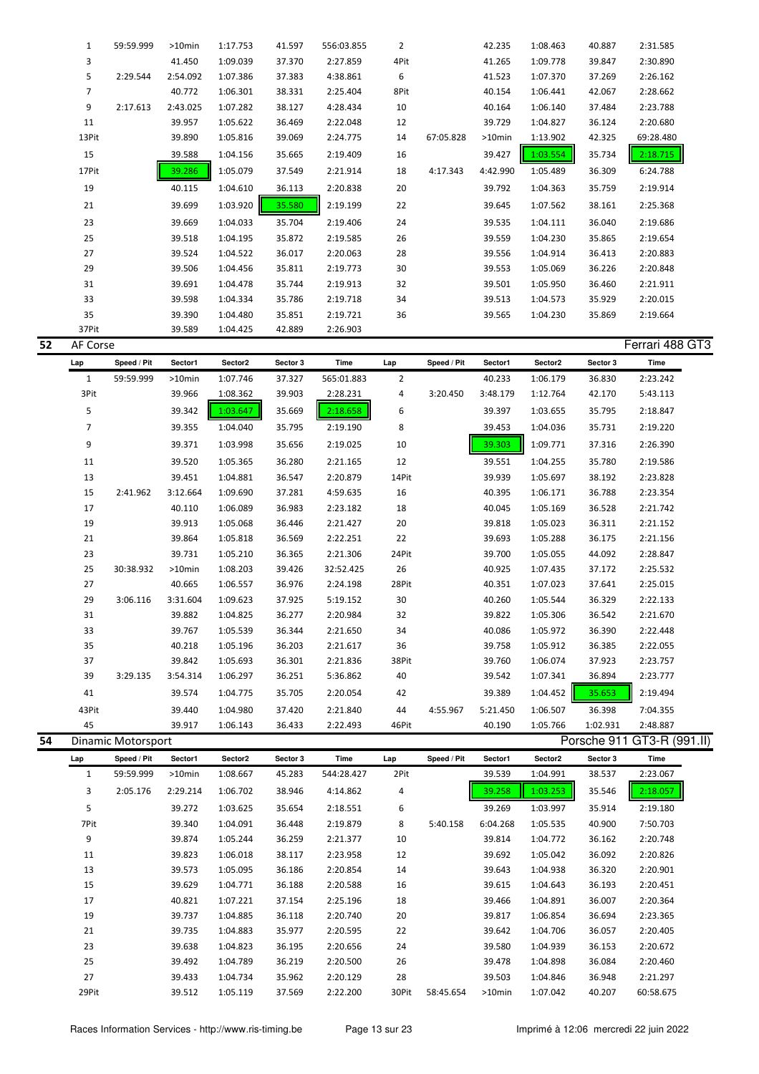| 1              | 59:59.999 | $>10$ min | 1:17.753 | 41.597 | 556:03.855 | 2    |           | 42.235    | 1:08.463 | 40.887 | 2:31.585  |  |
|----------------|-----------|-----------|----------|--------|------------|------|-----------|-----------|----------|--------|-----------|--|
| 3              |           | 41.450    | 1:09.039 | 37.370 | 2:27.859   | 4Pit |           | 41.265    | 1:09.778 | 39.847 | 2:30.890  |  |
| 5              | 2:29.544  | 2:54.092  | 1:07.386 | 37.383 | 4:38.861   | 6    |           | 41.523    | 1:07.370 | 37.269 | 2:26.162  |  |
| $\overline{7}$ |           | 40.772    | 1:06.301 | 38.331 | 2:25.404   | 8Pit |           | 40.154    | 1:06.441 | 42.067 | 2:28.662  |  |
| 9              | 2:17.613  | 2:43.025  | 1:07.282 | 38.127 | 4:28.434   | 10   |           | 40.164    | 1:06.140 | 37.484 | 2:23.788  |  |
| 11             |           | 39.957    | 1:05.622 | 36.469 | 2:22.048   | 12   |           | 39.729    | 1:04.827 | 36.124 | 2:20.680  |  |
| 13Pit          |           | 39.890    | 1:05.816 | 39.069 | 2:24.775   | 14   | 67:05.828 | $>10$ min | 1:13.902 | 42.325 | 69:28.480 |  |
| 15             |           | 39.588    | 1:04.156 | 35.665 | 2:19.409   | 16   |           | 39.427    | 1:03.554 | 35.734 | 2:18.715  |  |
| 17Pit          |           | 39.286    | 1:05.079 | 37.549 | 2:21.914   | 18   | 4:17.343  | 4:42.990  | 1:05.489 | 36.309 | 6:24.788  |  |
| 19             |           | 40.115    | 1:04.610 | 36.113 | 2:20.838   | 20   |           | 39.792    | 1:04.363 | 35.759 | 2:19.914  |  |
| 21             |           | 39.699    | 1:03.920 | 35.580 | 2:19.199   | 22   |           | 39.645    | 1:07.562 | 38.161 | 2:25.368  |  |
| 23             |           | 39.669    | 1:04.033 | 35.704 | 2:19.406   | 24   |           | 39.535    | 1:04.111 | 36.040 | 2:19.686  |  |
| 25             |           | 39.518    | 1:04.195 | 35.872 | 2:19.585   | 26   |           | 39.559    | 1:04.230 | 35.865 | 2:19.654  |  |
| 27             |           | 39.524    | 1:04.522 | 36.017 | 2:20.063   | 28   |           | 39.556    | 1:04.914 | 36.413 | 2:20.883  |  |
| 29             |           | 39.506    | 1:04.456 | 35.811 | 2:19.773   | 30   |           | 39.553    | 1:05.069 | 36.226 | 2:20.848  |  |
| 31             |           | 39.691    | 1:04.478 | 35.744 | 2:19.913   | 32   |           | 39.501    | 1:05.950 | 36.460 | 2:21.911  |  |
| 33             |           | 39.598    | 1:04.334 | 35.786 | 2:19.718   | 34   |           | 39.513    | 1:04.573 | 35.929 | 2:20.015  |  |
| 35             |           | 39.390    | 1:04.480 | 35.851 | 2:19.721   | 36   |           | 39.565    | 1:04.230 | 35.869 | 2:19.664  |  |
| 37Pit          |           | 39.589    | 1:04.425 | 42.889 | 2:26.903   |      |           |           |          |        |           |  |

| 52 | AF Corse       |                    |           |          |          |            |                |             |          |          |          | Ferrari 488 GT3            |
|----|----------------|--------------------|-----------|----------|----------|------------|----------------|-------------|----------|----------|----------|----------------------------|
|    | Lap            | Speed / Pit        | Sector1   | Sector2  | Sector 3 | Time       | Lap            | Speed / Pit | Sector1  | Sector2  | Sector 3 | Time                       |
|    | $\mathbf{1}$   | 59:59.999          | $>10$ min | 1:07.746 | 37.327   | 565:01.883 | $\overline{2}$ |             | 40.233   | 1:06.179 | 36.830   | 2:23.242                   |
|    | 3Pit           |                    | 39.966    | 1:08.362 | 39.903   | 2:28.231   | 4              | 3:20.450    | 3:48.179 | 1:12.764 | 42.170   | 5:43.113                   |
|    | 5              |                    | 39.342    | 1:03.647 | 35.669   | 2:18.658   | 6              |             | 39.397   | 1:03.655 | 35.795   | 2:18.847                   |
|    | $\overline{7}$ |                    | 39.355    | 1:04.040 | 35.795   | 2:19.190   | 8              |             | 39.453   | 1:04.036 | 35.731   | 2:19.220                   |
|    | 9              |                    | 39.371    | 1:03.998 | 35.656   | 2:19.025   | 10             |             | 39.303   | 1:09.771 | 37.316   | 2:26.390                   |
|    | 11             |                    | 39.520    | 1:05.365 | 36.280   | 2:21.165   | 12             |             | 39.551   | 1:04.255 | 35.780   | 2:19.586                   |
|    | 13             |                    | 39.451    | 1:04.881 | 36.547   | 2:20.879   | 14Pit          |             | 39.939   | 1:05.697 | 38.192   | 2:23.828                   |
|    | 15             | 2:41.962           | 3:12.664  | 1:09.690 | 37.281   | 4:59.635   | 16             |             | 40.395   | 1:06.171 | 36.788   | 2:23.354                   |
|    | 17             |                    | 40.110    | 1:06.089 | 36.983   | 2:23.182   | 18             |             | 40.045   | 1:05.169 | 36.528   | 2:21.742                   |
|    | 19             |                    | 39.913    | 1:05.068 | 36.446   | 2:21.427   | 20             |             | 39.818   | 1:05.023 | 36.311   | 2:21.152                   |
|    | 21             |                    | 39.864    | 1:05.818 | 36.569   | 2:22.251   | 22             |             | 39.693   | 1:05.288 | 36.175   | 2:21.156                   |
|    | 23             |                    | 39.731    | 1:05.210 | 36.365   | 2:21.306   | 24Pit          |             | 39.700   | 1:05.055 | 44.092   | 2:28.847                   |
|    | 25             | 30:38.932          | $>10$ min | 1:08.203 | 39.426   | 32:52.425  | 26             |             | 40.925   | 1:07.435 | 37.172   | 2:25.532                   |
|    | 27             |                    | 40.665    | 1:06.557 | 36.976   | 2:24.198   | 28Pit          |             | 40.351   | 1:07.023 | 37.641   | 2:25.015                   |
|    | 29             | 3:06.116           | 3:31.604  | 1:09.623 | 37.925   | 5:19.152   | 30             |             | 40.260   | 1:05.544 | 36.329   | 2:22.133                   |
|    | 31             |                    | 39.882    | 1:04.825 | 36.277   | 2:20.984   | 32             |             | 39.822   | 1:05.306 | 36.542   | 2:21.670                   |
|    | 33             |                    | 39.767    | 1:05.539 | 36.344   | 2:21.650   | 34             |             | 40.086   | 1:05.972 | 36.390   | 2:22.448                   |
|    | 35             |                    | 40.218    | 1:05.196 | 36.203   | 2:21.617   | 36             |             | 39.758   | 1:05.912 | 36.385   | 2:22.055                   |
|    | 37             |                    | 39.842    | 1:05.693 | 36.301   | 2:21.836   | 38Pit          |             | 39.760   | 1:06.074 | 37.923   | 2:23.757                   |
|    | 39             | 3:29.135           | 3:54.314  | 1:06.297 | 36.251   | 5:36.862   | 40             |             | 39.542   | 1:07.341 | 36.894   | 2:23.777                   |
|    | 41             |                    | 39.574    | 1:04.775 | 35.705   | 2:20.054   | 42             |             | 39.389   | 1:04.452 | 35.653   | 2:19.494                   |
|    | 43Pit          |                    | 39.440    | 1:04.980 | 37.420   | 2:21.840   | 44             | 4:55.967    | 5:21.450 | 1:06.507 | 36.398   | 7:04.355                   |
|    | 45             |                    | 39.917    | 1:06.143 | 36.433   | 2:22.493   | 46Pit          |             | 40.190   | 1:05.766 | 1:02.931 | 2:48.887                   |
| 54 |                | Dinamic Motorsport |           |          |          |            |                |             |          |          |          | Porsche 911 GT3-R (991.II) |

| Lap   | Speed / Pit | Sector1  | Sector2  | Sector 3 | Time       | Lap   | Speed / Pit | Sector1  | Sector2  | Sector 3 | Time      |
|-------|-------------|----------|----------|----------|------------|-------|-------------|----------|----------|----------|-----------|
| 1     | 59:59.999   | >10min   | 1:08.667 | 45.283   | 544:28.427 | 2Pit  |             | 39.539   | 1:04.991 | 38.537   | 2:23.067  |
| 3     | 2:05.176    | 2:29.214 | 1:06.702 | 38.946   | 4:14.862   | 4     |             | 39.258   | 1:03.253 | 35.546   | 2:18.057  |
| 5     |             | 39.272   | 1:03.625 | 35.654   | 2:18.551   | 6     |             | 39.269   | 1:03.997 | 35.914   | 2:19.180  |
| 7Pit  |             | 39.340   | 1:04.091 | 36.448   | 2:19.879   | 8     | 5:40.158    | 6:04.268 | 1:05.535 | 40.900   | 7:50.703  |
| 9     |             | 39.874   | 1:05.244 | 36.259   | 2:21.377   | 10    |             | 39.814   | 1:04.772 | 36.162   | 2:20.748  |
| 11    |             | 39.823   | 1:06.018 | 38.117   | 2:23.958   | 12    |             | 39.692   | 1:05.042 | 36.092   | 2:20.826  |
| 13    |             | 39.573   | 1:05.095 | 36.186   | 2:20.854   | 14    |             | 39.643   | 1:04.938 | 36.320   | 2:20.901  |
| 15    |             | 39.629   | 1:04.771 | 36.188   | 2:20.588   | 16    |             | 39.615   | 1:04.643 | 36.193   | 2:20.451  |
| 17    |             | 40.821   | 1:07.221 | 37.154   | 2:25.196   | 18    |             | 39.466   | 1:04.891 | 36.007   | 2:20.364  |
| 19    |             | 39.737   | 1:04.885 | 36.118   | 2:20.740   | 20    |             | 39.817   | 1:06.854 | 36.694   | 2:23.365  |
| 21    |             | 39.735   | 1:04.883 | 35.977   | 2:20.595   | 22    |             | 39.642   | 1:04.706 | 36.057   | 2:20.405  |
| 23    |             | 39.638   | 1:04.823 | 36.195   | 2:20.656   | 24    |             | 39.580   | 1:04.939 | 36.153   | 2:20.672  |
| 25    |             | 39.492   | 1:04.789 | 36.219   | 2:20.500   | 26    |             | 39.478   | 1:04.898 | 36.084   | 2:20.460  |
| 27    |             | 39.433   | 1:04.734 | 35.962   | 2:20.129   | 28    |             | 39.503   | 1:04.846 | 36.948   | 2:21.297  |
| 29Pit |             | 39.512   | 1:05.119 | 37.569   | 2:22.200   | 30Pit | 58:45.654   | >10min   | 1:07.042 | 40.207   | 60:58.675 |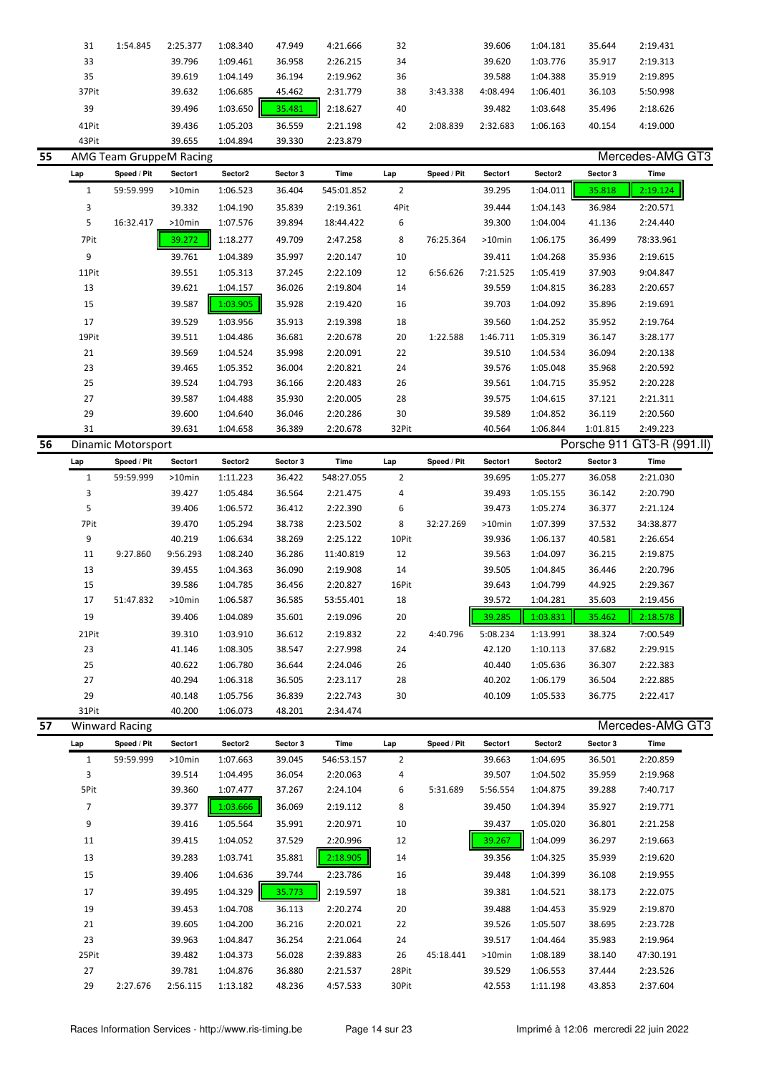|    | 31    | 1:54.845                | 2:25.377  | 1:08.340 | 47.949   | 4:21.666   | 32   |             | 39.606   | 1:04.181 | 35.644   | 2:19.431         |  |
|----|-------|-------------------------|-----------|----------|----------|------------|------|-------------|----------|----------|----------|------------------|--|
|    | 33    |                         | 39.796    | 1:09.461 | 36.958   | 2:26.215   | 34   |             | 39.620   | 1:03.776 | 35.917   | 2:19.313         |  |
|    | 35    |                         | 39.619    | 1:04.149 | 36.194   | 2:19.962   | 36   |             | 39.588   | 1:04.388 | 35.919   | 2:19.895         |  |
|    | 37Pit |                         | 39.632    | 1:06.685 | 45.462   | 2:31.779   | 38   | 3:43.338    | 4:08.494 | 1:06.401 | 36.103   | 5:50.998         |  |
|    | 39    |                         | 39.496    | 1:03.650 | 35.481   | 2:18.627   | 40   |             | 39.482   | 1:03.648 | 35.496   | 2:18.626         |  |
|    | 41Pit |                         | 39.436    | 1:05.203 | 36.559   | 2:21.198   | 42   | 2:08.839    | 2:32.683 | 1:06.163 | 40.154   | 4:19.000         |  |
|    | 43Pit |                         | 39.655    | 1:04.894 | 39.330   | 2:23.879   |      |             |          |          |          |                  |  |
| 55 |       | AMG Team GruppeM Racing |           |          |          |            |      |             |          |          |          | Mercedes-AMG GT3 |  |
|    | Lap   | Speed / Pit             | Sector1   | Sector2  | Sector 3 | Time       | Lap  | Speed / Pit | Sector1  | Sector2  | Sector 3 | Time             |  |
|    |       | 59:59.999               | $>10$ min | 1:06.523 | 36.404   | 545:01.852 | 2    |             | 39.295   | 1:04.011 | 35.818   | 2:19.124         |  |
|    | 3     |                         | 39.332    | 1:04.190 | 35.839   | 2:19.361   | 4Pit |             | 39.444   | 1:04.143 | 36.984   | 2:20.571         |  |

| 5     | 16:32.417 | $>10$ min | 1:07.576 | 39.894 | 18:44.422 | 6     |           | 39.300    | 1:04.004 | 41.136   | 2:24.440  |  |
|-------|-----------|-----------|----------|--------|-----------|-------|-----------|-----------|----------|----------|-----------|--|
| 7Pit  |           | 39.272    | 1:18.277 | 49.709 | 2:47.258  | 8     | 76:25.364 | $>10$ min | 1:06.175 | 36.499   | 78:33.961 |  |
| 9     |           | 39.761    | 1:04.389 | 35.997 | 2:20.147  | 10    |           | 39.411    | 1:04.268 | 35.936   | 2:19.615  |  |
| 11Pit |           | 39.551    | 1:05.313 | 37.245 | 2:22.109  | 12    | 6:56.626  | 7:21.525  | 1:05.419 | 37.903   | 9:04.847  |  |
| 13    |           | 39.621    | 1:04.157 | 36.026 | 2:19.804  | 14    |           | 39.559    | 1:04.815 | 36.283   | 2:20.657  |  |
| 15    |           | 39.587    | 1:03.905 | 35.928 | 2:19.420  | 16    |           | 39.703    | 1:04.092 | 35.896   | 2:19.691  |  |
| 17    |           | 39.529    | 1:03.956 | 35.913 | 2:19.398  | 18    |           | 39.560    | 1:04.252 | 35.952   | 2:19.764  |  |
| 19Pit |           | 39.511    | 1:04.486 | 36.681 | 2:20.678  | 20    | 1:22.588  | 1:46.711  | 1:05.319 | 36.147   | 3:28.177  |  |
| 21    |           | 39.569    | 1:04.524 | 35.998 | 2:20.091  | 22    |           | 39.510    | 1:04.534 | 36.094   | 2:20.138  |  |
| 23    |           | 39.465    | 1:05.352 | 36.004 | 2:20.821  | 24    |           | 39.576    | 1:05.048 | 35.968   | 2:20.592  |  |
| 25    |           | 39.524    | 1:04.793 | 36.166 | 2:20.483  | 26    |           | 39.561    | 1:04.715 | 35.952   | 2:20.228  |  |
| 27    |           | 39.587    | 1:04.488 | 35.930 | 2:20.005  | 28    |           | 39.575    | 1:04.615 | 37.121   | 2:21.311  |  |
| 29    |           | 39.600    | 1:04.640 | 36.046 | 2:20.286  | 30    |           | 39.589    | 1:04.852 | 36.119   | 2:20.560  |  |
| 31    |           | 39.631    | 1:04.658 | 36.389 | 2:20.678  | 32Pit |           | 40.564    | 1:06.844 | 1:01.815 | 2:49.223  |  |

|       | Dinamic Motorsport |           |          |          |            |                |             |           |          |          | Porsche 911 GT3-R (991.II) |
|-------|--------------------|-----------|----------|----------|------------|----------------|-------------|-----------|----------|----------|----------------------------|
| Lap   | Speed / Pit        | Sector1   | Sector2  | Sector 3 | Time       | Lap            | Speed / Pit | Sector1   | Sector2  | Sector 3 | Time                       |
| 1     | 59:59.999          | $>10$ min | 1:11.223 | 36.422   | 548:27.055 | $\overline{2}$ |             | 39.695    | 1:05.277 | 36.058   | 2:21.030                   |
| 3     |                    | 39.427    | 1:05.484 | 36.564   | 2:21.475   | 4              |             | 39.493    | 1:05.155 | 36.142   | 2:20.790                   |
| 5     |                    | 39.406    | 1:06.572 | 36.412   | 2:22.390   | 6              |             | 39.473    | 1:05.274 | 36.377   | 2:21.124                   |
| 7Pit  |                    | 39.470    | 1:05.294 | 38.738   | 2:23.502   | 8              | 32:27.269   | $>10$ min | 1:07.399 | 37.532   | 34:38.877                  |
| 9     |                    | 40.219    | 1:06.634 | 38.269   | 2:25.122   | 10Pit          |             | 39.936    | 1:06.137 | 40.581   | 2:26.654                   |
| 11    | 9:27.860           | 9:56.293  | 1:08.240 | 36.286   | 11:40.819  | 12             |             | 39.563    | 1:04.097 | 36.215   | 2:19.875                   |
| 13    |                    | 39.455    | 1:04.363 | 36.090   | 2:19.908   | 14             |             | 39.505    | 1:04.845 | 36.446   | 2:20.796                   |
| 15    |                    | 39.586    | 1:04.785 | 36.456   | 2:20.827   | 16Pit          |             | 39.643    | 1:04.799 | 44.925   | 2:29.367                   |
| 17    | 51:47.832          | >10min    | 1:06.587 | 36.585   | 53:55.401  | 18             |             | 39.572    | 1:04.281 | 35.603   | 2:19.456                   |
| 19    |                    | 39.406    | 1:04.089 | 35.601   | 2:19.096   | 20             |             | 39.285    | 1:03.831 | 35.462   | 2:18.578                   |
| 21Pit |                    | 39.310    | 1:03.910 | 36.612   | 2:19.832   | 22             | 4:40.796    | 5:08.234  | 1:13.991 | 38.324   | 7:00.549                   |
| 23    |                    | 41.146    | 1:08.305 | 38.547   | 2:27.998   | 24             |             | 42.120    | 1:10.113 | 37.682   | 2:29.915                   |
| 25    |                    | 40.622    | 1:06.780 | 36.644   | 2:24.046   | 26             |             | 40.440    | 1:05.636 | 36.307   | 2:22.383                   |
| 27    |                    | 40.294    | 1:06.318 | 36.505   | 2:23.117   | 28             |             | 40.202    | 1:06.179 | 36.504   | 2:22.885                   |
| 29    |                    | 40.148    | 1:05.756 | 36.839   | 2:22.743   | 30             |             | 40.109    | 1:05.533 | 36.775   | 2:22.417                   |
| 31Pit |                    | 40.200    | 1:06.073 | 48.201   | 2:34.474   |                |             |           |          |          |                            |

| 57 |                | <b>Winward Racing</b> |           |          |          |            |                |             |          |          |          | Mercedes-AMG GT3 |  |
|----|----------------|-----------------------|-----------|----------|----------|------------|----------------|-------------|----------|----------|----------|------------------|--|
|    | Lap            | Speed / Pit           | Sector1   | Sector2  | Sector 3 | Time       | Lap            | Speed / Pit | Sector1  | Sector2  | Sector 3 | Time             |  |
|    |                | 59:59.999             | $>10$ min | 1:07.663 | 39.045   | 546:53.157 | $\overline{2}$ |             | 39.663   | 1:04.695 | 36.501   | 2:20.859         |  |
|    | 3              |                       | 39.514    | 1:04.495 | 36.054   | 2:20.063   | 4              |             | 39.507   | 1:04.502 | 35.959   | 2:19.968         |  |
|    | 5Pit           |                       | 39.360    | 1:07.477 | 37.267   | 2:24.104   | 6              | 5:31.689    | 5:56.554 | 1:04.875 | 39.288   | 7:40.717         |  |
|    | $\overline{7}$ |                       | 39.377    | 1:03.666 | 36.069   | 2:19.112   | 8              |             | 39.450   | 1:04.394 | 35.927   | 2:19.771         |  |
|    | 9              |                       | 39.416    | 1:05.564 | 35.991   | 2:20.971   | 10             |             | 39.437   | 1:05.020 | 36.801   | 2:21.258         |  |
|    | 11             |                       | 39.415    | 1:04.052 | 37.529   | 2:20.996   | 12             |             | 39.267   | 1:04.099 | 36.297   | 2:19.663         |  |
|    | 13             |                       | 39.283    | 1:03.741 | 35.881   | 2:18.905   | 14             |             | 39.356   | 1:04.325 | 35.939   | 2:19.620         |  |
|    | 15             |                       | 39.406    | 1:04.636 | 39.744   | 2:23.786   | 16             |             | 39.448   | 1:04.399 | 36.108   | 2:19.955         |  |
|    | 17             |                       | 39.495    | 1:04.329 | 35.773   | 2:19.597   | 18             |             | 39.381   | 1:04.521 | 38.173   | 2:22.075         |  |
|    | 19             |                       | 39.453    | 1:04.708 | 36.113   | 2:20.274   | 20             |             | 39.488   | 1:04.453 | 35.929   | 2:19.870         |  |
|    | 21             |                       | 39.605    | 1:04.200 | 36.216   | 2:20.021   | 22             |             | 39.526   | 1:05.507 | 38.695   | 2:23.728         |  |
|    | 23             |                       | 39.963    | 1:04.847 | 36.254   | 2:21.064   | 24             |             | 39.517   | 1:04.464 | 35.983   | 2:19.964         |  |
|    | 25Pit          |                       | 39.482    | 1:04.373 | 56.028   | 2:39.883   | 26             | 45:18.441   | >10min   | 1:08.189 | 38.140   | 47:30.191        |  |
|    | 27             |                       | 39.781    | 1:04.876 | 36.880   | 2:21.537   | 28Pit          |             | 39.529   | 1:06.553 | 37.444   | 2:23.526         |  |
|    | 29             | 2:27.676              | 2:56.115  | 1:13.182 | 48.236   | 4:57.533   | 30Pit          |             | 42.553   | 1:11.198 | 43.853   | 2:37.604         |  |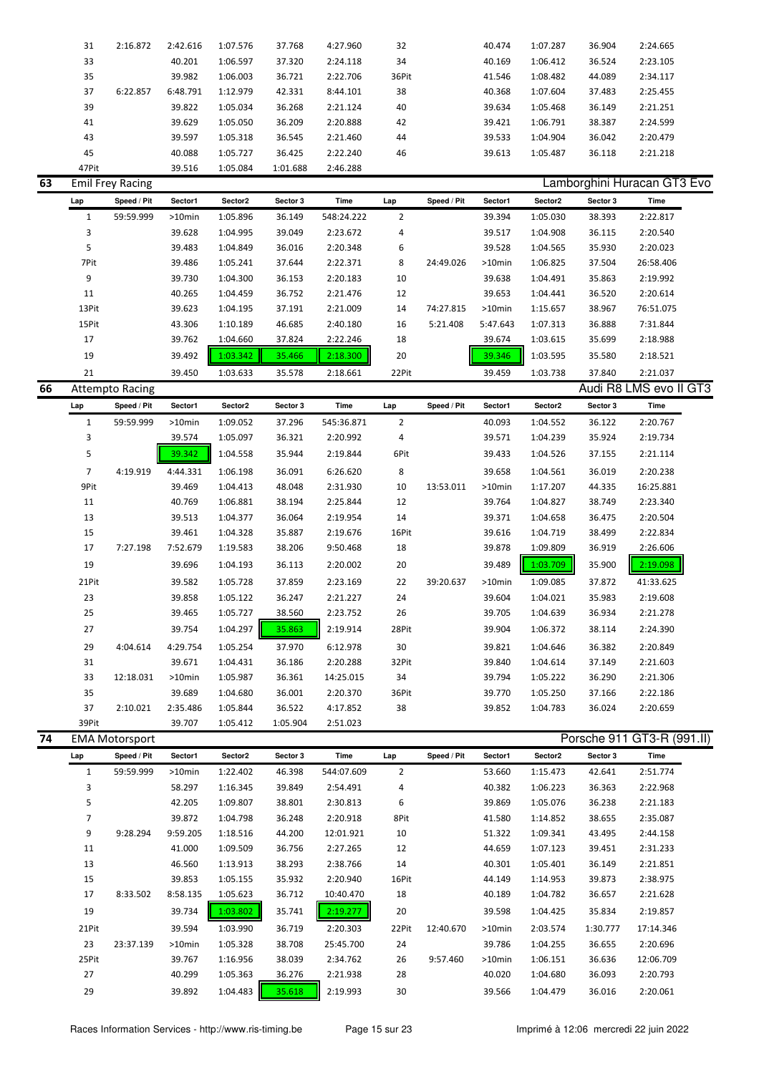|    | 31             | 2:16.872                | 2:42.616 | 1:07.576 | 37.768   | 4:27.960   | 32             |             | 40.474   | 1:07.287 | 36.904   | 2:24.665                           |  |
|----|----------------|-------------------------|----------|----------|----------|------------|----------------|-------------|----------|----------|----------|------------------------------------|--|
|    | 33             |                         | 40.201   | 1:06.597 | 37.320   | 2:24.118   | 34             |             | 40.169   | 1:06.412 | 36.524   | 2:23.105                           |  |
|    | 35             |                         | 39.982   | 1:06.003 | 36.721   | 2:22.706   | 36Pit          |             | 41.546   | 1:08.482 | 44.089   | 2:34.117                           |  |
|    | 37             | 6:22.857                | 6:48.791 | 1:12.979 | 42.331   | 8:44.101   | 38             |             | 40.368   | 1:07.604 | 37.483   | 2:25.455                           |  |
|    | 39             |                         | 39.822   | 1:05.034 | 36.268   | 2:21.124   | 40             |             | 39.634   | 1:05.468 | 36.149   | 2:21.251                           |  |
|    | 41             |                         | 39.629   | 1:05.050 | 36.209   | 2:20.888   | 42             |             | 39.421   | 1:06.791 | 38.387   | 2:24.599                           |  |
|    | 43             |                         | 39.597   | 1:05.318 | 36.545   | 2:21.460   | 44             |             | 39.533   | 1:04.904 | 36.042   | 2:20.479                           |  |
|    | 45             |                         | 40.088   | 1:05.727 | 36.425   | 2:22.240   | 46             |             | 39.613   | 1:05.487 | 36.118   | 2:21.218                           |  |
|    | 47Pit          |                         | 39.516   | 1:05.084 | 1:01.688 | 2:46.288   |                |             |          |          |          |                                    |  |
| 63 |                | <b>Emil Frey Racing</b> |          |          |          |            |                |             |          |          |          | Lamborghini Huracan GT3 Evo        |  |
|    | Lap            | Speed / Pit             | Sector1  | Sector2  | Sector 3 | Time       | Lap            | Speed / Pit | Sector1  | Sector2  | Sector 3 | Time                               |  |
|    | $\mathbf{1}$   | 59:59.999               | >10min   | 1:05.896 | 36.149   | 548:24.222 | $\overline{2}$ |             | 39.394   | 1:05.030 | 38.393   | 2:22.817                           |  |
|    | 3              |                         | 39.628   | 1:04.995 | 39.049   | 2:23.672   | 4              |             | 39.517   | 1:04.908 | 36.115   | 2:20.540                           |  |
|    | 5              |                         | 39.483   | 1:04.849 | 36.016   | 2:20.348   | 6              |             | 39.528   | 1:04.565 | 35.930   | 2:20.023                           |  |
|    | 7Pit           |                         | 39.486   | 1:05.241 | 37.644   | 2:22.371   | 8              | 24:49.026   | >10min   | 1:06.825 | 37.504   | 26:58.406                          |  |
|    | 9              |                         | 39.730   | 1:04.300 | 36.153   | 2:20.183   | 10             |             | 39.638   | 1:04.491 | 35.863   | 2:19.992                           |  |
|    | 11             |                         | 40.265   | 1:04.459 | 36.752   | 2:21.476   | 12             |             | 39.653   | 1:04.441 | 36.520   | 2:20.614                           |  |
|    | 13Pit          |                         | 39.623   | 1:04.195 | 37.191   | 2:21.009   | 14             | 74:27.815   | >10min   | 1:15.657 | 38.967   | 76:51.075                          |  |
|    | 15Pit          |                         | 43.306   | 1:10.189 | 46.685   | 2:40.180   | 16             | 5:21.408    | 5:47.643 | 1:07.313 | 36.888   | 7:31.844                           |  |
|    | 17             |                         | 39.762   | 1:04.660 | 37.824   | 2:22.246   | 18             |             | 39.674   | 1:03.615 | 35.699   | 2:18.988                           |  |
|    | 19             |                         | 39.492   | 1:03.342 | 35.466   | 2:18.300   | 20             |             | 39.346   | 1:03.595 | 35.580   | 2:18.521                           |  |
|    | 21             |                         |          |          |          |            | 22Pit          |             | 39.459   |          |          |                                    |  |
| 66 |                | <b>Attempto Racing</b>  | 39.450   | 1:03.633 | 35.578   | 2:18.661   |                |             |          | 1:03.738 | 37.840   | 2:21.037<br>Audi R8 LMS evo II GT3 |  |
|    |                |                         |          |          |          |            |                |             |          |          |          |                                    |  |
|    | Lap            | Speed / Pit             | Sector1  | Sector2  | Sector 3 | Time       | Lap            | Speed / Pit | Sector1  | Sector2  | Sector 3 | Time                               |  |
|    | $\mathbf{1}$   | 59:59.999               | >10min   | 1:09.052 | 37.296   | 545:36.871 | $\overline{2}$ |             | 40.093   | 1:04.552 | 36.122   | 2:20.767                           |  |
|    | 3              |                         | 39.574   | 1:05.097 | 36.321   | 2:20.992   | 4              |             | 39.571   | 1:04.239 | 35.924   | 2:19.734                           |  |
|    | 5              |                         | 39.342   | 1:04.558 | 35.944   | 2:19.844   | 6Pit           |             | 39.433   | 1:04.526 | 37.155   | 2:21.114                           |  |
|    | $\overline{7}$ | 4:19.919                | 4:44.331 | 1:06.198 | 36.091   | 6:26.620   | 8              |             | 39.658   | 1:04.561 | 36.019   | 2:20.238                           |  |
|    | 9Pit           |                         | 39.469   | 1:04.413 | 48.048   | 2:31.930   | 10             | 13:53.011   | >10min   | 1:17.207 | 44.335   | 16:25.881                          |  |
|    | 11             |                         | 40.769   | 1:06.881 | 38.194   | 2:25.844   | 12             |             | 39.764   | 1:04.827 | 38.749   | 2:23.340                           |  |
|    | 13             |                         | 39.513   | 1:04.377 | 36.064   | 2:19.954   | 14             |             | 39.371   | 1:04.658 | 36.475   | 2:20.504                           |  |
|    | 15             |                         | 39.461   | 1:04.328 | 35.887   | 2:19.676   | 16Pit          |             | 39.616   | 1:04.719 | 38.499   | 2:22.834                           |  |
|    | 17             | 7:27.198                | 7:52.679 | 1:19.583 | 38.206   | 9:50.468   | 18             |             | 39.878   | 1:09.809 | 36.919   | 2:26.606                           |  |
|    | 19             |                         | 39.696   | 1:04.193 | 36.113   | 2:20.002   | 20             |             | 39.489   | 1:03.709 | 35.900   | 2:19.098                           |  |
|    | 21Pit          |                         | 39.582   | 1:05.728 | 37.859   | 2:23.169   | 22             | 39:20.637   | >10min   | 1:09.085 | 37.872   | 41:33.625                          |  |
|    | 23             |                         | 39.858   | 1:05.122 | 36.247   | 2:21.227   | 24             |             | 39.604   | 1:04.021 | 35.983   | 2:19.608                           |  |
|    | 25             |                         | 39.465   | 1:05.727 | 38.560   | 2:23.752   | 26             |             | 39.705   | 1:04.639 | 36.934   | 2:21.278                           |  |
|    | 27             |                         | 39.754   | 1:04.297 | 35.863   | 2:19.914   | 28Pit          |             | 39.904   | 1:06.372 | 38.114   | 2:24.390                           |  |
|    |                |                         |          |          |          |            |                |             |          |          |          |                                    |  |
|    | 29             | 4:04.614                | 4:29.754 | 1:05.254 | 37.970   | 6:12.978   | 30             |             | 39.821   | 1:04.646 | 36.382   | 2:20.849                           |  |
|    | 31             |                         | 39.671   | 1:04.431 | 36.186   | 2:20.288   | 32Pit          |             | 39.840   | 1:04.614 | 37.149   | 2:21.603                           |  |
|    | 33             | 12:18.031               | >10min   | 1:05.987 | 36.361   | 14:25.015  | 34             |             | 39.794   | 1:05.222 | 36.290   | 2:21.306                           |  |
|    | 35             |                         | 39.689   | 1:04.680 | 36.001   | 2:20.370   | 36Pit          |             | 39.770   | 1:05.250 | 37.166   | 2:22.186                           |  |
|    | 37             | 2:10.021                | 2:35.486 | 1:05.844 | 36.522   | 4:17.852   | 38             |             | 39.852   | 1:04.783 | 36.024   | 2:20.659                           |  |
|    | 39Pit          |                         | 39.707   | 1:05.412 | 1:05.904 | 2:51.023   |                |             |          |          |          |                                    |  |
| 74 |                | <b>EMA Motorsport</b>   |          |          |          |            |                |             |          |          |          | Porsche 911 GT3-R (991.II)         |  |
|    | Lap            | Speed / Pit             | Sector1  | Sector2  | Sector 3 | Time       | Lap            | Speed / Pit | Sector1  | Sector2  | Sector 3 | Time                               |  |
|    | $\mathbf{1}$   | 59:59.999               | >10min   | 1:22.402 | 46.398   | 544:07.609 | $\overline{2}$ |             | 53.660   | 1:15.473 | 42.641   | 2:51.774                           |  |
|    | 3              |                         | 58.297   | 1:16.345 | 39.849   | 2:54.491   | 4              |             | 40.382   | 1:06.223 | 36.363   | 2:22.968                           |  |
|    | 5              |                         | 42.205   | 1:09.807 | 38.801   | 2:30.813   | 6              |             | 39.869   | 1:05.076 | 36.238   | 2:21.183                           |  |
|    | $\overline{7}$ |                         | 39.872   | 1:04.798 | 36.248   | 2:20.918   | 8Pit           |             | 41.580   | 1:14.852 | 38.655   | 2:35.087                           |  |
|    | 9              | 9:28.294                | 9:59.205 | 1:18.516 | 44.200   | 12:01.921  | 10             |             | 51.322   | 1:09.341 | 43.495   | 2:44.158                           |  |
|    | 11             |                         | 41.000   | 1:09.509 | 36.756   | 2:27.265   | 12             |             | 44.659   | 1:07.123 | 39.451   | 2:31.233                           |  |
|    |                |                         |          | 1:13.913 | 38.293   | 2:38.766   | 14             |             | 40.301   | 1:05.401 | 36.149   | 2:21.851                           |  |
|    | 13             |                         | 46.560   |          |          |            |                |             |          |          |          |                                    |  |
|    | 15             |                         | 39.853   | 1:05.155 | 35.932   | 2:20.940   | 16Pit          |             | 44.149   | 1:14.953 | 39.873   | 2:38.975                           |  |
|    | 17             | 8:33.502                | 8:58.135 | 1:05.623 | 36.712   | 10:40.470  | 18             |             | 40.189   | 1:04.782 | 36.657   | 2:21.628                           |  |
|    | 19             |                         | 39.734   | 1:03.802 | 35.741   | 2:19.277   | 20             |             | 39.598   | 1:04.425 | 35.834   | 2:19.857                           |  |

23 23:37.139 >10min 1:05.328 38.708 25:45.700 24 39.786 1:04.255 36.655 2:20.696 25Pit 39.767 1:16.956 38.039 2:34.762 26 9:57.460 >10min 1:06.151 36.636 12:06.709 27 40.299 1:05.363 36.276 2:21.938 28 40.020 1:04.680 36.093 2:20.793 29 39.892 1:04.483 35.618 2:19.993 30 39.566 1:04.479 36.016 2:20.061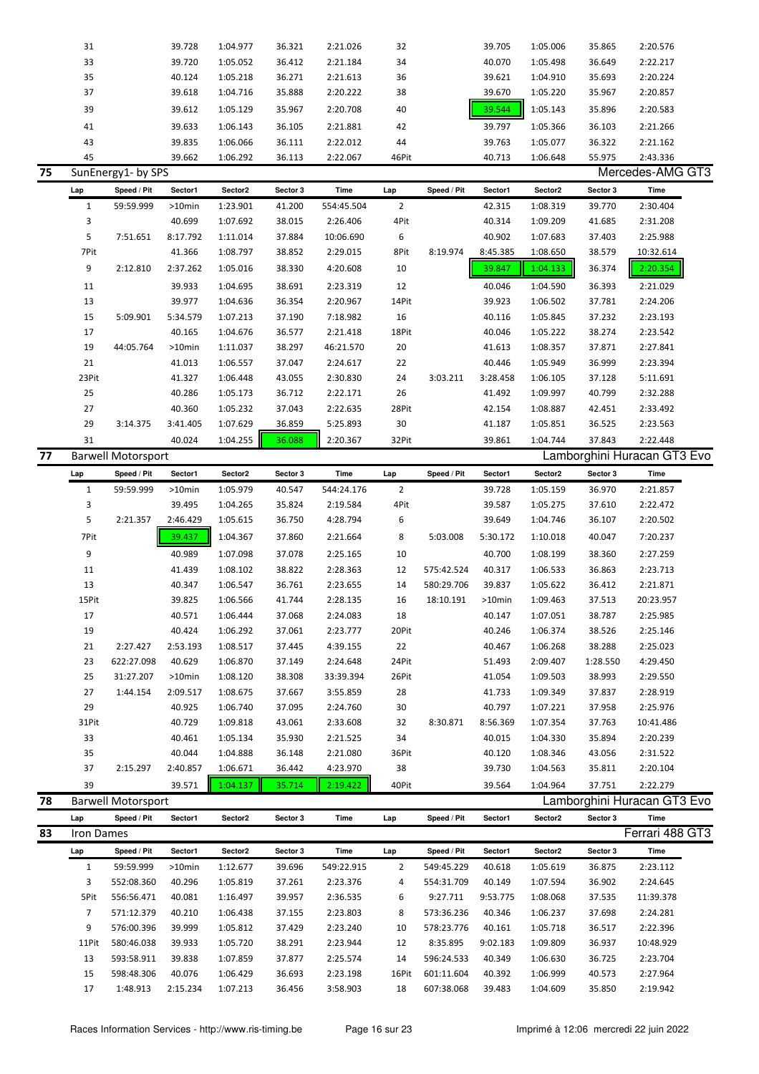|    | 31                |                           | 39.728             | 1:04.977             | 36.321           | 2:21.026             | 32             |                          | 39.705           | 1:05.006             | 35.865           | 2:20.576                    |
|----|-------------------|---------------------------|--------------------|----------------------|------------------|----------------------|----------------|--------------------------|------------------|----------------------|------------------|-----------------------------|
|    | 33                |                           | 39.720             | 1:05.052             | 36.412           | 2:21.184             | 34             |                          | 40.070           | 1:05.498             | 36.649           | 2:22.217                    |
|    | 35                |                           | 40.124             | 1:05.218             |                  |                      | 36             |                          | 39.621           |                      | 35.693           | 2:20.224                    |
|    |                   |                           |                    |                      | 36.271           | 2:21.613             |                |                          |                  | 1:04.910             |                  |                             |
|    | 37                |                           | 39.618             | 1:04.716             | 35.888           | 2:20.222             | 38             |                          | 39.670           | 1:05.220             | 35.967           | 2:20.857                    |
|    | 39                |                           | 39.612             | 1:05.129             | 35.967           | 2:20.708             | 40             |                          | 39.544           | 1:05.143             | 35.896           | 2:20.583                    |
|    | 41                |                           | 39.633             | 1:06.143             | 36.105           | 2:21.881             | 42             |                          | 39.797           | 1:05.366             | 36.103           | 2:21.266                    |
|    | 43                |                           | 39.835             | 1:06.066             | 36.111           | 2:22.012             | 44             |                          | 39.763           | 1:05.077             | 36.322           | 2:21.162                    |
|    | 45                |                           |                    |                      |                  |                      | 46Pit          |                          |                  |                      |                  |                             |
|    |                   |                           | 39.662             | 1:06.292             | 36.113           | 2:22.067             |                |                          | 40.713           | 1:06.648             | 55.975           | 2:43.336                    |
| 75 |                   | SunEnergy1- by SPS        |                    |                      |                  |                      |                |                          |                  |                      |                  | Mercedes-AMG GT3            |
|    | Lap               | Speed / Pit               | Sector1            | Sector2              | Sector 3         | Time                 | Lap            | Speed / Pit              | Sector1          | Sector2              | Sector 3         | <b>Time</b>                 |
|    | $\mathbf{1}$      | 59:59.999                 | $>10$ min          | 1:23.901             | 41.200           | 554:45.504           | $\overline{2}$ |                          | 42.315           | 1:08.319             | 39.770           | 2:30.404                    |
|    | 3                 |                           | 40.699             | 1:07.692             | 38.015           | 2:26.406             | 4Pit           |                          | 40.314           | 1:09.209             | 41.685           | 2:31.208                    |
|    | 5                 | 7:51.651                  | 8:17.792           | 1:11.014             | 37.884           | 10:06.690            | 6              |                          | 40.902           | 1:07.683             | 37.403           | 2:25.988                    |
|    | 7Pit              |                           |                    |                      |                  |                      | 8Pit           | 8:19.974                 | 8:45.385         |                      |                  |                             |
|    |                   |                           | 41.366             | 1:08.797             | 38.852           | 2:29.015             |                |                          |                  | 1:08.650             | 38.579           | 10:32.614                   |
|    | 9                 | 2:12.810                  | 2:37.262           | 1:05.016             | 38.330           | 4:20.608             | 10             |                          | 39.847           | 1:04.133             | 36.374           | 2:20.354                    |
|    | 11                |                           | 39.933             | 1:04.695             | 38.691           | 2:23.319             | 12             |                          | 40.046           | 1:04.590             | 36.393           | 2:21.029                    |
|    | 13                |                           | 39.977             | 1:04.636             | 36.354           | 2:20.967             | 14Pit          |                          | 39.923           | 1:06.502             | 37.781           | 2:24.206                    |
|    | 15                | 5:09.901                  | 5:34.579           | 1:07.213             | 37.190           | 7:18.982             | 16             |                          | 40.116           | 1:05.845             | 37.232           | 2:23.193                    |
|    | 17                |                           | 40.165             | 1:04.676             | 36.577           | 2:21.418             | 18Pit          |                          | 40.046           | 1:05.222             | 38.274           | 2:23.542                    |
|    |                   |                           |                    |                      |                  |                      |                |                          |                  |                      |                  |                             |
|    | 19                | 44:05.764                 | $>10$ min          | 1:11.037             | 38.297           | 46:21.570            | 20             |                          | 41.613           | 1:08.357             | 37.871           | 2:27.841                    |
|    | 21                |                           | 41.013             | 1:06.557             | 37.047           | 2:24.617             | 22             |                          | 40.446           | 1:05.949             | 36.999           | 2:23.394                    |
|    | 23Pit             |                           | 41.327             | 1:06.448             | 43.055           | 2:30.830             | 24             | 3:03.211                 | 3:28.458         | 1:06.105             | 37.128           | 5:11.691                    |
|    | 25                |                           | 40.286             | 1:05.173             | 36.712           | 2:22.171             | 26             |                          | 41.492           | 1:09.997             | 40.799           | 2:32.288                    |
|    | 27                |                           | 40.360             | 1:05.232             | 37.043           | 2:22.635             | 28Pit          |                          | 42.154           | 1:08.887             | 42.451           | 2:33.492                    |
|    | 29                | 3:14.375                  | 3:41.405           | 1:07.629             | 36.859           | 5:25.893             | 30             |                          | 41.187           | 1:05.851             | 36.525           | 2:23.563                    |
|    |                   |                           |                    |                      |                  |                      |                |                          |                  |                      |                  |                             |
|    | 31                |                           | 40.024             | 1:04.255             | 36.088           | 2:20.367             | 32Pit          |                          | 39.861           | 1:04.744             | 37.843           | 2:22.448                    |
| 77 |                   | <b>Barwell Motorsport</b> |                    |                      |                  |                      |                |                          |                  |                      |                  | Lamborghini Huracan GT3 Evo |
|    | Lap               | Speed / Pit               | Sector1            | Sector2              | Sector 3         | Time                 | Lap            | Speed / Pit              | Sector1          | Sector2              | Sector 3         | Time                        |
|    | $\mathbf{1}$      | 59:59.999                 | >10min             | 1:05.979             | 40.547           | 544:24.176           | $\overline{2}$ |                          | 39.728           | 1:05.159             | 36.970           | 2:21.857                    |
|    | 3                 |                           | 39.495             | 1:04.265             | 35.824           | 2:19.584             | 4Pit           |                          | 39.587           | 1:05.275             | 37.610           | 2:22.472                    |
|    |                   |                           |                    |                      |                  |                      |                |                          |                  |                      |                  |                             |
|    |                   |                           |                    |                      |                  |                      |                |                          |                  |                      |                  |                             |
|    | 5                 | 2:21.357                  | 2:46.429           | 1:05.615             | 36.750           | 4:28.794             | 6              |                          | 39.649           | 1:04.746             | 36.107           | 2:20.502                    |
|    | 7Pit              |                           | 39.437             | 1:04.367             | 37.860           | 2:21.664             | 8              | 5:03.008                 | 5:30.172         | 1:10.018             | 40.047           | 7:20.237                    |
|    | 9                 |                           | 40.989             | 1:07.098             | 37.078           | 2:25.165             | 10             |                          | 40.700           | 1:08.199             | 38.360           | 2:27.259                    |
|    |                   |                           | 41.439             | 1:08.102             | 38.822           | 2:28.363             | 12             | 575:42.524               | 40.317           | 1:06.533             | 36.863           | 2:23.713                    |
|    | 11                |                           |                    |                      |                  |                      |                |                          |                  |                      |                  |                             |
|    | 13                |                           | 40.347             | 1:06.547             | 36.761           | 2:23.655             | 14             | 580:29.706               | 39.837           | 1:05.622             | 36.412           | 2:21.871                    |
|    | 15Pit             |                           | 39.825             | 1:06.566             | 41.744           | 2:28.135             | 16             | 18:10.191                | >10min           | 1:09.463             | 37.513           | 20:23.957                   |
|    | 17                |                           | 40.571             | 1:06.444             | 37.068           | 2:24.083             | 18             |                          | 40.147           | 1:07.051             | 38.787           | 2:25.985                    |
|    | 19                |                           | 40.424             | 1:06.292             | 37.061           | 2:23.777             | 20Pit          |                          | 40.246           | 1:06.374             | 38.526           | 2:25.146                    |
|    | 21                | 2:27.427                  | 2:53.193           | 1:08.517             | 37.445           | 4:39.155             | 22             |                          | 40.467           | 1:06.268             | 38.288           | 2:25.023                    |
|    | 23                | 622:27.098                | 40.629             | 1:06.870             | 37.149           | 2:24.648             | 24Pit          |                          | 51.493           | 2:09.407             | 1:28.550         | 4:29.450                    |
|    | 25                | 31:27.207                 | >10min             | 1:08.120             | 38.308           | 33:39.394            | 26Pit          |                          | 41.054           | 1:09.503             | 38.993           | 2:29.550                    |
|    |                   |                           |                    |                      |                  |                      |                |                          |                  |                      |                  |                             |
|    | 27                | 1:44.154                  | 2:09.517           | 1:08.675             | 37.667           | 3:55.859             | 28             |                          | 41.733           | 1:09.349             | 37.837           | 2:28.919                    |
|    | 29                |                           | 40.925             | 1:06.740             | 37.095           | 2:24.760             | 30             |                          | 40.797           | 1:07.221             | 37.958           | 2:25.976                    |
|    | 31Pit             |                           | 40.729             | 1:09.818             | 43.061           | 2:33.608             | 32             | 8:30.871                 | 8:56.369         | 1:07.354             | 37.763           | 10:41.486                   |
|    | 33                |                           | 40.461             | 1:05.134             | 35.930           | 2:21.525             | 34             |                          | 40.015           | 1:04.330             | 35.894           | 2:20.239                    |
|    | 35                |                           | 40.044             | 1:04.888             | 36.148           | 2:21.080             | 36Pit          |                          | 40.120           | 1:08.346             | 43.056           | 2:31.522                    |
|    | 37                | 2:15.297                  | 2:40.857           | 1:06.671             | 36.442           | 4:23.970             | 38             |                          | 39.730           | 1:04.563             | 35.811           | 2:20.104                    |
|    | 39                |                           | 39.571             | 1:04.137             | 35.714           | 2:19.422             | 40Pit          |                          | 39.564           | 1:04.964             | 37.751           | 2:22.279                    |
|    |                   |                           |                    |                      |                  |                      |                |                          |                  |                      |                  |                             |
| 78 |                   | <b>Barwell Motorsport</b> |                    |                      |                  |                      |                |                          |                  |                      |                  | Lamborghini Huracan GT3 Evo |
|    | Lap               | Speed / Pit               | Sector1            | Sector2              | Sector 3         | Time                 | Lap            | Speed / Pit              | Sector1          | Sector2              | Sector 3         | Time                        |
| 83 | <b>Iron Dames</b> |                           |                    |                      |                  |                      |                |                          |                  |                      |                  | Ferrari 488 GT3             |
|    | Lap               | Speed / Pit               | Sector1            | Sector2              | Sector 3         | Time                 | Lap            | Speed / Pit              | Sector1          | Sector2              | Sector 3         | Time                        |
|    | $\mathbf{1}$      | 59:59.999                 | >10min             | 1:12.677             | 39.696           | 549:22.915           | $\overline{2}$ | 549:45.229               | 40.618           | 1:05.619             | 36.875           | 2:23.112                    |
|    |                   |                           |                    |                      |                  |                      |                |                          |                  |                      |                  |                             |
|    | 3                 | 552:08.360                | 40.296             | 1:05.819             | 37.261           | 2:23.376             | 4              | 554:31.709               | 40.149           | 1:07.594             | 36.902           | 2:24.645                    |
|    | 5Pit              | 556:56.471                | 40.081             | 1:16.497             | 39.957           | 2:36.535             | 6              | 9:27.711                 | 9:53.775         | 1:08.068             | 37.535           | 11:39.378                   |
|    | 7                 | 571:12.379                | 40.210             | 1:06.438             | 37.155           | 2:23.803             | 8              | 573:36.236               | 40.346           | 1:06.237             | 37.698           | 2:24.281                    |
|    | 9                 | 576:00.396                | 39.999             | 1:05.812             | 37.429           | 2:23.240             | 10             | 578:23.776               | 40.161           | 1:05.718             | 36.517           | 2:22.396                    |
|    | 11Pit             | 580:46.038                | 39.933             | 1:05.720             | 38.291           | 2:23.944             | 12             | 8:35.895                 | 9:02.183         | 1:09.809             | 36.937           | 10:48.929                   |
|    | 13                | 593:58.911                | 39.838             | 1:07.859             | 37.877           | 2:25.574             | 14             | 596:24.533               | 40.349           | 1:06.630             | 36.725           | 2:23.704                    |
|    |                   |                           |                    |                      |                  |                      |                |                          |                  |                      |                  |                             |
|    | 15<br>17          | 598:48.306<br>1:48.913    | 40.076<br>2:15.234 | 1:06.429<br>1:07.213 | 36.693<br>36.456 | 2:23.198<br>3:58.903 | 16Pit<br>18    | 601:11.604<br>607:38.068 | 40.392<br>39.483 | 1:06.999<br>1:04.609 | 40.573<br>35.850 | 2:27.964<br>2:19.942        |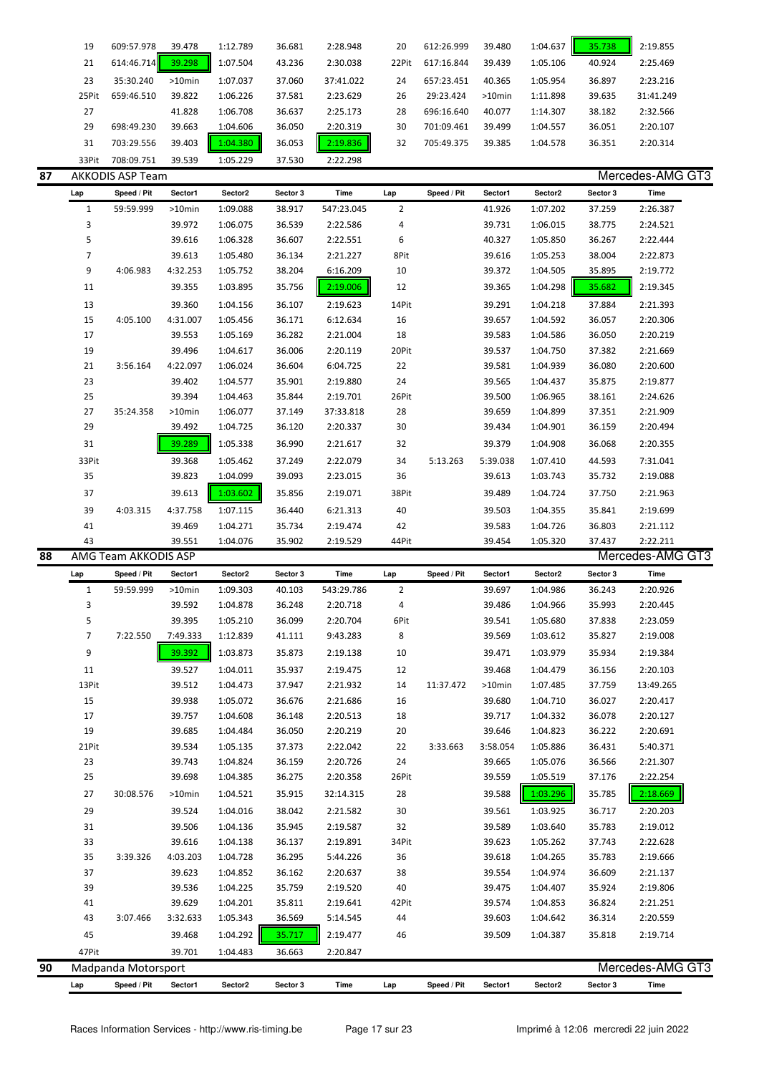| 19    | 609:57.978 | 39.478    | 1:12.789 | 36.681 | 2:28.948  | 20    | 612:26.999 | 39.480    | 1:04.637 | 35.738 | 2:19.855  |
|-------|------------|-----------|----------|--------|-----------|-------|------------|-----------|----------|--------|-----------|
| 21    | 614:46.714 | 39.298    | 1:07.504 | 43.236 | 2:30.038  | 22Pit | 617:16.844 | 39.439    | 1:05.106 | 40.924 | 2:25.469  |
| 23    | 35:30.240  | $>10$ min | 1:07.037 | 37.060 | 37:41.022 | 24    | 657:23.451 | 40.365    | 1:05.954 | 36.897 | 2:23.216  |
| 25Pit | 659:46.510 | 39.822    | 1:06.226 | 37.581 | 2:23.629  | 26    | 29:23.424  | $>10$ min | 1:11.898 | 39.635 | 31:41.249 |
| 27    |            | 41.828    | 1:06.708 | 36.637 | 2:25.173  | 28    | 696:16.640 | 40.077    | 1:14.307 | 38.182 | 2:32.566  |
| 29    | 698:49.230 | 39.663    | 1:04.606 | 36.050 | 2:20.319  | 30    | 701:09.461 | 39.499    | 1:04.557 | 36.051 | 2:20.107  |
| 31    | 703:29.556 | 39.403    | 1:04.380 | 36.053 | 2:19.836  | 32    | 705:49.375 | 39.385    | 1:04.578 | 36.351 | 2:20.314  |
| 33Pit | 708:09.751 | 39.539    | 1:05.229 | 37.530 | 2:22.298  |       |            |           |          |        |           |

| 87 |                | <b>AKKODIS ASP Team</b> |             |          |          |            |                |             |          |          |          | Mercedes-AMG GT3       |  |
|----|----------------|-------------------------|-------------|----------|----------|------------|----------------|-------------|----------|----------|----------|------------------------|--|
|    | Lap            | Speed / Pit             | Sector1     | Sector2  | Sector 3 | Time       | Lap            | Speed / Pit | Sector1  | Sector2  | Sector 3 | Time                   |  |
|    | 1              | 59:59.999               | $>10$ min   | 1:09.088 | 38.917   | 547:23.045 | $\overline{2}$ |             | 41.926   | 1:07.202 | 37.259   | 2:26.387               |  |
|    | 3              |                         | 39.972      | 1:06.075 | 36.539   | 2:22.586   | 4              |             | 39.731   | 1:06.015 | 38.775   | 2:24.521               |  |
|    | 5              |                         | 39.616      | 1:06.328 | 36.607   | 2:22.551   | 6              |             | 40.327   | 1:05.850 | 36.267   | 2:22.444               |  |
|    | $\overline{7}$ |                         | 39.613      | 1:05.480 | 36.134   | 2:21.227   | 8Pit           |             | 39.616   | 1:05.253 | 38.004   | 2:22.873               |  |
|    | 9              | 4:06.983                | 4:32.253    | 1:05.752 | 38.204   | 6:16.209   | 10             |             | 39.372   | 1:04.505 | 35.895   | 2:19.772               |  |
|    | 11             |                         | 39.355      | 1:03.895 | 35.756   | 2:19.006   | 12             |             | 39.365   | 1:04.298 | 35.682   | 2:19.345               |  |
|    | 13             |                         | 39.360      | 1:04.156 | 36.107   | 2:19.623   | 14Pit          |             | 39.291   | 1:04.218 | 37.884   | 2:21.393               |  |
|    | 15             | 4:05.100                | 4:31.007    | 1:05.456 | 36.171   | 6:12.634   | 16             |             | 39.657   | 1:04.592 | 36.057   | 2:20.306               |  |
|    | 17             |                         | 39.553      | 1:05.169 | 36.282   | 2:21.004   | 18             |             | 39.583   | 1:04.586 | 36.050   | 2:20.219               |  |
|    | 19             |                         | 39.496      | 1:04.617 | 36.006   | 2:20.119   | 20Pit          |             | 39.537   | 1:04.750 | 37.382   | 2:21.669               |  |
|    | 21             | 3:56.164                | 4:22.097    | 1:06.024 | 36.604   | 6:04.725   | 22             |             | 39.581   | 1:04.939 | 36.080   | 2:20.600               |  |
|    | 23             |                         | 39.402      | 1:04.577 | 35.901   | 2:19.880   | 24             |             | 39.565   | 1:04.437 | 35.875   | 2:19.877               |  |
|    | 25             |                         | 39.394      | 1:04.463 | 35.844   | 2:19.701   | 26Pit          |             | 39.500   | 1:06.965 | 38.161   | 2:24.626               |  |
|    | 27             | 35:24.358               | $>10$ min   | 1:06.077 | 37.149   | 37:33.818  | 28             |             | 39.659   | 1:04.899 | 37.351   | 2:21.909               |  |
|    | 29             |                         | 39.492      | 1:04.725 | 36.120   | 2:20.337   | 30             |             | 39.434   | 1:04.901 | 36.159   | 2:20.494               |  |
|    | 31             |                         | 39.289      | 1:05.338 | 36.990   | 2:21.617   | 32             |             | 39.379   | 1:04.908 | 36.068   | 2:20.355               |  |
|    | 33Pit          |                         | 39.368      | 1:05.462 | 37.249   | 2:22.079   | 34             | 5:13.263    | 5:39.038 | 1:07.410 | 44.593   | 7:31.041               |  |
|    | 35             |                         | 39.823      | 1:04.099 | 39.093   | 2:23.015   | 36             |             | 39.613   | 1:03.743 | 35.732   | 2:19.088               |  |
|    | 37             |                         | 39.613      | 1:03.602 | 35.856   | 2:19.071   | 38Pit          |             | 39.489   | 1:04.724 | 37.750   | 2:21.963               |  |
|    | 39             | 4:03.315                | 4:37.758    | 1:07.115 | 36.440   | 6:21.313   | 40             |             | 39.503   | 1:04.355 | 35.841   | 2:19.699               |  |
|    | 41             |                         | 39.469      | 1:04.271 | 35.734   | 2:19.474   | 42             |             | 39.583   | 1:04.726 | 36.803   | 2:21.112               |  |
|    | 43             |                         | 39.551      | 1:04.076 | 35.902   | 2:19.529   | 44Pit          |             | 39.454   | 1:05.320 | 37.437   | 2:22.211               |  |
| 00 | $AAC$ $T - T$  |                         | AUUODIC ACD |          |          |            |                |             |          |          |          | $Maxaadaa$ $MMO$ $QTO$ |  |

| Lap            | Speed / Pit         | Sector1   | Sector2  | Sector 3 | Time       | Lap            | Speed / Pit | Sector1   | Sector2  | Sector 3 | Time             |
|----------------|---------------------|-----------|----------|----------|------------|----------------|-------------|-----------|----------|----------|------------------|
| $\mathbf{1}$   | 59:59.999           | $>10$ min | 1:09.303 | 40.103   | 543:29.786 | $\overline{2}$ |             | 39.697    | 1:04.986 | 36.243   | 2:20.926         |
| 3              |                     | 39.592    | 1:04.878 | 36.248   | 2:20.718   | 4              |             | 39.486    | 1:04.966 | 35.993   | 2:20.445         |
| 5              |                     | 39.395    | 1:05.210 | 36.099   | 2:20.704   | 6Pit           |             | 39.541    | 1:05.680 | 37.838   | 2:23.059         |
| $\overline{7}$ | 7:22.550            | 7:49.333  | 1:12.839 | 41.111   | 9:43.283   | 8              |             | 39.569    | 1:03.612 | 35.827   | 2:19.008         |
| 9              |                     | 39.392    | 1:03.873 | 35.873   | 2:19.138   | 10             |             | 39.471    | 1:03.979 | 35.934   | 2:19.384         |
| 11             |                     | 39.527    | 1:04.011 | 35.937   | 2:19.475   | 12             |             | 39.468    | 1:04.479 | 36.156   | 2:20.103         |
| 13Pit          |                     | 39.512    | 1:04.473 | 37.947   | 2:21.932   | 14             | 11:37.472   | $>10$ min | 1:07.485 | 37.759   | 13:49.265        |
| 15             |                     | 39.938    | 1:05.072 | 36.676   | 2:21.686   | 16             |             | 39.680    | 1:04.710 | 36.027   | 2:20.417         |
| 17             |                     | 39.757    | 1:04.608 | 36.148   | 2:20.513   | 18             |             | 39.717    | 1:04.332 | 36.078   | 2:20.127         |
| 19             |                     | 39.685    | 1:04.484 | 36.050   | 2:20.219   | 20             |             | 39.646    | 1:04.823 | 36.222   | 2:20.691         |
| 21Pit          |                     | 39.534    | 1:05.135 | 37.373   | 2:22.042   | 22             | 3:33.663    | 3:58.054  | 1:05.886 | 36.431   | 5:40.371         |
| 23             |                     | 39.743    | 1:04.824 | 36.159   | 2:20.726   | 24             |             | 39.665    | 1:05.076 | 36.566   | 2:21.307         |
| 25             |                     | 39.698    | 1:04.385 | 36.275   | 2:20.358   | 26Pit          |             | 39.559    | 1:05.519 | 37.176   | 2:22.254         |
| 27             | 30:08.576           | $>10$ min | 1:04.521 | 35.915   | 32:14.315  | 28             |             | 39.588    | 1:03.296 | 35.785   | 2:18.669         |
| 29             |                     | 39.524    | 1:04.016 | 38.042   | 2:21.582   | 30             |             | 39.561    | 1:03.925 | 36.717   | 2:20.203         |
| 31             |                     | 39.506    | 1:04.136 | 35.945   | 2:19.587   | 32             |             | 39.589    | 1:03.640 | 35.783   | 2:19.012         |
| 33             |                     | 39.616    | 1:04.138 | 36.137   | 2:19.891   | 34Pit          |             | 39.623    | 1:05.262 | 37.743   | 2:22.628         |
| 35             | 3:39.326            | 4:03.203  | 1:04.728 | 36.295   | 5:44.226   | 36             |             | 39.618    | 1:04.265 | 35.783   | 2:19.666         |
| 37             |                     | 39.623    | 1:04.852 | 36.162   | 2:20.637   | 38             |             | 39.554    | 1:04.974 | 36.609   | 2:21.137         |
| 39             |                     | 39.536    | 1:04.225 | 35.759   | 2:19.520   | 40             |             | 39.475    | 1:04.407 | 35.924   | 2:19.806         |
| 41             |                     | 39.629    | 1:04.201 | 35.811   | 2:19.641   | 42Pit          |             | 39.574    | 1:04.853 | 36.824   | 2:21.251         |
| 43             | 3:07.466            | 3:32.633  | 1:05.343 | 36.569   | 5:14.545   | 44             |             | 39.603    | 1:04.642 | 36.314   | 2:20.559         |
| 45             |                     | 39.468    | 1:04.292 | 35.717   | 2:19.477   | 46             |             | 39.509    | 1:04.387 | 35.818   | 2:19.714         |
| 47Pit          |                     | 39.701    | 1:04.483 | 36.663   | 2:20.847   |                |             |           |          |          |                  |
|                | Madpanda Motorsport |           |          |          |            |                |             |           |          |          | Mercedes-AMG GT3 |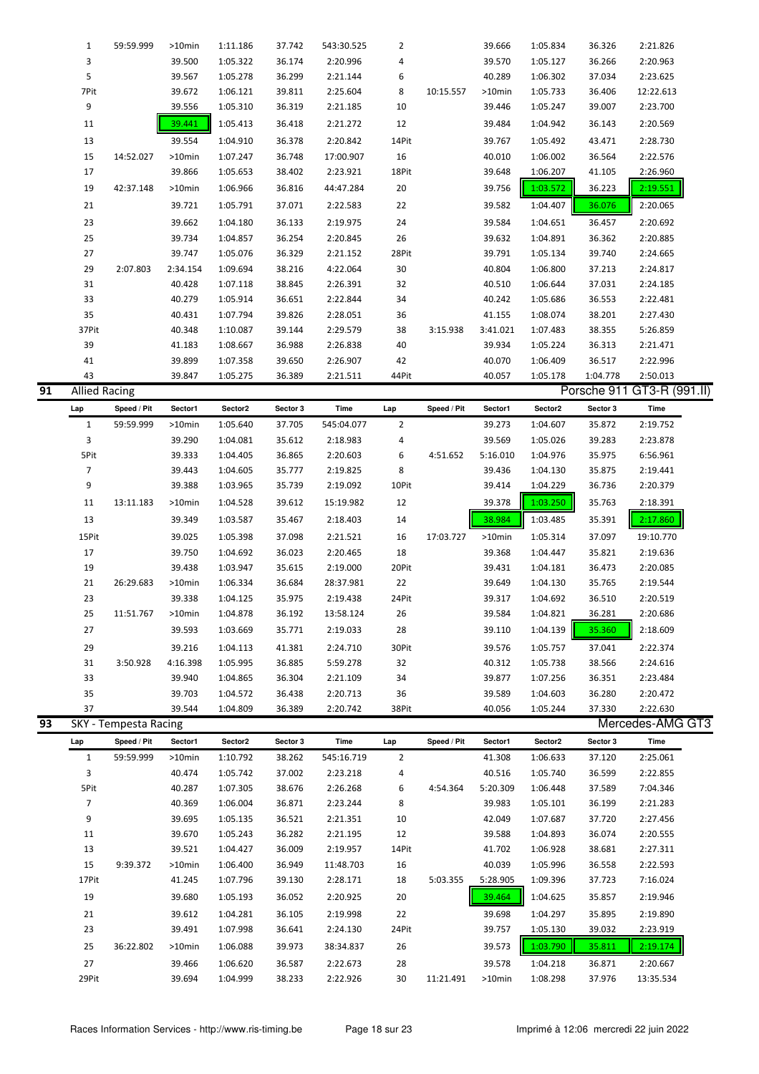|    | 1                    | 59:59.999             | $>10$ min        | 1:11.186             | 37.742           | 543:30.525           | 2              |             | 39.666           | 1:05.834             | 36.326           | 2:21.826                   |
|----|----------------------|-----------------------|------------------|----------------------|------------------|----------------------|----------------|-------------|------------------|----------------------|------------------|----------------------------|
|    | 3                    |                       | 39.500           | 1:05.322             | 36.174           | 2:20.996             | 4              |             | 39.570           | 1:05.127             | 36.266           | 2:20.963                   |
|    | 5                    |                       | 39.567           | 1:05.278             | 36.299           | 2:21.144             | 6              |             | 40.289           | 1:06.302             | 37.034           | 2:23.625                   |
|    | 7Pit                 |                       | 39.672           | 1:06.121             | 39.811           | 2:25.604             | 8              | 10:15.557   | >10min           | 1:05.733             | 36.406           | 12:22.613                  |
|    | 9                    |                       | 39.556           | 1:05.310             | 36.319           | 2:21.185             | 10             |             | 39.446           | 1:05.247             | 39.007           | 2:23.700                   |
|    | 11                   |                       | 39.441           | 1:05.413             | 36.418           | 2:21.272             | 12             |             | 39.484           | 1:04.942             | 36.143           | 2:20.569                   |
|    | 13                   |                       | 39.554           | 1:04.910             | 36.378           | 2:20.842             | 14Pit          |             | 39.767           | 1:05.492             | 43.471           | 2:28.730                   |
|    | 15                   | 14:52.027             | $>10$ min        | 1:07.247             | 36.748           | 17:00.907            | 16             |             | 40.010           | 1:06.002             | 36.564           | 2:22.576                   |
|    | 17                   |                       | 39.866           | 1:05.653             | 38.402           | 2:23.921             | 18Pit          |             | 39.648           | 1:06.207             | 41.105           | 2:26.960                   |
|    |                      |                       |                  |                      |                  |                      |                |             |                  |                      |                  |                            |
|    | 19                   | 42:37.148             | >10min           | 1:06.966             | 36.816           | 44:47.284            | 20             |             | 39.756           | 1:03.572             | 36.223           | 2:19.551                   |
|    | 21                   |                       | 39.721           | 1:05.791             | 37.071           | 2:22.583             | 22             |             | 39.582           | 1:04.407             | 36.076           | 2:20.065                   |
|    | 23                   |                       | 39.662           | 1:04.180             | 36.133           | 2:19.975             | 24             |             | 39.584           | 1:04.651             | 36.457           | 2:20.692                   |
|    | 25                   |                       | 39.734           | 1:04.857             | 36.254           | 2:20.845             | 26             |             | 39.632           | 1:04.891             | 36.362           | 2:20.885                   |
|    | 27                   |                       | 39.747           | 1:05.076             | 36.329           | 2:21.152             | 28Pit          |             | 39.791           | 1:05.134             | 39.740           | 2:24.665                   |
|    | 29                   | 2:07.803              | 2:34.154         | 1:09.694             | 38.216           | 4:22.064             | 30             |             | 40.804           | 1:06.800             | 37.213           | 2:24.817                   |
|    | 31                   |                       | 40.428           | 1:07.118             | 38.845           | 2:26.391             | 32             |             | 40.510           | 1:06.644             | 37.031           | 2:24.185                   |
|    | 33                   |                       | 40.279           | 1:05.914             | 36.651           | 2:22.844             | 34             |             | 40.242           | 1:05.686             | 36.553           | 2:22.481                   |
|    | 35                   |                       | 40.431           | 1:07.794             | 39.826           | 2:28.051             | 36             |             | 41.155           | 1:08.074             | 38.201           | 2:27.430                   |
|    | 37Pit                |                       | 40.348           | 1:10.087             | 39.144           | 2:29.579             | 38             | 3:15.938    | 3:41.021         | 1:07.483             | 38.355           | 5:26.859                   |
|    | 39                   |                       | 41.183           | 1:08.667             | 36.988           | 2:26.838             | 40             |             | 39.934           | 1:05.224             | 36.313           | 2:21.471                   |
|    |                      |                       |                  |                      |                  |                      |                |             |                  |                      |                  |                            |
|    | 41                   |                       | 39.899           | 1:07.358             | 39.650           | 2:26.907             | 42             |             | 40.070           | 1:06.409             | 36.517           | 2:22.996                   |
|    | 43                   |                       | 39.847           | 1:05.275             | 36.389           | 2:21.511             | 44Pit          |             | 40.057           | 1:05.178             | 1:04.778         | 2:50.013                   |
| 91 | <b>Allied Racing</b> |                       |                  |                      |                  |                      |                |             |                  |                      |                  | Porsche 911 GT3-R (991.II) |
|    | Lap                  | Speed / Pit           | Sector1          | Sector2              | Sector 3         | Time                 | Lap            | Speed / Pit | Sector1          | Sector2              | Sector 3         | Time                       |
|    | $\mathbf{1}$         | 59:59.999             | >10min           | 1:05.640             | 37.705           | 545:04.077           | $\overline{2}$ |             | 39.273           | 1:04.607             | 35.872           | 2:19.752                   |
|    | 3                    |                       | 39.290           | 1:04.081             | 35.612           | 2:18.983             | 4              |             | 39.569           | 1:05.026             | 39.283           | 2:23.878                   |
|    | 5Pit                 |                       | 39.333           | 1:04.405             | 36.865           | 2:20.603             | 6              | 4:51.652    | 5:16.010         | 1:04.976             | 35.975           | 6:56.961                   |
|    | $\overline{7}$       |                       | 39.443           | 1:04.605             | 35.777           | 2:19.825             | 8              |             | 39.436           | 1:04.130             | 35.875           | 2:19.441                   |
|    | 9                    |                       | 39.388           | 1:03.965             | 35.739           | 2:19.092             | 10Pit          |             | 39.414           | 1:04.229             | 36.736           | 2:20.379                   |
|    | 11                   | 13:11.183             | >10min           | 1:04.528             | 39.612           | 15:19.982            | 12             |             | 39.378           | 1:03.250             | 35.763           | 2:18.391                   |
|    |                      |                       |                  |                      |                  |                      |                |             |                  |                      |                  |                            |
|    |                      |                       |                  |                      |                  |                      |                |             |                  |                      |                  |                            |
|    | 13                   |                       | 39.349           | 1:03.587             | 35.467           | 2:18.403             | 14             |             | 38.984           | 1:03.485             | 35.391           | 2:17.860                   |
|    | 15Pit                |                       | 39.025           | 1:05.398             | 37.098           | 2:21.521             | 16             | 17:03.727   | >10min           | 1:05.314             | 37.097           | 19:10.770                  |
|    | 17                   |                       | 39.750           | 1:04.692             | 36.023           | 2:20.465             | 18             |             | 39.368           | 1:04.447             | 35.821           | 2:19.636                   |
|    | 19                   |                       | 39.438           | 1:03.947             | 35.615           | 2:19.000             | 20Pit          |             | 39.431           | 1:04.181             | 36.473           | 2:20.085                   |
|    | 21                   | 26:29.683             | >10min           | 1:06.334             | 36.684           | 28:37.981            | 22             |             | 39.649           | 1:04.130             | 35.765           | 2:19.544                   |
|    | 23                   |                       | 39.338           | 1:04.125             | 35.975           | 2:19.438             | 24Pit          |             | 39.317           | 1:04.692             | 36.510           | 2:20.519                   |
|    | 25                   | 11:51.767             | >10min           | 1:04.878             | 36.192           | 13:58.124            | 26             |             | 39.584           | 1:04.821             | 36.281           | 2:20.686                   |
|    | 27                   |                       | 39.593           | 1:03.669             | 35.771           | 2:19.033             | 28             |             | 39.110           | 1:04.139             | 35.360           | 2:18.609                   |
|    | 29                   |                       | 39.216           | 1:04.113             | 41.381           | 2:24.710             | 30Pit          |             | 39.576           | 1:05.757             | 37.041           | 2:22.374                   |
|    | 31                   | 3:50.928              | 4:16.398         | 1:05.995             | 36.885           | 5:59.278             | 32             |             | 40.312           | 1:05.738             | 38.566           | 2:24.616                   |
|    |                      |                       |                  |                      |                  |                      |                |             |                  |                      |                  |                            |
|    | 33                   |                       | 39.940           | 1:04.865             | 36.304           | 2:21.109             | 34             |             | 39.877           | 1:07.256             | 36.351           | 2:23.484                   |
|    | 35                   |                       | 39.703           | 1:04.572             | 36.438           | 2:20.713             | 36             |             | 39.589           | 1:04.603             | 36.280           | 2:20.472                   |
|    | 37                   |                       | 39.544           | 1:04.809             | 36.389           | 2:20.742             | 38Pit          |             | 40.056           | 1:05.244             | 37.330           | 2:22.630                   |
| 93 |                      | SKY - Tempesta Racing |                  |                      |                  |                      |                |             |                  |                      |                  | Mercedes-AMG GT3           |
|    | Lap                  | Speed / Pit           | Sector1          | Sector2              | Sector 3         | Time                 | Lap            | Speed / Pit | Sector1          | Sector2              | Sector 3         | Time                       |
|    | $\mathbf{1}$         | 59:59.999             | >10min           | 1:10.792             | 38.262           | 545:16.719           | 2              |             | 41.308           | 1:06.633             | 37.120           | 2:25.061                   |
|    | 3                    |                       | 40.474           | 1:05.742             | 37.002           | 2:23.218             | 4              |             | 40.516           | 1:05.740             | 36.599           | 2:22.855                   |
|    | 5Pit                 |                       | 40.287           | 1:07.305             | 38.676           | 2:26.268             | 6              | 4:54.364    | 5:20.309         | 1:06.448             | 37.589           | 7:04.346                   |
|    | $\overline{7}$       |                       | 40.369           | 1:06.004             | 36.871           | 2:23.244             | 8              |             | 39.983           | 1:05.101             | 36.199           | 2:21.283                   |
|    | 9                    |                       | 39.695           | 1:05.135             | 36.521           | 2:21.351             | 10             |             | 42.049           | 1:07.687             | 37.720           | 2:27.456                   |
|    | 11                   |                       | 39.670           | 1:05.243             | 36.282           | 2:21.195             | 12             |             | 39.588           | 1:04.893             | 36.074           | 2:20.555                   |
|    | 13                   |                       | 39.521           | 1:04.427             | 36.009           | 2:19.957             | 14Pit          |             | 41.702           | 1:06.928             | 38.681           | 2:27.311                   |
|    | 15                   | 9:39.372              | $>10$ min        | 1:06.400             | 36.949           | 11:48.703            | 16             |             | 40.039           | 1:05.996             | 36.558           | 2:22.593                   |
|    | 17Pit                |                       | 41.245           | 1:07.796             | 39.130           | 2:28.171             | 18             | 5:03.355    | 5:28.905         | 1:09.396             | 37.723           | 7:16.024                   |
|    | 19                   |                       | 39.680           | 1:05.193             | 36.052           | 2:20.925             | 20             |             | 39.464           | 1:04.625             | 35.857           | 2:19.946                   |
|    |                      |                       |                  |                      |                  |                      |                |             |                  |                      |                  |                            |
|    | 21                   |                       | 39.612           | 1:04.281             | 36.105           | 2:19.998             | 22             |             | 39.698           | 1:04.297             | 35.895           | 2:19.890                   |
|    | 23                   |                       | 39.491           | 1:07.998             | 36.641           | 2:24.130             | 24Pit          |             | 39.757           | 1:05.130             | 39.032           | 2:23.919                   |
|    | 25                   | 36:22.802             | >10min           | 1:06.088             | 39.973           | 38:34.837            | 26             |             | 39.573           | 1:03.790             | 35.811           | 2:19.174                   |
|    | 27<br>29Pit          |                       | 39.466<br>39.694 | 1:06.620<br>1:04.999 | 36.587<br>38.233 | 2:22.673<br>2:22.926 | 28<br>30       | 11:21.491   | 39.578<br>>10min | 1:04.218<br>1:08.298 | 36.871<br>37.976 | 2:20.667<br>13:35.534      |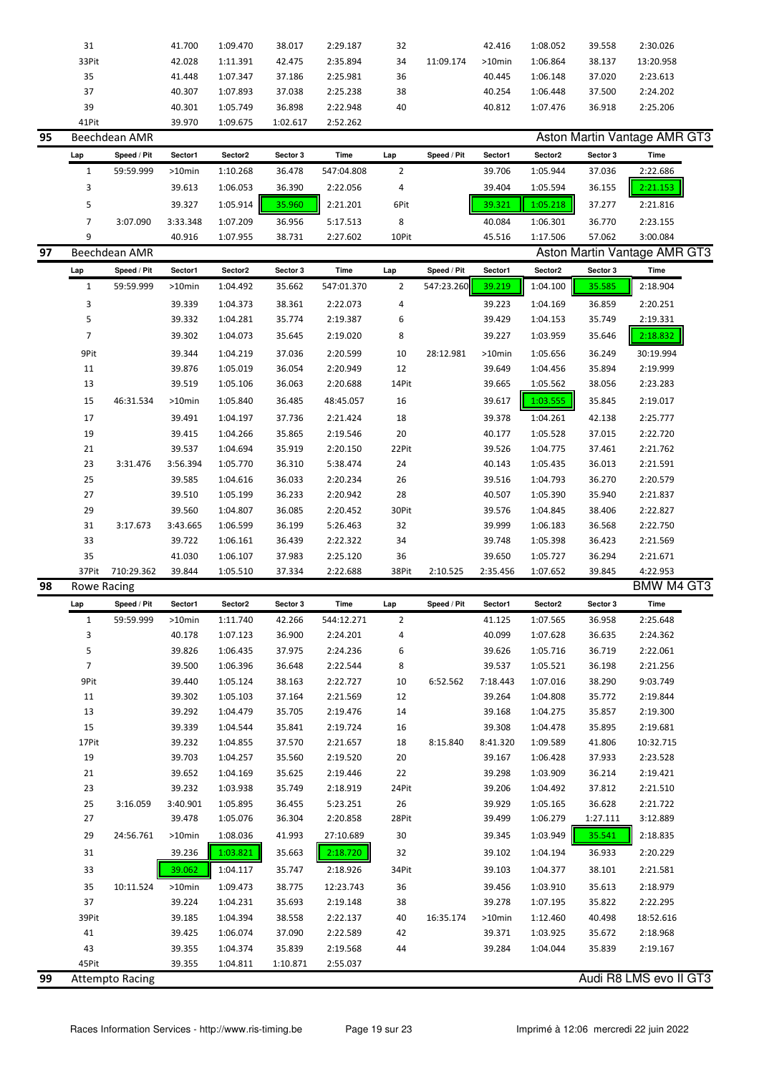| ΩE | Roachdonn AMP |        |          |          |          |    |           |           |          |        | Acton Martin Vantage AMR G |  |
|----|---------------|--------|----------|----------|----------|----|-----------|-----------|----------|--------|----------------------------|--|
|    | 41Pit         | 39.970 | 1:09.675 | 1:02.617 | 2:52.262 |    |           |           |          |        |                            |  |
|    | 39            | 40.301 | 1:05.749 | 36.898   | 2:22.948 | 40 |           | 40.812    | 1:07.476 | 36.918 | 2:25.206                   |  |
|    | 37            | 40.307 | 1:07.893 | 37.038   | 2:25.238 | 38 |           | 40.254    | 1:06.448 | 37.500 | 2:24.202                   |  |
|    | 35            | 41.448 | 1:07.347 | 37.186   | 2:25.981 | 36 |           | 40.445    | 1:06.148 | 37.020 | 2:23.613                   |  |
|    | 33Pit         | 42.028 | 1:11.391 | 42.475   | 2:35.894 | 34 | 11:09.174 | $>10$ min | 1:06.864 | 38.137 | 13:20.958                  |  |
|    | 31            | 41.700 | 1:09.470 | 38.017   | 2:29.187 | 32 |           | 42.416    | 1:08.052 | 39.558 | 2:30.026                   |  |
|    |               |        |          |          |          |    |           |           |          |        |                            |  |

| כפ |     | Beechdean Alvik |           |          |          |            |       |             |         | ASION Martin Vaniage AMR GT3 |          |                              |  |
|----|-----|-----------------|-----------|----------|----------|------------|-------|-------------|---------|------------------------------|----------|------------------------------|--|
|    | Lap | Speed / Pit     | Sector1   | Sector2  | Sector 3 | Time       | Lap   | Speed / Pit | Sector1 | Sector <sub>2</sub>          | Sector 3 | Time                         |  |
|    |     | 59:59.999       | $>10$ min | 1:10.268 | 36.478   | 547:04.808 |       |             | 39.706  | 1:05.944                     | 37.036   | 2:22.686                     |  |
|    |     |                 | 39.613    | 1:06.053 | 36.390   | 2:22.056   | 4     |             | 39.404  | 1:05.594                     | 36.155   | 2:21.153                     |  |
|    |     |                 | 39.327    | 1:05.914 | 35.960   | 2:21.201   | 6Pit  |             | 39.321  | 1:05.218                     | 37.277   | 2:21.816                     |  |
|    |     | 3:07.090        | 3:33.348  | 1:07.209 | 36.956   | 5:17.513   | 8     |             | 40.084  | 1:06.301                     | 36.770   | 2:23.155                     |  |
|    | 9   |                 | 40.916    | 1:07.955 | 38.731   | 2:27.602   | 10Pit |             | 45.516  | 1:17.506                     | 57.062   | 3:00.084                     |  |
| 97 |     | Beechdean AMR   |           |          |          |            |       |             |         |                              |          | Aston Martin Vantage AMR GT3 |  |

| ,, |                | DEECHQEAH AIVIN |           |          |          |            |                |             |           |          |          | ASIUITIVIANIII VANIAYE AIVIN UTU |
|----|----------------|-----------------|-----------|----------|----------|------------|----------------|-------------|-----------|----------|----------|----------------------------------|
|    | Lap            | Speed / Pit     | Sector1   | Sector2  | Sector 3 | Time       | Lap            | Speed / Pit | Sector1   | Sector2  | Sector 3 | Time                             |
|    | 1              | 59:59.999       | $>10$ min | 1:04.492 | 35.662   | 547:01.370 | $\overline{2}$ | 547:23.260  | 39.219    | 1:04.100 | 35.585   | 2:18.904                         |
|    | 3              |                 | 39.339    | 1:04.373 | 38.361   | 2:22.073   | 4              |             | 39.223    | 1:04.169 | 36.859   | 2:20.251                         |
|    | 5              |                 | 39.332    | 1:04.281 | 35.774   | 2:19.387   | 6              |             | 39.429    | 1:04.153 | 35.749   | 2:19.331                         |
|    | $\overline{7}$ |                 | 39.302    | 1:04.073 | 35.645   | 2:19.020   | 8              |             | 39.227    | 1:03.959 | 35.646   | 2:18.832                         |
|    | 9Pit           |                 | 39.344    | 1:04.219 | 37.036   | 2:20.599   | 10             | 28:12.981   | $>10$ min | 1:05.656 | 36.249   | 30:19.994                        |
|    | 11             |                 | 39.876    | 1:05.019 | 36.054   | 2:20.949   | 12             |             | 39.649    | 1:04.456 | 35.894   | 2:19.999                         |
|    | 13             |                 | 39.519    | 1:05.106 | 36.063   | 2:20.688   | 14Pit          |             | 39.665    | 1:05.562 | 38.056   | 2:23.283                         |
|    | 15             | 46:31.534       | $>10$ min | 1:05.840 | 36.485   | 48:45.057  | 16             |             | 39.617    | 1:03.555 | 35.845   | 2:19.017                         |
|    | 17             |                 | 39.491    | 1:04.197 | 37.736   | 2:21.424   | 18             |             | 39.378    | 1:04.261 | 42.138   | 2:25.777                         |
|    | 19             |                 | 39.415    | 1:04.266 | 35.865   | 2:19.546   | 20             |             | 40.177    | 1:05.528 | 37.015   | 2:22.720                         |
|    | 21             |                 | 39.537    | 1:04.694 | 35.919   | 2:20.150   | 22Pit          |             | 39.526    | 1:04.775 | 37.461   | 2:21.762                         |
|    | 23             | 3:31.476        | 3:56.394  | 1:05.770 | 36.310   | 5:38.474   | 24             |             | 40.143    | 1:05.435 | 36.013   | 2:21.591                         |
|    | 25             |                 | 39.585    | 1:04.616 | 36.033   | 2:20.234   | 26             |             | 39.516    | 1:04.793 | 36.270   | 2:20.579                         |
|    | 27             |                 | 39.510    | 1:05.199 | 36.233   | 2:20.942   | 28             |             | 40.507    | 1:05.390 | 35.940   | 2:21.837                         |
|    | 29             |                 | 39.560    | 1:04.807 | 36.085   | 2:20.452   | 30Pit          |             | 39.576    | 1:04.845 | 38.406   | 2:22.827                         |
|    | 31             | 3:17.673        | 3:43.665  | 1:06.599 | 36.199   | 5:26.463   | 32             |             | 39.999    | 1:06.183 | 36.568   | 2:22.750                         |
|    | 33             |                 | 39.722    | 1:06.161 | 36.439   | 2:22.322   | 34             |             | 39.748    | 1:05.398 | 36.423   | 2:21.569                         |
|    | 35             |                 | 41.030    | 1:06.107 | 37.983   | 2:25.120   | 36             |             | 39.650    | 1:05.727 | 36.294   | 2:21.671                         |
|    | 37Pit          | 710:29.362      | 39.844    | 1:05.510 | 37.334   | 2:22.688   | 38Pit          | 2:10.525    | 2:35.456  | 1:07.652 | 39.845   | 4:22.953                         |
| 98 | Rowe Racing    |                 |           |          |          |            |                |             |           |          |          | <b>BMW M4 GT3</b>                |

|    | Lap            | Speed / Pit            | Sector1   | Sector2  | Sector 3 | Time       | Lap            | Speed / Pit | Sector1   | Sector2  | Sector 3 | Time                   |
|----|----------------|------------------------|-----------|----------|----------|------------|----------------|-------------|-----------|----------|----------|------------------------|
|    | $\mathbf{1}$   | 59:59.999              | $>10$ min | 1:11.740 | 42.266   | 544:12.271 | $\overline{2}$ |             | 41.125    | 1:07.565 | 36.958   | 2:25.648               |
|    | 3              |                        | 40.178    | 1:07.123 | 36.900   | 2:24.201   | 4              |             | 40.099    | 1:07.628 | 36.635   | 2:24.362               |
|    | 5              |                        | 39.826    | 1:06.435 | 37.975   | 2:24.236   | 6              |             | 39.626    | 1:05.716 | 36.719   | 2:22.061               |
|    | $\overline{7}$ |                        | 39.500    | 1:06.396 | 36.648   | 2:22.544   | 8              |             | 39.537    | 1:05.521 | 36.198   | 2:21.256               |
|    | 9Pit           |                        | 39.440    | 1:05.124 | 38.163   | 2:22.727   | 10             | 6:52.562    | 7:18.443  | 1:07.016 | 38.290   | 9:03.749               |
|    | 11             |                        | 39.302    | 1:05.103 | 37.164   | 2:21.569   | 12             |             | 39.264    | 1:04.808 | 35.772   | 2:19.844               |
|    | 13             |                        | 39.292    | 1:04.479 | 35.705   | 2:19.476   | 14             |             | 39.168    | 1:04.275 | 35.857   | 2:19.300               |
|    | 15             |                        | 39.339    | 1:04.544 | 35.841   | 2:19.724   | 16             |             | 39.308    | 1:04.478 | 35.895   | 2:19.681               |
|    | 17Pit          |                        | 39.232    | 1:04.855 | 37.570   | 2:21.657   | 18             | 8:15.840    | 8:41.320  | 1:09.589 | 41.806   | 10:32.715              |
|    | 19             |                        | 39.703    | 1:04.257 | 35.560   | 2:19.520   | 20             |             | 39.167    | 1:06.428 | 37.933   | 2:23.528               |
|    | 21             |                        | 39.652    | 1:04.169 | 35.625   | 2:19.446   | 22             |             | 39.298    | 1:03.909 | 36.214   | 2:19.421               |
|    | 23             |                        | 39.232    | 1:03.938 | 35.749   | 2:18.919   | 24Pit          |             | 39.206    | 1:04.492 | 37.812   | 2:21.510               |
|    | 25             | 3:16.059               | 3:40.901  | 1:05.895 | 36.455   | 5:23.251   | 26             |             | 39.929    | 1:05.165 | 36.628   | 2:21.722               |
|    | 27             |                        | 39.478    | 1:05.076 | 36.304   | 2:20.858   | 28Pit          |             | 39.499    | 1:06.279 | 1:27.111 | 3:12.889               |
|    | 29             | 24:56.761              | $>10$ min | 1:08.036 | 41.993   | 27:10.689  | 30             |             | 39.345    | 1:03.949 | 35.541   | 2:18.835               |
|    | 31             |                        | 39.236    | 1:03.821 | 35.663   | 2:18.720   | 32             |             | 39.102    | 1:04.194 | 36.933   | 2:20.229               |
|    | 33             |                        | 39.062    | 1:04.117 | 35.747   | 2:18.926   | 34Pit          |             | 39.103    | 1:04.377 | 38.101   | 2:21.581               |
|    | 35             | 10:11.524              | $>10$ min | 1:09.473 | 38.775   | 12:23.743  | 36             |             | 39.456    | 1:03.910 | 35.613   | 2:18.979               |
|    | 37             |                        | 39.224    | 1:04.231 | 35.693   | 2:19.148   | 38             |             | 39.278    | 1:07.195 | 35.822   | 2:22.295               |
|    | 39Pit          |                        | 39.185    | 1:04.394 | 38.558   | 2:22.137   | 40             | 16:35.174   | $>10$ min | 1:12.460 | 40.498   | 18:52.616              |
|    | 41             |                        | 39.425    | 1:06.074 | 37.090   | 2:22.589   | 42             |             | 39.371    | 1:03.925 | 35.672   | 2:18.968               |
|    | 43             |                        | 39.355    | 1:04.374 | 35.839   | 2:19.568   | 44             |             | 39.284    | 1:04.044 | 35.839   | 2:19.167               |
|    | 45Pit          |                        | 39.355    | 1:04.811 | 1:10.871 | 2:55.037   |                |             |           |          |          |                        |
| 99 |                | <b>Attempto Racing</b> |           |          |          |            |                |             |           |          |          | Audi R8 LMS evo II GT3 |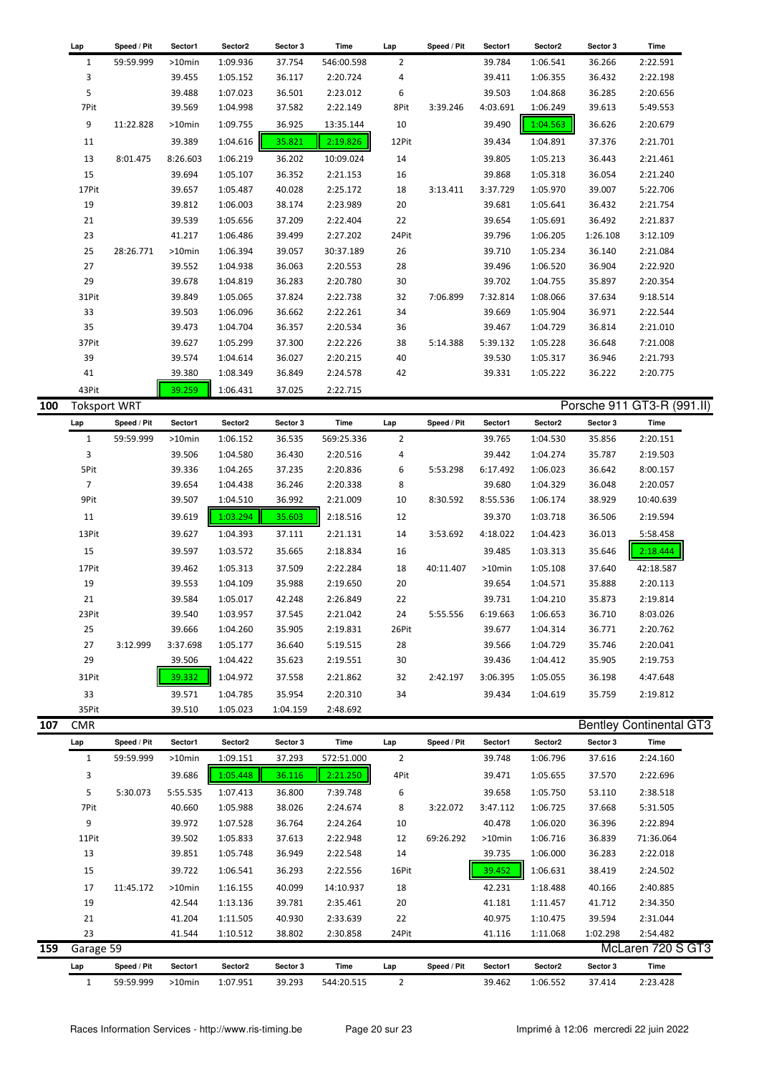| Lap          | Speed / Pit | Sector1   | Sector2  | Sector 3 | Time       | Lap            | Speed / Pit | Sector1  | Sector2  | Sector 3 | Time     |
|--------------|-------------|-----------|----------|----------|------------|----------------|-------------|----------|----------|----------|----------|
| $\mathbf{1}$ | 59:59.999   | $>10$ min | 1:09.936 | 37.754   | 546:00.598 | $\overline{2}$ |             | 39.784   | 1:06.541 | 36.266   | 2:22.591 |
| 3            |             | 39.455    | 1:05.152 | 36.117   | 2:20.724   | 4              |             | 39.411   | 1:06.355 | 36.432   | 2:22.198 |
| 5            |             | 39.488    | 1:07.023 | 36.501   | 2:23.012   | 6              |             | 39.503   | 1:04.868 | 36.285   | 2:20.656 |
| 7Pit         |             | 39.569    | 1:04.998 | 37.582   | 2:22.149   | 8Pit           | 3:39.246    | 4:03.691 | 1:06.249 | 39.613   | 5:49.553 |
| 9            | 11:22.828   | $>10$ min | 1:09.755 | 36.925   | 13:35.144  | 10             |             | 39.490   | 1:04.563 | 36.626   | 2:20.679 |
| 11           |             | 39.389    | 1:04.616 | 35.821   | 2:19.826   | 12Pit          |             | 39.434   | 1:04.891 | 37.376   | 2:21.701 |
| 13           | 8:01.475    | 8:26.603  | 1:06.219 | 36.202   | 10:09.024  | 14             |             | 39.805   | 1:05.213 | 36.443   | 2:21.461 |
| 15           |             | 39.694    | 1:05.107 | 36.352   | 2:21.153   | 16             |             | 39.868   | 1:05.318 | 36.054   | 2:21.240 |
| 17Pit        |             | 39.657    | 1:05.487 | 40.028   | 2:25.172   | 18             | 3:13.411    | 3:37.729 | 1:05.970 | 39.007   | 5:22.706 |
| 19           |             | 39.812    | 1:06.003 | 38.174   | 2:23.989   | 20             |             | 39.681   | 1:05.641 | 36.432   | 2:21.754 |
| 21           |             | 39.539    | 1:05.656 | 37.209   | 2:22.404   | 22             |             | 39.654   | 1:05.691 | 36.492   | 2:21.837 |
| 23           |             | 41.217    | 1:06.486 | 39.499   | 2:27.202   | 24Pit          |             | 39.796   | 1:06.205 | 1:26.108 | 3:12.109 |
| 25           | 28:26.771   | $>10$ min | 1:06.394 | 39.057   | 30:37.189  | 26             |             | 39.710   | 1:05.234 | 36.140   | 2:21.084 |
| 27           |             | 39.552    | 1:04.938 | 36.063   | 2:20.553   | 28             |             | 39.496   | 1:06.520 | 36.904   | 2:22.920 |
| 29           |             | 39.678    | 1:04.819 | 36.283   | 2:20.780   | 30             |             | 39.702   | 1:04.755 | 35.897   | 2:20.354 |
| 31Pit        |             | 39.849    | 1:05.065 | 37.824   | 2:22.738   | 32             | 7:06.899    | 7:32.814 | 1:08.066 | 37.634   | 9:18.514 |
| 33           |             | 39.503    | 1:06.096 | 36.662   | 2:22.261   | 34             |             | 39.669   | 1:05.904 | 36.971   | 2:22.544 |
| 35           |             | 39.473    | 1:04.704 | 36.357   | 2:20.534   | 36             |             | 39.467   | 1:04.729 | 36.814   | 2:21.010 |
| 37Pit        |             | 39.627    | 1:05.299 | 37.300   | 2:22.226   | 38             | 5:14.388    | 5:39.132 | 1:05.228 | 36.648   | 7:21.008 |
| 39           |             | 39.574    | 1:04.614 | 36.027   | 2:20.215   | 40             |             | 39.530   | 1:05.317 | 36.946   | 2:21.793 |
| 41           |             | 39.380    | 1:08.349 | 36.849   | 2:24.578   | 42             |             | 39.331   | 1:05.222 | 36.222   | 2:20.775 |
| 43Pit        |             | 39.259    | 1:06.431 | 37.025   | 2:22.715   |                |             |          |          |          |          |

**100** Toksport WRT Porsche 911 GT3-R (991.II)

| Lap            | Speed / Pit | Sector1  | Sector2  | Sector 3 | Time       | Lap   | Speed / Pit | Sector1   | Sector2  | Sector 3 | Time      |
|----------------|-------------|----------|----------|----------|------------|-------|-------------|-----------|----------|----------|-----------|
| 1              | 59:59.999   | >10min   | 1:06.152 | 36.535   | 569:25.336 | 2     |             | 39.765    | 1:04.530 | 35.856   | 2:20.151  |
| 3              |             | 39.506   | 1:04.580 | 36.430   | 2:20.516   | 4     |             | 39.442    | 1:04.274 | 35.787   | 2:19.503  |
| 5Pit           |             | 39.336   | 1:04.265 | 37.235   | 2:20.836   | 6     | 5:53.298    | 6:17.492  | 1:06.023 | 36.642   | 8:00.157  |
| $\overline{7}$ |             | 39.654   | 1:04.438 | 36.246   | 2:20.338   | 8     |             | 39.680    | 1:04.329 | 36.048   | 2:20.057  |
| 9Pit           |             | 39.507   | 1:04.510 | 36.992   | 2:21.009   | 10    | 8:30.592    | 8:55.536  | 1:06.174 | 38.929   | 10:40.639 |
| 11             |             | 39.619   | 1:03.294 | 35.603   | 2:18.516   | 12    |             | 39.370    | 1:03.718 | 36.506   | 2:19.594  |
| 13Pit          |             | 39.627   | 1:04.393 | 37.111   | 2:21.131   | 14    | 3:53.692    | 4:18.022  | 1:04.423 | 36.013   | 5:58.458  |
| 15             |             | 39.597   | 1:03.572 | 35.665   | 2:18.834   | 16    |             | 39.485    | 1:03.313 | 35.646   | 2:18.444  |
| 17Pit          |             | 39.462   | 1:05.313 | 37.509   | 2:22.284   | 18    | 40:11.407   | $>10$ min | 1:05.108 | 37.640   | 42:18.587 |
| 19             |             | 39.553   | 1:04.109 | 35.988   | 2:19.650   | 20    |             | 39.654    | 1:04.571 | 35.888   | 2:20.113  |
| 21             |             | 39.584   | 1:05.017 | 42.248   | 2:26.849   | 22    |             | 39.731    | 1:04.210 | 35.873   | 2:19.814  |
| 23Pit          |             | 39.540   | 1:03.957 | 37.545   | 2:21.042   | 24    | 5:55.556    | 6:19.663  | 1:06.653 | 36.710   | 8:03.026  |
| 25             |             | 39.666   | 1:04.260 | 35.905   | 2:19.831   | 26Pit |             | 39.677    | 1:04.314 | 36.771   | 2:20.762  |
| 27             | 3:12.999    | 3:37.698 | 1:05.177 | 36.640   | 5:19.515   | 28    |             | 39.566    | 1:04.729 | 35.746   | 2:20.041  |
| 29             |             | 39.506   | 1:04.422 | 35.623   | 2:19.551   | 30    |             | 39.436    | 1:04.412 | 35.905   | 2:19.753  |
| 31Pit          |             | 39.332   | 1:04.972 | 37.558   | 2:21.862   | 32    | 2:42.197    | 3:06.395  | 1:05.055 | 36.198   | 4:47.648  |
| 33             |             | 39.571   | 1:04.785 | 35.954   | 2:20.310   | 34    |             | 39.434    | 1:04.619 | 35.759   | 2:19.812  |
| 35Pit          |             | 39.510   | 1:05.023 | 1:04.159 | 2:48.692   |       |             |           |          |          |           |

| 107 | <b>CMR</b> |             |           |          |          |            |       |             |          |          |          | <b>Bentley Continental GT3</b> |
|-----|------------|-------------|-----------|----------|----------|------------|-------|-------------|----------|----------|----------|--------------------------------|
|     | Lap        | Speed / Pit | Sector1   | Sector2  | Sector 3 | Time       | Lap   | Speed / Pit | Sector1  | Sector2  | Sector 3 | Time                           |
|     | 1          | 59:59.999   | $>10$ min | 1:09.151 | 37.293   | 572:51.000 | 2     |             | 39.748   | 1:06.796 | 37.616   | 2:24.160                       |
|     | 3          |             | 39.686    | 1:05.448 | 36.116   | 2:21.250   | 4Pit  |             | 39.471   | 1:05.655 | 37.570   | 2:22.696                       |
|     | 5          | 5:30.073    | 5:55.535  | 1:07.413 | 36.800   | 7:39.748   | 6     |             | 39.658   | 1:05.750 | 53.110   | 2:38.518                       |
|     | 7Pit       |             | 40.660    | 1:05.988 | 38.026   | 2:24.674   | 8     | 3:22.072    | 3:47.112 | 1:06.725 | 37.668   | 5:31.505                       |
|     | 9          |             | 39.972    | 1:07.528 | 36.764   | 2:24.264   | 10    |             | 40.478   | 1:06.020 | 36.396   | 2:22.894                       |
|     | 11Pit      |             | 39.502    | 1:05.833 | 37.613   | 2:22.948   | 12    | 69:26.292   | >10min   | 1:06.716 | 36.839   | 71:36.064                      |
|     | 13         |             | 39.851    | 1:05.748 | 36.949   | 2:22.548   | 14    |             | 39.735   | 1:06.000 | 36.283   | 2:22.018                       |
|     | 15         |             | 39.722    | 1:06.541 | 36.293   | 2:22.556   | 16Pit |             | 39.452   | 1:06.631 | 38.419   | 2:24.502                       |
|     | 17         | 11:45.172   | $>10$ min | 1:16.155 | 40.099   | 14:10.937  | 18    |             | 42.231   | 1:18.488 | 40.166   | 2:40.885                       |
|     | 19         |             | 42.544    | 1:13.136 | 39.781   | 2:35.461   | 20    |             | 41.181   | 1:11.457 | 41.712   | 2:34.350                       |
|     | 21         |             | 41.204    | 1:11.505 | 40.930   | 2:33.639   | 22    |             | 40.975   | 1:10.475 | 39.594   | 2:31.044                       |
|     | 23         |             | 41.544    | 1:10.512 | 38.802   | 2:30.858   | 24Pit |             | 41.116   | 1:11.068 | 1:02.298 | 2:54.482                       |
| 159 | Garage 59  |             |           |          |          |            |       |             |          |          |          | McLaren 720 S GT3              |
|     | Lap        | Speed / Pit | Sector1   | Sector2  | Sector 3 | Time       | Lap   | Speed / Pit | Sector1  | Sector2  | Sector 3 | Time                           |
|     |            | 59:59.999   | $>10$ min | 1:07.951 | 39.293   | 544:20.515 | 2     |             | 39.462   | 1:06.552 | 37.414   | 2:23.428                       |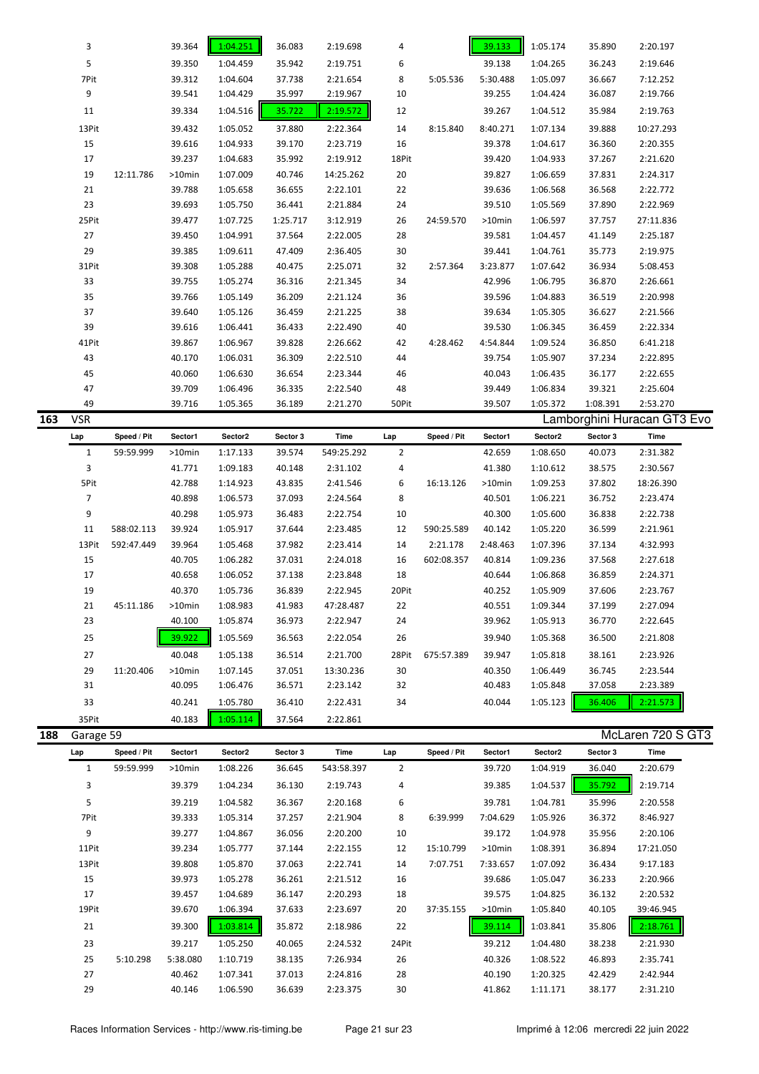|     | 3              |             | 39.364           | 1:04.251             | 36.083           | 2:19.698             | 4              |             | 39.133           | 1:05.174             | 35.890           | 2:20.197                    |  |
|-----|----------------|-------------|------------------|----------------------|------------------|----------------------|----------------|-------------|------------------|----------------------|------------------|-----------------------------|--|
|     | 5              |             | 39.350           | 1:04.459             | 35.942           | 2:19.751             | 6              |             | 39.138           | 1:04.265             | 36.243           | 2:19.646                    |  |
|     | 7Pit           |             | 39.312           | 1:04.604             | 37.738           | 2:21.654             | 8              | 5:05.536    | 5:30.488         | 1:05.097             | 36.667           | 7:12.252                    |  |
|     | 9              |             | 39.541           | 1:04.429             | 35.997           | 2:19.967             | 10             |             | 39.255           | 1:04.424             | 36.087           | 2:19.766                    |  |
|     | 11             |             | 39.334           | 1:04.516             | 35.722           | 2:19.572             | 12             |             | 39.267           | 1:04.512             | 35.984           | 2:19.763                    |  |
|     | 13Pit          |             | 39.432           | 1:05.052             | 37.880           | 2:22.364             | 14             | 8:15.840    | 8:40.271         | 1:07.134             | 39.888           | 10:27.293                   |  |
|     | 15             |             | 39.616           | 1:04.933             | 39.170           | 2:23.719             | 16             |             | 39.378           | 1:04.617             | 36.360           | 2:20.355                    |  |
|     | 17             |             | 39.237           | 1:04.683             | 35.992           | 2:19.912             | 18Pit          |             | 39.420           | 1:04.933             | 37.267           | 2:21.620                    |  |
|     | 19             | 12:11.786   | >10min           | 1:07.009             | 40.746           | 14:25.262            | 20             |             | 39.827           | 1:06.659             | 37.831           | 2:24.317                    |  |
|     | 21             |             | 39.788           | 1:05.658             | 36.655           | 2:22.101             | 22             |             | 39.636           | 1:06.568             | 36.568           | 2:22.772                    |  |
|     | 23             |             | 39.693           | 1:05.750             | 36.441           | 2:21.884             | 24             |             | 39.510           | 1:05.569             | 37.890           | 2:22.969                    |  |
|     |                |             |                  |                      |                  |                      |                |             |                  |                      |                  |                             |  |
|     | 25Pit          |             | 39.477           | 1:07.725             | 1:25.717         | 3:12.919             | 26             | 24:59.570   | >10min           | 1:06.597             | 37.757           | 27:11.836                   |  |
|     | 27             |             | 39.450           | 1:04.991             | 37.564           | 2:22.005             | 28             |             | 39.581           | 1:04.457             | 41.149           | 2:25.187                    |  |
|     | 29             |             | 39.385           | 1:09.611             | 47.409           | 2:36.405             | 30             |             | 39.441           | 1:04.761             | 35.773           | 2:19.975                    |  |
|     | 31Pit          |             | 39.308           | 1:05.288             | 40.475           | 2:25.071             | 32             | 2:57.364    | 3:23.877         | 1:07.642             | 36.934           | 5:08.453                    |  |
|     | 33             |             | 39.755           | 1:05.274             | 36.316           | 2:21.345             | 34             |             | 42.996           | 1:06.795             | 36.870           | 2:26.661                    |  |
|     | 35             |             | 39.766           | 1:05.149             | 36.209           | 2:21.124             | 36             |             | 39.596           | 1:04.883             | 36.519           | 2:20.998                    |  |
|     | 37             |             | 39.640           | 1:05.126             | 36.459           | 2:21.225             | 38             |             | 39.634           | 1:05.305             | 36.627           | 2:21.566                    |  |
|     | 39             |             | 39.616           | 1:06.441             | 36.433           | 2:22.490             | 40             |             | 39.530           | 1:06.345             | 36.459           | 2:22.334                    |  |
|     | 41Pit          |             | 39.867           | 1:06.967             | 39.828           | 2:26.662             | 42             | 4:28.462    | 4:54.844         | 1:09.524             | 36.850           | 6:41.218                    |  |
|     | 43             |             | 40.170           | 1:06.031             | 36.309           | 2:22.510             | 44             |             | 39.754           | 1:05.907             | 37.234           | 2:22.895                    |  |
|     | 45             |             | 40.060           | 1:06.630             | 36.654           | 2:23.344             | 46             |             | 40.043           | 1:06.435             | 36.177           | 2:22.655                    |  |
|     | 47             |             | 39.709           | 1:06.496             | 36.335           | 2:22.540             | 48             |             | 39.449           | 1:06.834             | 39.321           | 2:25.604                    |  |
|     | 49             |             | 39.716           | 1:05.365             | 36.189           | 2:21.270             | 50Pit          |             | 39.507           | 1:05.372             | 1:08.391         | 2:53.270                    |  |
| 163 | <b>VSR</b>     |             |                  |                      |                  |                      |                |             |                  |                      |                  | Lamborghini Huracan GT3 Evo |  |
|     | Lap            | Speed / Pit | Sector1          | Sector2              | Sector 3         | Time                 | Lap            | Speed / Pit | Sector1          | Sector2              | Sector 3         | Time                        |  |
|     | $\mathbf{1}$   | 59:59.999   | >10min           | 1:17.133             | 39.574           | 549:25.292           | $\overline{2}$ |             | 42.659           | 1:08.650             | 40.073           | 2:31.382                    |  |
|     | 3              |             | 41.771           | 1:09.183             | 40.148           | 2:31.102             | 4              |             | 41.380           | 1:10.612             | 38.575           | 2:30.567                    |  |
|     | 5Pit           |             | 42.788           | 1:14.923             | 43.835           | 2:41.546             | 6              | 16:13.126   | >10min           | 1:09.253             | 37.802           | 18:26.390                   |  |
|     | $\overline{7}$ |             | 40.898           | 1:06.573             | 37.093           | 2:24.564             | 8              |             | 40.501           | 1:06.221             | 36.752           | 2:23.474                    |  |
|     | 9              |             | 40.298           | 1:05.973             | 36.483           | 2:22.754             | 10             |             | 40.300           | 1:05.600             | 36.838           | 2:22.738                    |  |
|     | 11             | 588:02.113  | 39.924           | 1:05.917             | 37.644           | 2:23.485             | 12             | 590:25.589  | 40.142           | 1:05.220             | 36.599           | 2:21.961                    |  |
|     | 13Pit          | 592:47.449  | 39.964           | 1:05.468             | 37.982           | 2:23.414             | 14             | 2:21.178    | 2:48.463         | 1:07.396             | 37.134           | 4:32.993                    |  |
|     | 15             |             | 40.705           | 1:06.282             | 37.031           | 2:24.018             | 16             | 602:08.357  | 40.814           | 1:09.236             | 37.568           | 2:27.618                    |  |
|     | 17             |             | 40.658           | 1:06.052             | 37.138           | 2:23.848             | 18             |             | 40.644           | 1:06.868             | 36.859           | 2:24.371                    |  |
|     | 19             |             | 40.370           | 1:05.736             | 36.839           | 2:22.945             | 20Pit          |             | 40.252           | 1:05.909             | 37.606           | 2:23.767                    |  |
|     | 21             | 45:11.186   | $>10$ min        | 1:08.983             | 41.983           | 47:28.487            | 22             |             | 40.551           | 1:09.344             | 37.199           | 2:27.094                    |  |
|     | 23             |             | 40.100           | 1:05.874             | 36.973           | 2:22.947             | 24             |             | 39.962           | 1:05.913             | 36.770           | 2:22.645                    |  |
|     | 25             |             | 39.922           | 1:05.569             | 36.563           | 2:22.054             | 26             |             | 39.940           | 1:05.368             | 36.500           | 2:21.808                    |  |
|     | 27             |             | 40.048           |                      | 36.514           | 2:21.700             |                | 675:57.389  | 39.947           |                      |                  |                             |  |
|     | 29             |             | $>10$ min        | 1:05.138             | 37.051           | 13:30.236            | 28Pit          |             |                  | 1:05.818             | 38.161<br>36.745 | 2:23.926<br>2:23.544        |  |
|     |                | 11:20.406   |                  | 1:07.145             |                  |                      | 30             |             | 40.350           | 1:06.449             |                  |                             |  |
|     | 31             |             | 40.095           | 1:06.476             | 36.571           | 2:23.142             | 32             |             | 40.483           | 1:05.848             | 37.058           | 2:23.389                    |  |
|     | 33             |             | 40.241           | 1:05.780             | 36.410           | 2:22.431             | 34             |             | 40.044           | 1:05.123             | 36.406           | 2:21.573                    |  |
|     | 35Pit          |             | 40.183           | 1:05.114             | 37.564           | 2:22.861             |                |             |                  |                      |                  |                             |  |
| 188 | Garage 59      |             |                  |                      |                  |                      |                |             |                  |                      |                  | McLaren 720 S GT3           |  |
|     | Lap            | Speed / Pit | Sector1          | Sector2              | Sector 3         | Time                 | Lap            | Speed / Pit | Sector1          | Sector2              | Sector 3         | Time                        |  |
|     | $\mathbf{1}$   | 59:59.999   | >10min           | 1:08.226             | 36.645           | 543:58.397           | $\overline{2}$ |             | 39.720           | 1:04.919             | 36.040           | 2:20.679                    |  |
|     | 3              |             | 39.379           | 1:04.234             | 36.130           | 2:19.743             | 4              |             | 39.385           | 1:04.537             | 35.792           | 2:19.714                    |  |
|     | 5              |             | 39.219           | 1:04.582             | 36.367           | 2:20.168             | 6              |             | 39.781           | 1:04.781             | 35.996           | 2:20.558                    |  |
|     | 7Pit           |             | 39.333           | 1:05.314             | 37.257           | 2:21.904             | 8              | 6:39.999    | 7:04.629         | 1:05.926             | 36.372           | 8:46.927                    |  |
|     | 9              |             | 39.277           | 1:04.867             | 36.056           | 2:20.200             | 10             |             | 39.172           | 1:04.978             | 35.956           | 2:20.106                    |  |
|     | 11Pit          |             | 39.234           | 1:05.777             | 37.144           | 2:22.155             | 12             | 15:10.799   | >10min           | 1:08.391             | 36.894           | 17:21.050                   |  |
|     | 13Pit          |             | 39.808           | 1:05.870             | 37.063           | 2:22.741             | 14             | 7:07.751    | 7:33.657         | 1:07.092             | 36.434           | 9:17.183                    |  |
|     | 15             |             | 39.973           | 1:05.278             | 36.261           | 2:21.512             | 16             |             | 39.686           | 1:05.047             | 36.233           | 2:20.966                    |  |
|     | 17             |             | 39.457           | 1:04.689             | 36.147           | 2:20.293             | 18             |             | 39.575           | 1:04.825             | 36.132           | 2:20.532                    |  |
|     | 19Pit          |             | 39.670           | 1:06.394             | 37.633           | 2:23.697             | 20             | 37:35.155   | >10min           | 1:05.840             | 40.105           | 39:46.945                   |  |
|     |                |             |                  |                      |                  |                      |                |             |                  |                      |                  |                             |  |
|     | 21             |             | 39.300           | 1:03.814             | 35.872           | 2:18.986             | 22             |             | 39.114           | 1:03.841             | 35.806           | 2:18.761                    |  |
|     | 23             |             | 39.217           | 1:05.250             | 40.065           | 2:24.532             | 24Pit          |             | 39.212           | 1:04.480             | 38.238           | 2:21.930                    |  |
|     | 25             | 5:10.298    | 5:38.080         | 1:10.719             | 38.135           | 7:26.934             | 26             |             | 40.326           | 1:08.522             | 46.893           | 2:35.741                    |  |
|     |                |             |                  |                      |                  |                      |                |             |                  |                      |                  |                             |  |
|     | 27<br>29       |             | 40.462<br>40.146 | 1:07.341<br>1:06.590 | 37.013<br>36.639 | 2:24.816<br>2:23.375 | 28<br>30       |             | 40.190<br>41.862 | 1:20.325<br>1:11.171 | 42.429<br>38.177 | 2:42.944<br>2:31.210        |  |

ä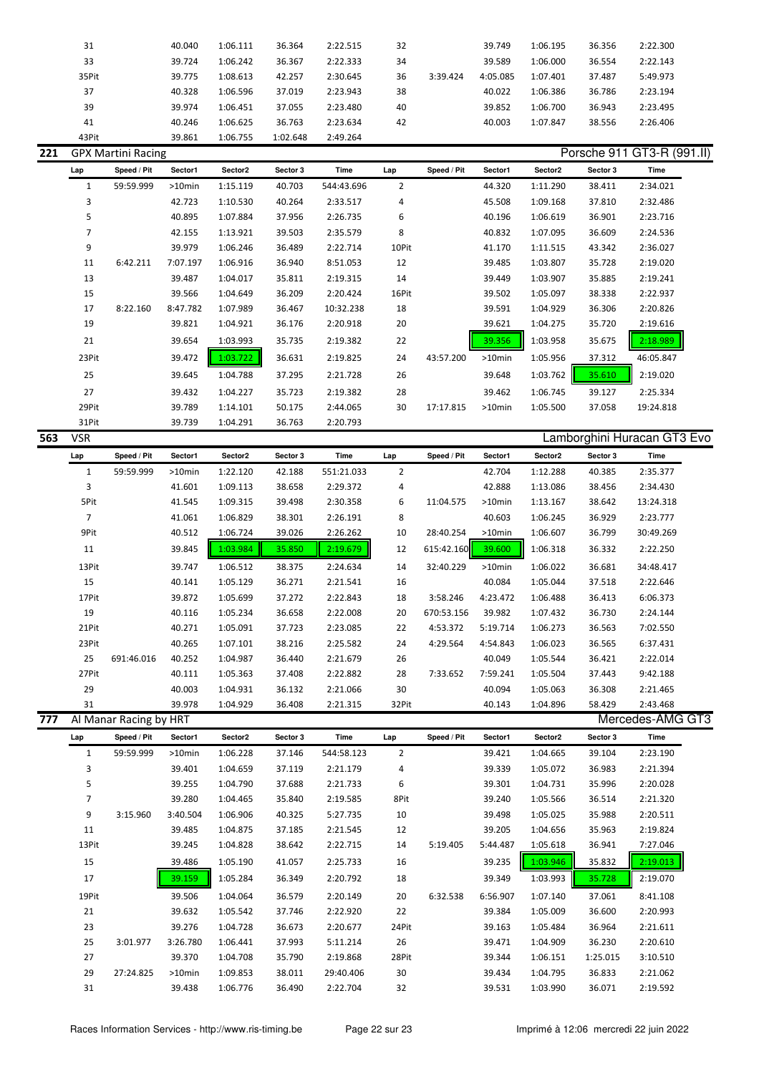| 31    | 40.040 | 1:06.111 | 36.364   | 2:22.515 | 32 |          | 39.749   | 1:06.195 | 36.356 | 2:22.300 |  |
|-------|--------|----------|----------|----------|----|----------|----------|----------|--------|----------|--|
| 33    | 39.724 | 1:06.242 | 36.367   | 2:22.333 | 34 |          | 39.589   | 1:06.000 | 36.554 | 2:22.143 |  |
| 35Pit | 39.775 | 1:08.613 | 42.257   | 2:30.645 | 36 | 3:39.424 | 4:05.085 | 1:07.401 | 37.487 | 5:49.973 |  |
| 37    | 40.328 | 1:06.596 | 37.019   | 2:23.943 | 38 |          | 40.022   | 1:06.386 | 36.786 | 2:23.194 |  |
| 39    | 39.974 | 1:06.451 | 37.055   | 2:23.480 | 40 |          | 39.852   | 1:06.700 | 36.943 | 2:23.495 |  |
| 41    | 40.246 | 1:06.625 | 36.763   | 2:23.634 | 42 |          | 40.003   | 1:07.847 | 38.556 | 2:26.406 |  |
| 43Pit | 39.861 | 1:06.755 | 1:02.648 | 2:49.264 |    |          |          |          |        |          |  |

|     |       | <b>GPX Martini Racing</b> |           |          |          |            |                |             |           |                     |          | Porsche 911 GT3-R (991.II) |  |
|-----|-------|---------------------------|-----------|----------|----------|------------|----------------|-------------|-----------|---------------------|----------|----------------------------|--|
| Lap |       | Speed / Pit               | Sector1   | Sector2  | Sector 3 | Time       | Lap            | Speed / Pit | Sector1   | Sector <sub>2</sub> | Sector 3 | Time                       |  |
|     |       | 59:59.999                 | $>10$ min | 1:15.119 | 40.703   | 544:43.696 | $\overline{2}$ |             | 44.320    | 1:11.290            | 38.411   | 2:34.021                   |  |
|     | 3     |                           | 42.723    | 1:10.530 | 40.264   | 2:33.517   | 4              |             | 45.508    | 1:09.168            | 37.810   | 2:32.486                   |  |
|     | 5     |                           | 40.895    | 1:07.884 | 37.956   | 2:26.735   | 6              |             | 40.196    | 1:06.619            | 36.901   | 2:23.716                   |  |
|     | 7     |                           | 42.155    | 1:13.921 | 39.503   | 2:35.579   | 8              |             | 40.832    | 1:07.095            | 36.609   | 2:24.536                   |  |
|     | 9     |                           | 39.979    | 1:06.246 | 36.489   | 2:22.714   | 10Pit          |             | 41.170    | 1:11.515            | 43.342   | 2:36.027                   |  |
|     | 11    | 6:42.211                  | 7:07.197  | 1:06.916 | 36.940   | 8:51.053   | 12             |             | 39.485    | 1:03.807            | 35.728   | 2:19.020                   |  |
|     | 13    |                           | 39.487    | 1:04.017 | 35.811   | 2:19.315   | 14             |             | 39.449    | 1:03.907            | 35.885   | 2:19.241                   |  |
|     | 15    |                           | 39.566    | 1:04.649 | 36.209   | 2:20.424   | 16Pit          |             | 39.502    | 1:05.097            | 38.338   | 2:22.937                   |  |
|     | 17    | 8:22.160                  | 8:47.782  | 1:07.989 | 36.467   | 10:32.238  | 18             |             | 39.591    | 1:04.929            | 36.306   | 2:20.826                   |  |
|     | 19    |                           | 39.821    | 1:04.921 | 36.176   | 2:20.918   | 20             |             | 39.621    | 1:04.275            | 35.720   | 2:19.616                   |  |
|     | 21    |                           | 39.654    | 1:03.993 | 35.735   | 2:19.382   | 22             |             | 39.356    | 1:03.958            | 35.675   | 2:18.989                   |  |
|     | 23Pit |                           | 39.472    | 1:03.722 | 36.631   | 2:19.825   | 24             | 43:57.200   | $>10$ min | 1:05.956            | 37.312   | 46:05.847                  |  |
|     | 25    |                           | 39.645    | 1:04.788 | 37.295   | 2:21.728   | 26             |             | 39.648    | 1:03.762            | 35.610   | 2:19.020                   |  |
|     | 27    |                           | 39.432    | 1:04.227 | 35.723   | 2:19.382   | 28             |             | 39.462    | 1:06.745            | 39.127   | 2:25.334                   |  |
|     | 29Pit |                           | 39.789    | 1:14.101 | 50.175   | 2:44.065   | 30             | 17:17.815   | $>10$ min | 1:05.500            | 37.058   | 19:24.818                  |  |
|     | 31Pit |                           | 39.739    | 1:04.291 | 36.763   | 2:20.793   |                |             |           |                     |          |                            |  |

| 563 | <b>VSR</b>   | Lamborghini Huracan GT3 Evo |           |          |          |            |                |             |           |                     |          |           |  |
|-----|--------------|-----------------------------|-----------|----------|----------|------------|----------------|-------------|-----------|---------------------|----------|-----------|--|
|     | Lap          | Speed / Pit                 | Sector1   | Sector2  | Sector 3 | Time       | Lap            | Speed / Pit | Sector1   | Sector <sub>2</sub> | Sector 3 | Time      |  |
|     | $\mathbf{1}$ | 59:59.999                   | $>10$ min | 1:22.120 | 42.188   | 551:21.033 | $\overline{2}$ |             | 42.704    | 1:12.288            | 40.385   | 2:35.377  |  |
|     | 3            |                             | 41.601    | 1:09.113 | 38.658   | 2:29.372   | 4              |             | 42.888    | 1:13.086            | 38.456   | 2:34.430  |  |
|     | 5Pit         |                             | 41.545    | 1:09.315 | 39.498   | 2:30.358   | 6              | 11:04.575   | $>10$ min | 1:13.167            | 38.642   | 13:24.318 |  |
|     | 7            |                             | 41.061    | 1:06.829 | 38.301   | 2:26.191   | 8              |             | 40.603    | 1:06.245            | 36.929   | 2:23.777  |  |
|     | 9Pit         |                             | 40.512    | 1:06.724 | 39.026   | 2:26.262   | 10             | 28:40.254   | $>10$ min | 1:06.607            | 36.799   | 30:49.269 |  |
|     | 11           |                             | 39.845    | 1:03.984 | 35.850   | 2:19.679   | 12             | 615:42.160  | 39.600    | 1:06.318            | 36.332   | 2:22.250  |  |
|     | 13Pit        |                             | 39.747    | 1:06.512 | 38.375   | 2:24.634   | 14             | 32:40.229   | $>10$ min | 1:06.022            | 36.681   | 34:48.417 |  |
|     | 15           |                             | 40.141    | 1:05.129 | 36.271   | 2:21.541   | 16             |             | 40.084    | 1:05.044            | 37.518   | 2:22.646  |  |
|     | 17Pit        |                             | 39.872    | 1:05.699 | 37.272   | 2:22.843   | 18             | 3:58.246    | 4:23.472  | 1:06.488            | 36.413   | 6:06.373  |  |
|     | 19           |                             | 40.116    | 1:05.234 | 36.658   | 2:22.008   | 20             | 670:53.156  | 39.982    | 1:07.432            | 36.730   | 2:24.144  |  |
|     | 21Pit        |                             | 40.271    | 1:05.091 | 37.723   | 2:23.085   | 22             | 4:53.372    | 5:19.714  | 1:06.273            | 36.563   | 7:02.550  |  |
|     | 23Pit        |                             | 40.265    | 1:07.101 | 38.216   | 2:25.582   | 24             | 4:29.564    | 4:54.843  | 1:06.023            | 36.565   | 6:37.431  |  |
|     | 25           | 691:46.016                  | 40.252    | 1:04.987 | 36.440   | 2:21.679   | 26             |             | 40.049    | 1:05.544            | 36.421   | 2:22.014  |  |
|     | 27Pit        |                             | 40.111    | 1:05.363 | 37.408   | 2:22.882   | 28             | 7:33.652    | 7:59.241  | 1:05.504            | 37.443   | 9:42.188  |  |
|     | 29           |                             | 40.003    | 1:04.931 | 36.132   | 2:21.066   | 30             |             | 40.094    | 1:05.063            | 36.308   | 2:21.465  |  |
|     | 31           |                             | 39.978    | 1:04.929 | 36.408   | 2:21.315   | 32Pit          |             | 40.143    | 1:04.896            | 58.429   | 2:43.468  |  |

**777** Al Manar Racing by HRT Mercedes-AMG GT3

| Lap          | Speed / Pit | Sector1  | Sector2  | Sector 3 | Time       | Lap            | Speed / Pit | Sector1  | Sector2  | Sector 3 | Time     |
|--------------|-------------|----------|----------|----------|------------|----------------|-------------|----------|----------|----------|----------|
| $\mathbf{1}$ | 59:59.999   | >10min   | 1:06.228 | 37.146   | 544:58.123 | $\overline{2}$ |             | 39.421   | 1:04.665 | 39.104   | 2:23.190 |
| 3            |             | 39.401   | 1:04.659 | 37.119   | 2:21.179   | 4              |             | 39.339   | 1:05.072 | 36.983   | 2:21.394 |
| 5            |             | 39.255   | 1:04.790 | 37.688   | 2:21.733   | 6              |             | 39.301   | 1:04.731 | 35.996   | 2:20.028 |
| 7            |             | 39.280   | 1:04.465 | 35.840   | 2:19.585   | 8Pit           |             | 39.240   | 1:05.566 | 36.514   | 2:21.320 |
| 9            | 3:15.960    | 3:40.504 | 1:06.906 | 40.325   | 5:27.735   | 10             |             | 39.498   | 1:05.025 | 35.988   | 2:20.511 |
| 11           |             | 39.485   | 1:04.875 | 37.185   | 2:21.545   | 12             |             | 39.205   | 1:04.656 | 35.963   | 2:19.824 |
| 13Pit        |             | 39.245   | 1:04.828 | 38.642   | 2:22.715   | 14             | 5:19.405    | 5:44.487 | 1:05.618 | 36.941   | 7:27.046 |
| 15           |             | 39.486   | 1:05.190 | 41.057   | 2:25.733   | 16             |             | 39.235   | 1:03.946 | 35.832   | 2:19.013 |
| 17           |             | 39.159   | 1:05.284 | 36.349   | 2:20.792   | 18             |             | 39.349   | 1:03.993 | 35.728   | 2:19.070 |
| 19Pit        |             | 39.506   | 1:04.064 | 36.579   | 2:20.149   | 20             | 6:32.538    | 6:56.907 | 1:07.140 | 37.061   | 8:41.108 |
| 21           |             | 39.632   | 1:05.542 | 37.746   | 2:22.920   | 22             |             | 39.384   | 1:05.009 | 36.600   | 2:20.993 |
| 23           |             | 39.276   | 1:04.728 | 36.673   | 2:20.677   | 24Pit          |             | 39.163   | 1:05.484 | 36.964   | 2:21.611 |
| 25           | 3:01.977    | 3:26.780 | 1:06.441 | 37.993   | 5:11.214   | 26             |             | 39.471   | 1:04.909 | 36.230   | 2:20.610 |
| 27           |             | 39.370   | 1:04.708 | 35.790   | 2:19.868   | 28Pit          |             | 39.344   | 1:06.151 | 1:25.015 | 3:10.510 |
| 29           | 27:24.825   | >10min   | 1:09.853 | 38.011   | 29:40.406  | 30             |             | 39.434   | 1:04.795 | 36.833   | 2:21.062 |
| 31           |             | 39.438   | 1:06.776 | 36.490   | 2:22.704   | 32             |             | 39.531   | 1:03.990 | 36.071   | 2:19.592 |